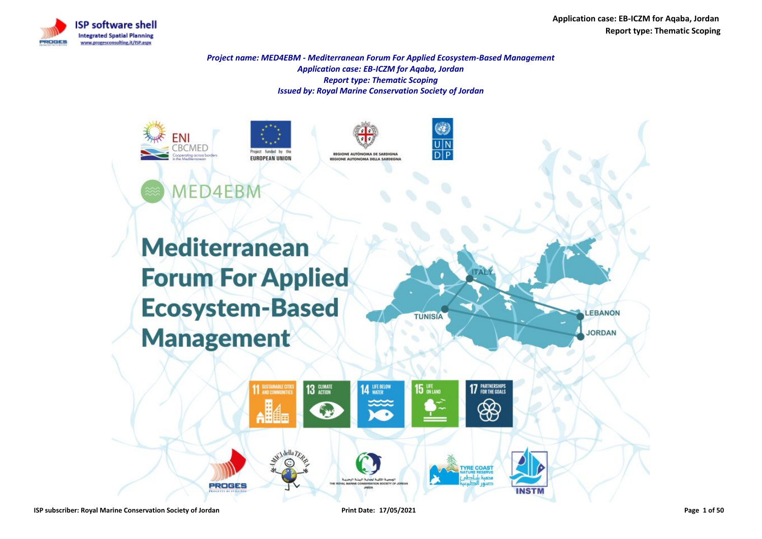



*Project name: MED4EBM - Mediterranean Forum For Applied Ecosystem-Based Management Application case: EB-ICZM for Aqaba, Jordan Report type: Thematic Scoping Issued by: Royal Marine Conservation Society of Jordan*











**Mediterranean Forum For Applied Ecosystem-Based Management** 

**PROGES** 



**INSTN**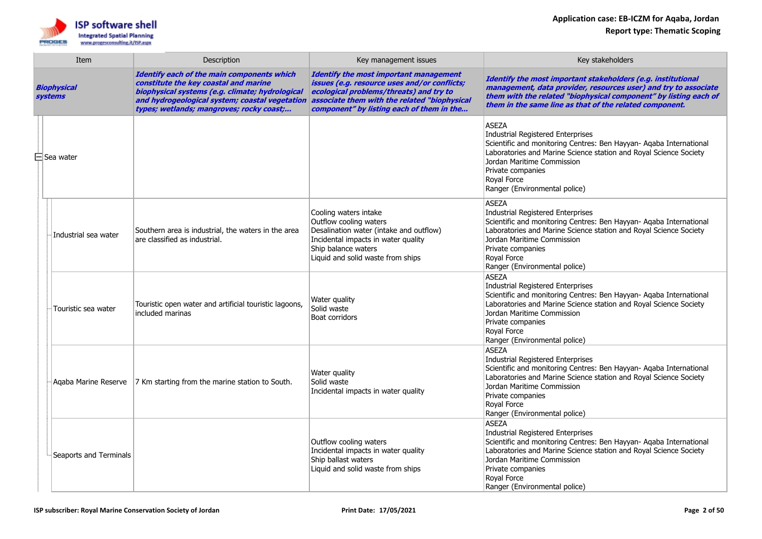

| Item                   |                        | Description                                                                                                                                                                                                                          | Key management issues                                                                                                                                                                                                                 | Key stakeholders                                                                                                                                                                                                                                                                                |
|------------------------|------------------------|--------------------------------------------------------------------------------------------------------------------------------------------------------------------------------------------------------------------------------------|---------------------------------------------------------------------------------------------------------------------------------------------------------------------------------------------------------------------------------------|-------------------------------------------------------------------------------------------------------------------------------------------------------------------------------------------------------------------------------------------------------------------------------------------------|
| Biophysical<br>systems |                        | Identify each of the main components which<br>constitute the key coastal and marine<br>biophysical systems (e.g. climate; hydrological<br>and hydrogeological system; coastal vegetation<br>types; wetlands; mangroves; rocky coast; | <b>Identify the most important management</b><br>issues (e.g. resource uses and/or conflicts;<br>ecological problems/threats) and try to<br>associate them with the related "biophysical<br>component" by listing each of them in the | Identify the most important stakeholders (e.g. institutional<br>management, data provider, resources user) and try to associate<br>them with the related "biophysical component" by listing each of<br>them in the same line as that of the related component.                                  |
|                        | $\boxminus$ Sea water  |                                                                                                                                                                                                                                      |                                                                                                                                                                                                                                       | <b>ASEZA</b><br>Industrial Registered Enterprises<br>Scientific and monitoring Centres: Ben Hayyan- Aqaba International<br>Laboratories and Marine Science station and Royal Science Society<br>Jordan Maritime Commission<br>Private companies<br>Roval Force<br>Ranger (Environmental police) |
|                        | Industrial sea water   | Southern area is industrial, the waters in the area<br>are classified as industrial.                                                                                                                                                 | Cooling waters intake<br>Outflow cooling waters<br>Desalination water (intake and outflow)<br>Incidental impacts in water quality<br>Ship balance waters<br>Liquid and solid waste from ships                                         | <b>ASEZA</b><br>Industrial Registered Enterprises<br>Scientific and monitoring Centres: Ben Hayyan- Aqaba International<br>Laboratories and Marine Science station and Royal Science Society<br>Jordan Maritime Commission<br>Private companies<br>Royal Force<br>Ranger (Environmental police) |
|                        | Touristic sea water    | Touristic open water and artificial touristic lagoons,<br>included marinas                                                                                                                                                           | Water quality<br>Solid waste<br><b>Boat corridors</b>                                                                                                                                                                                 | <b>ASEZA</b><br>Industrial Registered Enterprises<br>Scientific and monitoring Centres: Ben Hayyan- Aqaba International<br>Laboratories and Marine Science station and Royal Science Society<br>Jordan Maritime Commission<br>Private companies<br>Royal Force<br>Ranger (Environmental police) |
|                        | Agaba Marine Reserve   | 7 Km starting from the marine station to South.                                                                                                                                                                                      | Water quality<br>Solid waste<br>Incidental impacts in water quality                                                                                                                                                                   | <b>ASEZA</b><br>Industrial Registered Enterprises<br>Scientific and monitoring Centres: Ben Hayyan- Agaba International<br>Laboratories and Marine Science station and Royal Science Society<br>Jordan Maritime Commission<br>Private companies<br>Royal Force<br>Ranger (Environmental police) |
|                        | Seaports and Terminals |                                                                                                                                                                                                                                      | Outflow cooling waters<br>Incidental impacts in water quality<br>Ship ballast waters<br>Liquid and solid waste from ships                                                                                                             | <b>ASEZA</b><br>Industrial Registered Enterprises<br>Scientific and monitoring Centres: Ben Hayyan- Aqaba International<br>Laboratories and Marine Science station and Royal Science Society<br>Jordan Maritime Commission<br>Private companies<br>Royal Force<br>Ranger (Environmental police) |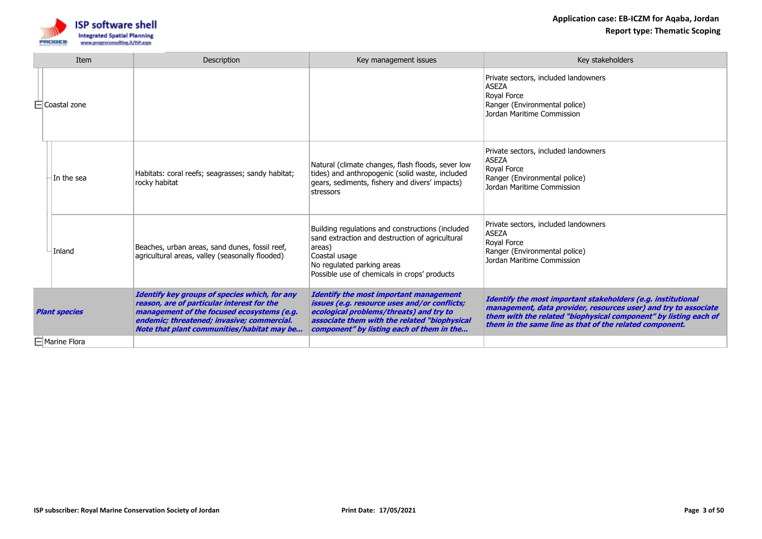

|                      | Item                | Description                                                                                                                                                                                                                           | Key management issues                                                                                                                                                                                                                        | Key stakeholders                                                                                                                                                                                                                                               |
|----------------------|---------------------|---------------------------------------------------------------------------------------------------------------------------------------------------------------------------------------------------------------------------------------|----------------------------------------------------------------------------------------------------------------------------------------------------------------------------------------------------------------------------------------------|----------------------------------------------------------------------------------------------------------------------------------------------------------------------------------------------------------------------------------------------------------------|
|                      | $\Box$ Coastal zone |                                                                                                                                                                                                                                       |                                                                                                                                                                                                                                              | Private sectors, included landowners<br><b>ASEZA</b><br>Royal Force<br>Ranger (Environmental police)<br>Jordan Maritime Commission                                                                                                                             |
|                      | In the sea          | Habitats: coral reefs; seagrasses; sandy habitat;<br>rocky habitat                                                                                                                                                                    | Natural (climate changes, flash floods, sever low<br>tides) and anthropogenic (solid waste, included<br>gears, sediments, fishery and divers' impacts)<br>stressors                                                                          | Private sectors, included landowners<br><b>ASEZA</b><br>Royal Force<br>Ranger (Environmental police)<br>Jordan Maritime Commission                                                                                                                             |
|                      | Inland              | Beaches, urban areas, sand dunes, fossil reef,<br>agricultural areas, valley (seasonally flooded)                                                                                                                                     | Building regulations and constructions (included<br>sand extraction and destruction of agricultural<br>areas)<br>Coastal usage<br>No regulated parking areas<br>Possible use of chemicals in crops' products                                 | Private sectors, included landowners<br><b>ASEZA</b><br>Roval Force<br>Ranger (Environmental police)<br>Jordan Maritime Commission                                                                                                                             |
| <b>Plant species</b> |                     | Identify key groups of species which, for any<br>reason, are of particular interest for the<br>management of the focused ecosystems (e.g.<br>endemic; threatened; invasive; commercial.<br>Note that plant communities/habitat may be | <b>Identify the most important management</b><br><i>issues (e.g. resource uses and/or conflicts;</i><br>ecological problems/threats) and try to<br>associate them with the related "biophysical<br>component" by listing each of them in the | Identify the most important stakeholders (e.g. institutional<br>management, data provider, resources user) and try to associate<br>them with the related "biophysical component" by listing each of<br>them in the same line as that of the related component. |
|                      | □ Marine Flora      |                                                                                                                                                                                                                                       |                                                                                                                                                                                                                                              |                                                                                                                                                                                                                                                                |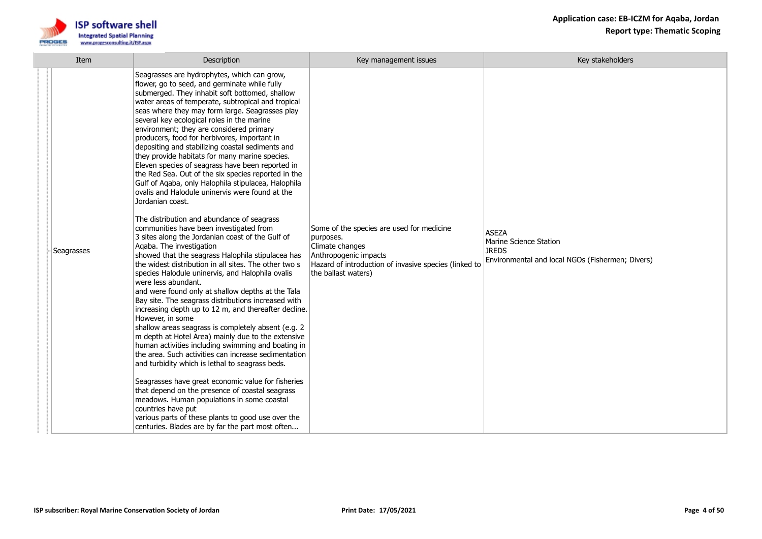

| Item       | Description                                                                                                                                                                                                                                                                                                                                                                                                                                                                                                                                                                                                                                                                                                                                                                                                                                                                                                                                                                                                                                                                                                                                                                                                                                                                                                                                                                                                                                                                                                                                                                                                                                                                                                                                                                                                                                                                     | Key management issues                                                                                                                                                              | Key stakeholders                                                                                           |
|------------|---------------------------------------------------------------------------------------------------------------------------------------------------------------------------------------------------------------------------------------------------------------------------------------------------------------------------------------------------------------------------------------------------------------------------------------------------------------------------------------------------------------------------------------------------------------------------------------------------------------------------------------------------------------------------------------------------------------------------------------------------------------------------------------------------------------------------------------------------------------------------------------------------------------------------------------------------------------------------------------------------------------------------------------------------------------------------------------------------------------------------------------------------------------------------------------------------------------------------------------------------------------------------------------------------------------------------------------------------------------------------------------------------------------------------------------------------------------------------------------------------------------------------------------------------------------------------------------------------------------------------------------------------------------------------------------------------------------------------------------------------------------------------------------------------------------------------------------------------------------------------------|------------------------------------------------------------------------------------------------------------------------------------------------------------------------------------|------------------------------------------------------------------------------------------------------------|
| Seagrasses | Seagrasses are hydrophytes, which can grow,<br>flower, go to seed, and germinate while fully<br>submerged. They inhabit soft bottomed, shallow<br>water areas of temperate, subtropical and tropical<br>seas where they may form large. Seagrasses play<br>several key ecological roles in the marine<br>environment; they are considered primary<br>producers, food for herbivores, important in<br>depositing and stabilizing coastal sediments and<br>they provide habitats for many marine species.<br>Eleven species of seagrass have been reported in<br>the Red Sea. Out of the six species reported in the<br>Gulf of Agaba, only Halophila stipulacea, Halophila<br>ovalis and Halodule uninervis were found at the<br>Jordanian coast.<br>The distribution and abundance of seagrass<br>communities have been investigated from<br>3 sites along the Jordanian coast of the Gulf of<br>Agaba. The investigation<br>showed that the seagrass Halophila stipulacea has<br>the widest distribution in all sites. The other two s<br>species Halodule uninervis, and Halophila ovalis<br>were less abundant.<br>and were found only at shallow depths at the Tala<br>Bay site. The seagrass distributions increased with<br>increasing depth up to 12 m, and thereafter decline.<br>However, in some<br>shallow areas seagrass is completely absent (e.g. 2<br>m depth at Hotel Area) mainly due to the extensive<br>human activities including swimming and boating in<br>the area. Such activities can increase sedimentation<br>and turbidity which is lethal to seagrass beds.<br>Seagrasses have great economic value for fisheries<br>that depend on the presence of coastal seagrass<br>meadows. Human populations in some coastal<br>countries have put<br>various parts of these plants to good use over the<br>centuries. Blades are by far the part most often | Some of the species are used for medicine<br>purposes.<br>Climate changes<br>Anthropogenic impacts<br>Hazard of introduction of invasive species (linked to<br>the ballast waters) | <b>ASEZA</b><br>Marine Science Station<br><b>IRFDS</b><br>Environmental and local NGOs (Fishermen; Divers) |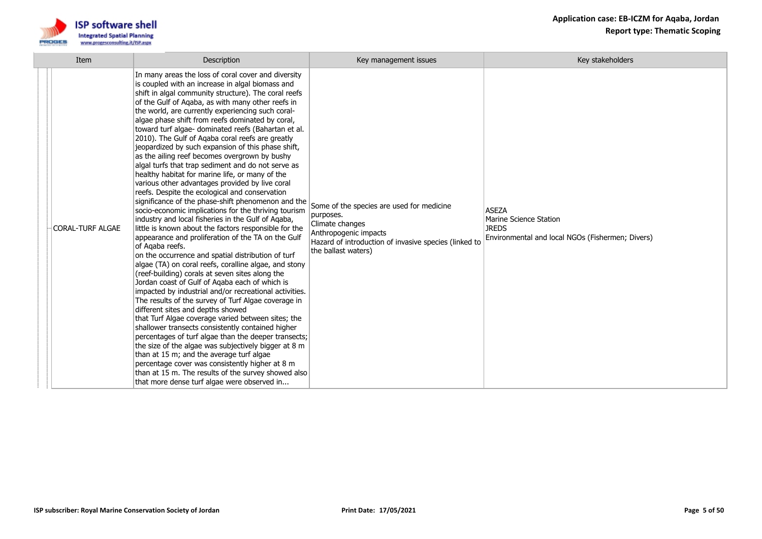

| Item                    | Description                                                                                                                                                                                                                                                                                                                                                                                                                                                                                                                                                                                                                                                                                                                                                                                                                                                                                                                                                                                                                                                                                                                                                                                                                                                                                                                                                                                                                                                                                                                                                                                                                                                                                                                                                                                                                                                                   | Key management issues                                                                                                                                                              | Key stakeholders                                                                                           |
|-------------------------|-------------------------------------------------------------------------------------------------------------------------------------------------------------------------------------------------------------------------------------------------------------------------------------------------------------------------------------------------------------------------------------------------------------------------------------------------------------------------------------------------------------------------------------------------------------------------------------------------------------------------------------------------------------------------------------------------------------------------------------------------------------------------------------------------------------------------------------------------------------------------------------------------------------------------------------------------------------------------------------------------------------------------------------------------------------------------------------------------------------------------------------------------------------------------------------------------------------------------------------------------------------------------------------------------------------------------------------------------------------------------------------------------------------------------------------------------------------------------------------------------------------------------------------------------------------------------------------------------------------------------------------------------------------------------------------------------------------------------------------------------------------------------------------------------------------------------------------------------------------------------------|------------------------------------------------------------------------------------------------------------------------------------------------------------------------------------|------------------------------------------------------------------------------------------------------------|
| <b>CORAL-TURF ALGAE</b> | In many areas the loss of coral cover and diversity<br>is coupled with an increase in algal biomass and<br>shift in algal community structure). The coral reefs<br>of the Gulf of Aqaba, as with many other reefs in<br>the world, are currently experiencing such coral-<br>algae phase shift from reefs dominated by coral,<br>toward turf algae- dominated reefs (Bahartan et al.<br>2010). The Gulf of Aqaba coral reefs are greatly<br>jeopardized by such expansion of this phase shift,<br>as the ailing reef becomes overgrown by bushy<br>algal turfs that trap sediment and do not serve as<br>healthy habitat for marine life, or many of the<br>various other advantages provided by live coral<br>reefs. Despite the ecological and conservation<br>significance of the phase-shift phenomenon and the<br>socio-economic implications for the thriving tourism<br>industry and local fisheries in the Gulf of Agaba,<br>little is known about the factors responsible for the<br>appearance and proliferation of the TA on the Gulf<br>of Agaba reefs.<br>on the occurrence and spatial distribution of turf<br>algae (TA) on coral reefs, coralline algae, and stony<br>(reef-building) corals at seven sites along the<br>Jordan coast of Gulf of Agaba each of which is<br>impacted by industrial and/or recreational activities.<br>The results of the survey of Turf Algae coverage in<br>different sites and depths showed<br>that Turf Algae coverage varied between sites; the<br>shallower transects consistently contained higher<br>percentages of turf algae than the deeper transects;<br>the size of the algae was subjectively bigger at 8 m<br>than at 15 m; and the average turf algae<br>percentage cover was consistently higher at 8 m<br>than at 15 m. The results of the survey showed also<br>that more dense turf algae were observed in | Some of the species are used for medicine<br>purposes.<br>Climate changes<br>Anthropogenic impacts<br>Hazard of introduction of invasive species (linked to<br>the ballast waters) | <b>ASEZA</b><br>Marine Science Station<br><b>JREDS</b><br>Environmental and local NGOs (Fishermen; Divers) |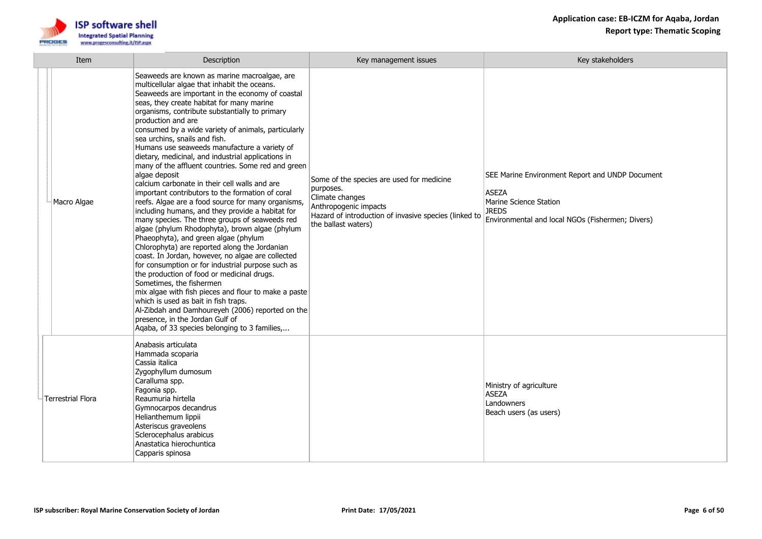

| Item                     | Description                                                                                                                                                                                                                                                                                                                                                                                                                                                                                                                                                                                                                                                                                                                                                                                                                                                                                                                                                                                                                                                                                                                                                                                                                                                                                                                                                                        | Key management issues                                                                                                                                                              | Key stakeholders                                                                                                                                              |
|--------------------------|------------------------------------------------------------------------------------------------------------------------------------------------------------------------------------------------------------------------------------------------------------------------------------------------------------------------------------------------------------------------------------------------------------------------------------------------------------------------------------------------------------------------------------------------------------------------------------------------------------------------------------------------------------------------------------------------------------------------------------------------------------------------------------------------------------------------------------------------------------------------------------------------------------------------------------------------------------------------------------------------------------------------------------------------------------------------------------------------------------------------------------------------------------------------------------------------------------------------------------------------------------------------------------------------------------------------------------------------------------------------------------|------------------------------------------------------------------------------------------------------------------------------------------------------------------------------------|---------------------------------------------------------------------------------------------------------------------------------------------------------------|
| Macro Algae              | Seaweeds are known as marine macroalgae, are<br>multicellular algae that inhabit the oceans.<br>Seaweeds are important in the economy of coastal<br>seas, they create habitat for many marine<br>organisms, contribute substantially to primary<br>production and are<br>consumed by a wide variety of animals, particularly<br>sea urchins, snails and fish.<br>Humans use seaweeds manufacture a variety of<br>dietary, medicinal, and industrial applications in<br>many of the affluent countries. Some red and green<br>algae deposit<br>calcium carbonate in their cell walls and are<br>important contributors to the formation of coral<br>reefs. Algae are a food source for many organisms,<br>including humans, and they provide a habitat for<br>many species. The three groups of seaweeds red<br>algae (phylum Rhodophyta), brown algae (phylum<br>Phaeophyta), and green algae (phylum<br>Chlorophyta) are reported along the Jordanian<br>coast. In Jordan, however, no algae are collected<br>for consumption or for industrial purpose such as<br>the production of food or medicinal drugs.<br>Sometimes, the fishermen<br>mix algae with fish pieces and flour to make a paste<br>which is used as bait in fish traps.<br>Al-Zibdah and Damhoureyeh (2006) reported on the<br>presence, in the Jordan Gulf of<br>Aqaba, of 33 species belonging to 3 families, | Some of the species are used for medicine<br>purposes.<br>Climate changes<br>Anthropogenic impacts<br>Hazard of introduction of invasive species (linked to<br>the ballast waters) | SEE Marine Environment Report and UNDP Document<br><b>ASEZA</b><br>Marine Science Station<br><b>JREDS</b><br>Environmental and local NGOs (Fishermen; Divers) |
| <b>Terrestrial Flora</b> | Anabasis articulata<br>Hammada scoparia<br>Cassia italica<br>Zygophyllum dumosum<br>Caralluma spp.<br>Fagonia spp.<br>Reaumuria hirtella<br>Gymnocarpos decandrus<br>Helianthemum lippii<br>Asteriscus graveolens<br>Sclerocephalus arabicus<br>Anastatica hierochuntica<br>Capparis spinosa                                                                                                                                                                                                                                                                                                                                                                                                                                                                                                                                                                                                                                                                                                                                                                                                                                                                                                                                                                                                                                                                                       |                                                                                                                                                                                    | Ministry of agriculture<br><b>ASEZA</b><br>Landowners<br>Beach users (as users)                                                                               |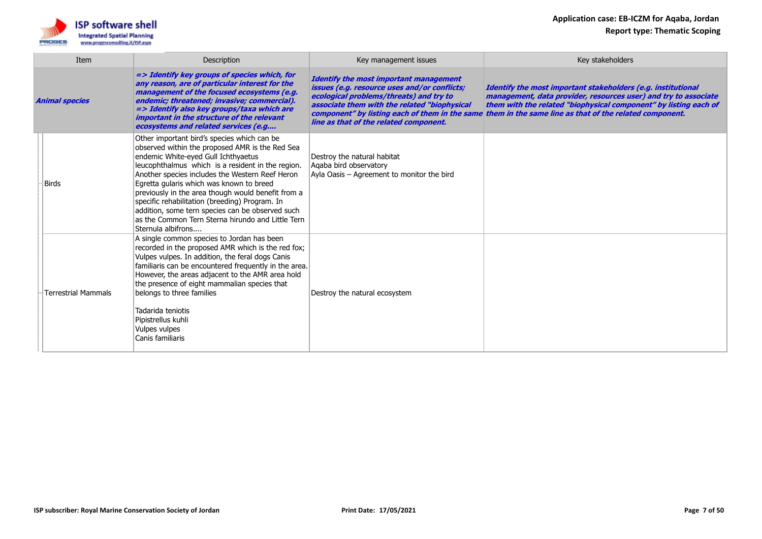

|                       | Item                       | Description                                                                                                                                                                                                                                                                                                                                                                                                                                                                                                                      | Key management issues                                                                                                                                                                                                              | Key stakeholders                                                                                                                                                                                                                                                                                              |
|-----------------------|----------------------------|----------------------------------------------------------------------------------------------------------------------------------------------------------------------------------------------------------------------------------------------------------------------------------------------------------------------------------------------------------------------------------------------------------------------------------------------------------------------------------------------------------------------------------|------------------------------------------------------------------------------------------------------------------------------------------------------------------------------------------------------------------------------------|---------------------------------------------------------------------------------------------------------------------------------------------------------------------------------------------------------------------------------------------------------------------------------------------------------------|
| <b>Animal species</b> |                            | => Identify key groups of species which, for<br>any reason, are of particular interest for the<br>management of the focused ecosystems (e.g.<br>endemic; threatened; invasive; commercial).<br>=> Identify also key groups/taxa which are<br>important in the structure of the relevant<br>ecosystems and related services (e.g                                                                                                                                                                                                  | <b>Identify the most important management</b><br>issues (e.g. resource uses and/or conflicts;<br>ecological problems/threats) and try to<br>associate them with the related "biophysical<br>line as that of the related component. | Identify the most important stakeholders (e.g. institutional<br>management, data provider, resources user) and try to associate<br>them with the related "biophysical component" by listing each of<br>component" by listing each of them in the same them in the same line as that of the related component. |
|                       | Birds                      | Other important bird's species which can be<br>observed within the proposed AMR is the Red Sea<br>endemic White-eyed Gull Ichthyaetus<br>leucophthalmus which is a resident in the region.<br>Another species includes the Western Reef Heron<br>Egretta gularis which was known to breed<br>previously in the area though would benefit from a<br>specific rehabilitation (breeding) Program. In<br>addition, some tern species can be observed such<br>as the Common Tern Sterna hirundo and Little Tern<br>Sternula albifrons | Destroy the natural habitat<br>Agaba bird observatory<br>Ayla Oasis - Agreement to monitor the bird                                                                                                                                |                                                                                                                                                                                                                                                                                                               |
|                       | <b>Terrestrial Mammals</b> | A single common species to Jordan has been<br>recorded in the proposed AMR which is the red fox;<br>Vulpes vulpes. In addition, the feral dogs Canis<br>familiaris can be encountered frequently in the area.<br>However, the areas adjacent to the AMR area hold<br>the presence of eight mammalian species that<br>belongs to three families<br>Tadarida teniotis<br>Pipistrellus kuhli<br><b>Vulpes vulpes</b><br>Canis familiaris                                                                                            | Destroy the natural ecosystem                                                                                                                                                                                                      |                                                                                                                                                                                                                                                                                                               |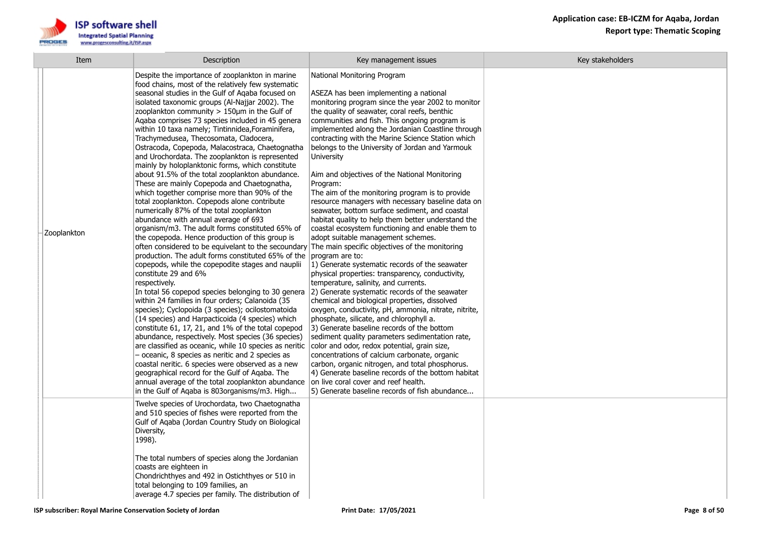

| Item        | Description                                                                                                                                                                                                                                                                                                                                                                                                                                                                                                                                                                                                                                                                                                                                                                                                                                                                                                                                                                                                                                                                                                                                                                                                                                                                                                                                                                                                                                                                                                                                                                                                                                                                                                                                                                                                                                                                                     | Key management issues                                                                                                                                                                                                                                                                                                                                                                                                                                                                                                                                                                                                                                                                                                                                                                                                                                                                                                                                                                                                                                                                                                                                                                                                                                                                                                                                                                                                                                                                                                                                             | Key stakeholders |
|-------------|-------------------------------------------------------------------------------------------------------------------------------------------------------------------------------------------------------------------------------------------------------------------------------------------------------------------------------------------------------------------------------------------------------------------------------------------------------------------------------------------------------------------------------------------------------------------------------------------------------------------------------------------------------------------------------------------------------------------------------------------------------------------------------------------------------------------------------------------------------------------------------------------------------------------------------------------------------------------------------------------------------------------------------------------------------------------------------------------------------------------------------------------------------------------------------------------------------------------------------------------------------------------------------------------------------------------------------------------------------------------------------------------------------------------------------------------------------------------------------------------------------------------------------------------------------------------------------------------------------------------------------------------------------------------------------------------------------------------------------------------------------------------------------------------------------------------------------------------------------------------------------------------------|-------------------------------------------------------------------------------------------------------------------------------------------------------------------------------------------------------------------------------------------------------------------------------------------------------------------------------------------------------------------------------------------------------------------------------------------------------------------------------------------------------------------------------------------------------------------------------------------------------------------------------------------------------------------------------------------------------------------------------------------------------------------------------------------------------------------------------------------------------------------------------------------------------------------------------------------------------------------------------------------------------------------------------------------------------------------------------------------------------------------------------------------------------------------------------------------------------------------------------------------------------------------------------------------------------------------------------------------------------------------------------------------------------------------------------------------------------------------------------------------------------------------------------------------------------------------|------------------|
| Zooplankton | Despite the importance of zooplankton in marine<br>food chains, most of the relatively few systematic<br>seasonal studies in the Gulf of Agaba focused on<br>isolated taxonomic groups (Al-Najjar 2002). The<br>zooplankton community $> 150 \mu m$ in the Gulf of<br>Agaba comprises 73 species included in 45 genera<br>within 10 taxa namely; Tintinnidea, Foraminifera,<br>Trachymedusea, Thecosomata, Cladocera,<br>Ostracoda, Copepoda, Malacostraca, Chaetognatha<br>and Urochordata. The zooplankton is represented<br>mainly by holoplanktonic forms, which constitute<br>about 91.5% of the total zooplankton abundance.<br>These are mainly Copepoda and Chaetognatha,<br>which together comprise more than 90% of the<br>total zooplankton. Copepods alone contribute<br>numerically 87% of the total zooplankton<br>abundance with annual average of 693<br>organism/m3. The adult forms constituted 65% of<br>the copepoda. Hence production of this group is<br>often considered to be equivelant to the secoundary The main specific objectives of the monitoring<br>production. The adult forms constituted 65% of the<br>copepods, while the copepodite stages and nauplii<br>constitute 29 and 6%<br>respectively.<br>In total 56 copepod species belonging to 30 genera<br>within 24 families in four orders; Calanoida (35<br>species); Cyclopoida (3 species); ocilostomatoida<br>(14 species) and Harpacticoida (4 species) which<br>constitute 61, 17, 21, and 1% of the total copepod<br>abundance, respectively. Most species (36 species)<br>are classified as oceanic, while 10 species as neritic<br>- oceanic, 8 species as neritic and 2 species as<br>coastal neritic. 6 species were observed as a new<br>geographical record for the Gulf of Agaba. The<br>annual average of the total zooplankton abundance<br>in the Gulf of Aqaba is 803organisms/m3. High | National Monitoring Program<br>ASEZA has been implementing a national<br>monitoring program since the year 2002 to monitor<br>the quality of seawater, coral reefs, benthic<br>communities and fish. This ongoing program is<br>implemented along the Jordanian Coastline through<br>contracting with the Marine Science Station which<br>belongs to the University of Jordan and Yarmouk<br><b>University</b><br>Aim and objectives of the National Monitoring<br>Program:<br>The aim of the monitoring program is to provide<br>resource managers with necessary baseline data on<br>seawater, bottom surface sediment, and coastal<br>habitat quality to help them better understand the<br>coastal ecosystem functioning and enable them to<br>adopt suitable management schemes.<br>program are to:<br>1) Generate systematic records of the seawater<br>physical properties: transparency, conductivity,<br>temperature, salinity, and currents.<br>[2] Generate systematic records of the seawater<br>chemical and biological properties, dissolved<br>oxygen, conductivity, pH, ammonia, nitrate, nitrite,<br>phosphate, silicate, and chlorophyll a.<br>3) Generate baseline records of the bottom<br>sediment quality parameters sedimentation rate,<br>color and odor, redox potential, grain size,<br>concentrations of calcium carbonate, organic<br>carbon, organic nitrogen, and total phosphorus.<br>4) Generate baseline records of the bottom habitat<br>on live coral cover and reef health.<br>5) Generate baseline records of fish abundance |                  |
|             | Twelve species of Urochordata, two Chaetognatha<br>and 510 species of fishes were reported from the<br>Gulf of Agaba (Jordan Country Study on Biological<br>Diversity,<br>1998).<br>The total numbers of species along the Jordanian<br>coasts are eighteen in<br>Chondrichthyes and 492 in Ostichthyes or 510 in<br>total belonging to 109 families, an<br>average 4.7 species per family. The distribution of                                                                                                                                                                                                                                                                                                                                                                                                                                                                                                                                                                                                                                                                                                                                                                                                                                                                                                                                                                                                                                                                                                                                                                                                                                                                                                                                                                                                                                                                                 |                                                                                                                                                                                                                                                                                                                                                                                                                                                                                                                                                                                                                                                                                                                                                                                                                                                                                                                                                                                                                                                                                                                                                                                                                                                                                                                                                                                                                                                                                                                                                                   |                  |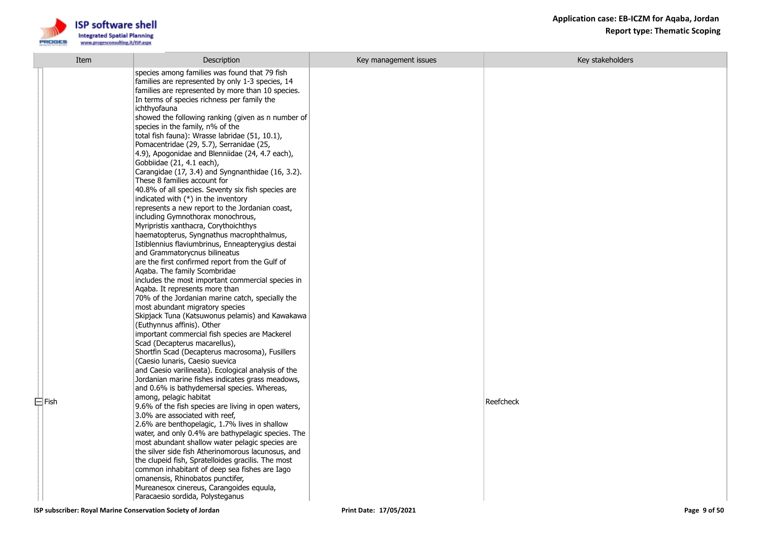

| Item        | Description                                                                                                                                                                                                                                                                                                                                                                                                                                                                                                                                                                                                                                                                                                                                                                                                                                                                                                                                                                                                                                                                                                                                                                                                                                                                                                                                                                                                                                                                                                                                                                                                                                                                                                               | Key management issues | Key stakeholders |
|-------------|---------------------------------------------------------------------------------------------------------------------------------------------------------------------------------------------------------------------------------------------------------------------------------------------------------------------------------------------------------------------------------------------------------------------------------------------------------------------------------------------------------------------------------------------------------------------------------------------------------------------------------------------------------------------------------------------------------------------------------------------------------------------------------------------------------------------------------------------------------------------------------------------------------------------------------------------------------------------------------------------------------------------------------------------------------------------------------------------------------------------------------------------------------------------------------------------------------------------------------------------------------------------------------------------------------------------------------------------------------------------------------------------------------------------------------------------------------------------------------------------------------------------------------------------------------------------------------------------------------------------------------------------------------------------------------------------------------------------------|-----------------------|------------------|
| $\Box$ Fish | species among families was found that 79 fish<br>families are represented by only 1-3 species, 14<br>families are represented by more than 10 species.<br>In terms of species richness per family the<br>ichthyofauna<br>showed the following ranking (given as n number of<br>species in the family, n% of the<br>total fish fauna): Wrasse labridae (51, 10.1),<br>Pomacentridae (29, 5.7), Serranidae (25,<br>4.9), Apogonidae and Blenniidae (24, 4.7 each),<br>Gobbiidae (21, 4.1 each),<br>Carangidae (17, 3.4) and Syngnanthidae (16, 3.2).<br>These 8 families account for<br>40.8% of all species. Seventy six fish species are<br>indicated with (*) in the inventory<br>represents a new report to the Jordanian coast,<br>including Gymnothorax monochrous,<br>Myripristis xanthacra, Corythoichthys<br>haematopterus, Syngnathus macrophthalmus,<br>Istiblennius flaviumbrinus, Enneapterygius destai<br>and Grammatorycnus bilineatus<br>are the first confirmed report from the Gulf of<br>Aqaba. The family Scombridae<br>includes the most important commercial species in<br>Aqaba. It represents more than<br>70% of the Jordanian marine catch, specially the<br>most abundant migratory species<br>Skipjack Tuna (Katsuwonus pelamis) and Kawakawa<br>(Euthynnus affinis). Other<br>important commercial fish species are Mackerel<br>Scad (Decapterus macarellus),<br>Shortfin Scad (Decapterus macrosoma), Fusillers<br>(Caesio lunaris, Caesio suevica<br>and Caesio varilineata). Ecological analysis of the<br>Jordanian marine fishes indicates grass meadows,<br>and 0.6% is bathydemersal species. Whereas,<br>among, pelagic habitat<br>9.6% of the fish species are living in open waters, |                       | Reefcheck        |
|             | 3.0% are associated with reef,<br>2.6% are benthopelagic, 1.7% lives in shallow<br>water, and only 0.4% are bathypelagic species. The<br>most abundant shallow water pelagic species are<br>the silver side fish Atherinomorous lacunosus, and<br>the clupeid fish, Spratelloides gracilis. The most<br>common inhabitant of deep sea fishes are Iago<br>omanensis, Rhinobatos punctifer,<br>Mureanesox cinereus, Carangoides equula,<br>Paracaesio sordida, Polysteganus                                                                                                                                                                                                                                                                                                                                                                                                                                                                                                                                                                                                                                                                                                                                                                                                                                                                                                                                                                                                                                                                                                                                                                                                                                                 |                       |                  |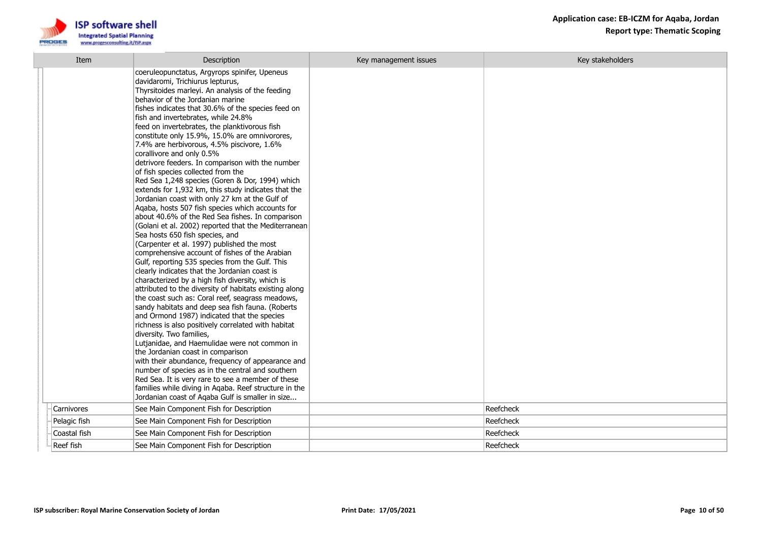

| Item         | Description                                                                                                                                                                                                                                                                                                                                                                                                                                                                                                                                                                                                                                                                                                                                                                                                                                                                                                                                                                                                                                                                                                                                                                                                                                                                                                                                                                                                                                                                                                                                                                                                                                                                                                                                                                                                                               | Key management issues | Key stakeholders |
|--------------|-------------------------------------------------------------------------------------------------------------------------------------------------------------------------------------------------------------------------------------------------------------------------------------------------------------------------------------------------------------------------------------------------------------------------------------------------------------------------------------------------------------------------------------------------------------------------------------------------------------------------------------------------------------------------------------------------------------------------------------------------------------------------------------------------------------------------------------------------------------------------------------------------------------------------------------------------------------------------------------------------------------------------------------------------------------------------------------------------------------------------------------------------------------------------------------------------------------------------------------------------------------------------------------------------------------------------------------------------------------------------------------------------------------------------------------------------------------------------------------------------------------------------------------------------------------------------------------------------------------------------------------------------------------------------------------------------------------------------------------------------------------------------------------------------------------------------------------------|-----------------------|------------------|
|              | coeruleopunctatus, Argyrops spinifer, Upeneus<br>davidaromi, Trichiurus lepturus,<br>Thyrsitoides marleyi. An analysis of the feeding<br>behavior of the Jordanian marine<br>fishes indicates that 30.6% of the species feed on<br>fish and invertebrates, while 24.8%<br>feed on invertebrates, the planktivorous fish<br>constitute only 15.9%, 15.0% are omnivorores,<br>7.4% are herbivorous, 4.5% piscivore, 1.6%<br>corallivore and only 0.5%<br>detrivore feeders. In comparison with the number<br>of fish species collected from the<br>Red Sea 1,248 species (Goren & Dor, 1994) which<br>extends for 1,932 km, this study indicates that the<br>Jordanian coast with only 27 km at the Gulf of<br>Agaba, hosts 507 fish species which accounts for<br>about 40.6% of the Red Sea fishes. In comparison<br>(Golani et al. 2002) reported that the Mediterranean<br>Sea hosts 650 fish species, and<br>(Carpenter et al. 1997) published the most<br>comprehensive account of fishes of the Arabian<br>Gulf, reporting 535 species from the Gulf. This<br>clearly indicates that the Jordanian coast is<br>characterized by a high fish diversity, which is<br>attributed to the diversity of habitats existing along<br>the coast such as: Coral reef, seagrass meadows,<br>sandy habitats and deep sea fish fauna. (Roberts<br>and Ormond 1987) indicated that the species<br>richness is also positively correlated with habitat<br>diversity. Two families,<br>Lutjanidae, and Haemulidae were not common in<br>the Jordanian coast in comparison<br>with their abundance, frequency of appearance and<br>number of species as in the central and southern<br>Red Sea. It is very rare to see a member of these<br>families while diving in Aqaba. Reef structure in the<br>Jordanian coast of Aqaba Gulf is smaller in size |                       |                  |
| Carnivores   | See Main Component Fish for Description                                                                                                                                                                                                                                                                                                                                                                                                                                                                                                                                                                                                                                                                                                                                                                                                                                                                                                                                                                                                                                                                                                                                                                                                                                                                                                                                                                                                                                                                                                                                                                                                                                                                                                                                                                                                   |                       | Reefcheck        |
| Pelagic fish | See Main Component Fish for Description                                                                                                                                                                                                                                                                                                                                                                                                                                                                                                                                                                                                                                                                                                                                                                                                                                                                                                                                                                                                                                                                                                                                                                                                                                                                                                                                                                                                                                                                                                                                                                                                                                                                                                                                                                                                   |                       | Reefcheck        |
| Coastal fish | See Main Component Fish for Description                                                                                                                                                                                                                                                                                                                                                                                                                                                                                                                                                                                                                                                                                                                                                                                                                                                                                                                                                                                                                                                                                                                                                                                                                                                                                                                                                                                                                                                                                                                                                                                                                                                                                                                                                                                                   |                       | Reefcheck        |
| Reef fish    | See Main Component Fish for Description                                                                                                                                                                                                                                                                                                                                                                                                                                                                                                                                                                                                                                                                                                                                                                                                                                                                                                                                                                                                                                                                                                                                                                                                                                                                                                                                                                                                                                                                                                                                                                                                                                                                                                                                                                                                   |                       | Reefcheck        |
|              |                                                                                                                                                                                                                                                                                                                                                                                                                                                                                                                                                                                                                                                                                                                                                                                                                                                                                                                                                                                                                                                                                                                                                                                                                                                                                                                                                                                                                                                                                                                                                                                                                                                                                                                                                                                                                                           |                       |                  |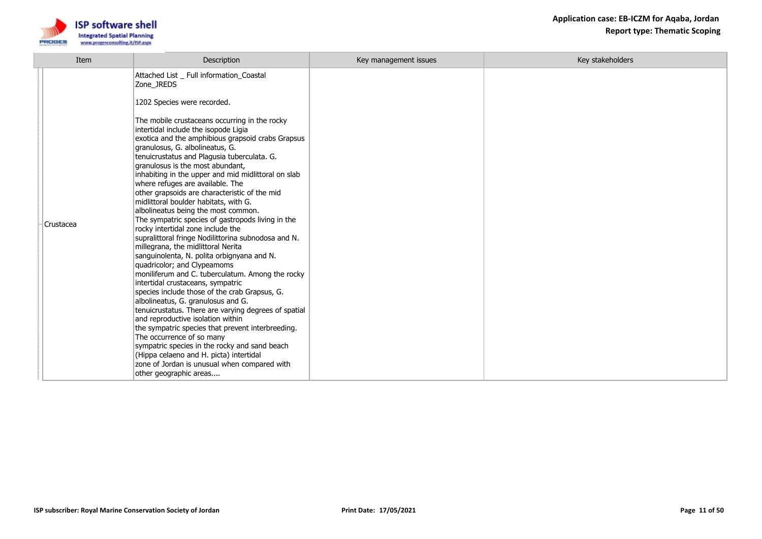

| Item      | Description                                                                                                                                                                                                                                                                                                                                                                                                                                                                                                                                                                                                                                                                                                                                                                                                                                                                                                                                                                                                                                                                                                                                                                                                                                                                                                                                                                                    | Key management issues | Key stakeholders |
|-----------|------------------------------------------------------------------------------------------------------------------------------------------------------------------------------------------------------------------------------------------------------------------------------------------------------------------------------------------------------------------------------------------------------------------------------------------------------------------------------------------------------------------------------------------------------------------------------------------------------------------------------------------------------------------------------------------------------------------------------------------------------------------------------------------------------------------------------------------------------------------------------------------------------------------------------------------------------------------------------------------------------------------------------------------------------------------------------------------------------------------------------------------------------------------------------------------------------------------------------------------------------------------------------------------------------------------------------------------------------------------------------------------------|-----------------------|------------------|
| Crustacea | Attached List _ Full information_Coastal<br>Zone_JREDS<br>1202 Species were recorded.<br>The mobile crustaceans occurring in the rocky<br>intertidal include the isopode Ligia<br>exotica and the amphibious grapsoid crabs Grapsus<br>granulosus, G. albolineatus, G.<br>tenuicrustatus and Plagusia tuberculata. G.<br>granulosus is the most abundant,<br>inhabiting in the upper and mid midlittoral on slab<br>where refuges are available. The<br>other grapsoids are characteristic of the mid<br>midlittoral boulder habitats, with G.<br>albolineatus being the most common.<br>The sympatric species of gastropods living in the<br>rocky intertidal zone include the<br>supralittoral fringe Nodilittorina subnodosa and N.<br>millegrana, the midlittoral Nerita<br>sanguinolenta, N. polita orbignyana and N.<br>quadricolor; and Clypeamoms<br>moniliferum and C. tuberculatum. Among the rocky<br>intertidal crustaceans, sympatric<br>species include those of the crab Grapsus, G.<br>albolineatus, G. granulosus and G.<br>tenuicrustatus. There are varying degrees of spatial<br>and reproductive isolation within<br>the sympatric species that prevent interbreeding.<br>The occurrence of so many<br>sympatric species in the rocky and sand beach<br>(Hippa celaeno and H. picta) intertidal<br>zone of Jordan is unusual when compared with<br>other geographic areas |                       |                  |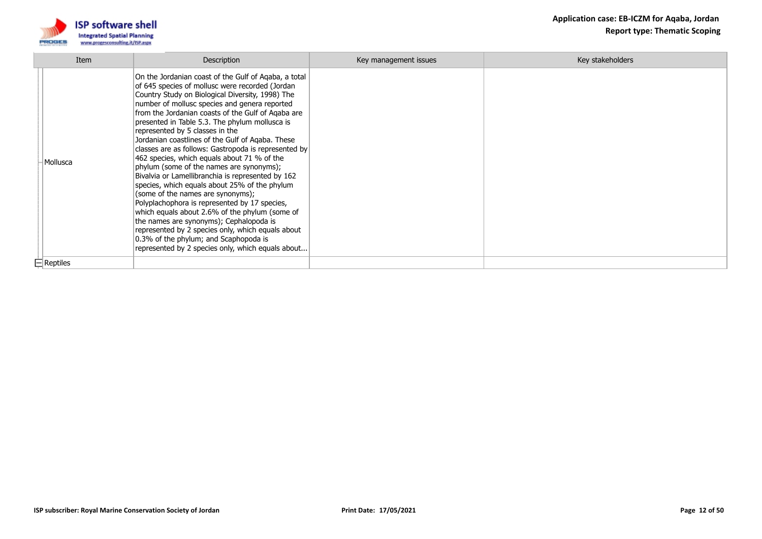

| Item            | Description                                                                                                                                                                                                                                                                                                                                                                                                                                                                                                                                                                                                                                                                                                                                                                                                                                                                                                                                                                                                | Key management issues | Key stakeholders |
|-----------------|------------------------------------------------------------------------------------------------------------------------------------------------------------------------------------------------------------------------------------------------------------------------------------------------------------------------------------------------------------------------------------------------------------------------------------------------------------------------------------------------------------------------------------------------------------------------------------------------------------------------------------------------------------------------------------------------------------------------------------------------------------------------------------------------------------------------------------------------------------------------------------------------------------------------------------------------------------------------------------------------------------|-----------------------|------------------|
| Mollusca        | On the Jordanian coast of the Gulf of Aqaba, a total<br>of 645 species of mollusc were recorded (Jordan<br>Country Study on Biological Diversity, 1998) The<br>number of mollusc species and genera reported<br>from the Jordanian coasts of the Gulf of Aqaba are<br>presented in Table 5.3. The phylum mollusca is<br>represented by 5 classes in the<br>Jordanian coastlines of the Gulf of Agaba. These<br>classes are as follows: Gastropoda is represented by<br>462 species, which equals about 71 % of the<br>phylum (some of the names are synonyms);<br>Bivalvia or Lamellibranchia is represented by 162<br>species, which equals about 25% of the phylum<br>(some of the names are synonyms);<br>Polyplachophora is represented by 17 species,<br>which equals about 2.6% of the phylum (some of<br>the names are synonyms); Cephalopoda is<br>represented by 2 species only, which equals about<br>0.3% of the phylum; and Scaphopoda is<br>represented by 2 species only, which equals about |                       |                  |
| $\Box$ Reptiles |                                                                                                                                                                                                                                                                                                                                                                                                                                                                                                                                                                                                                                                                                                                                                                                                                                                                                                                                                                                                            |                       |                  |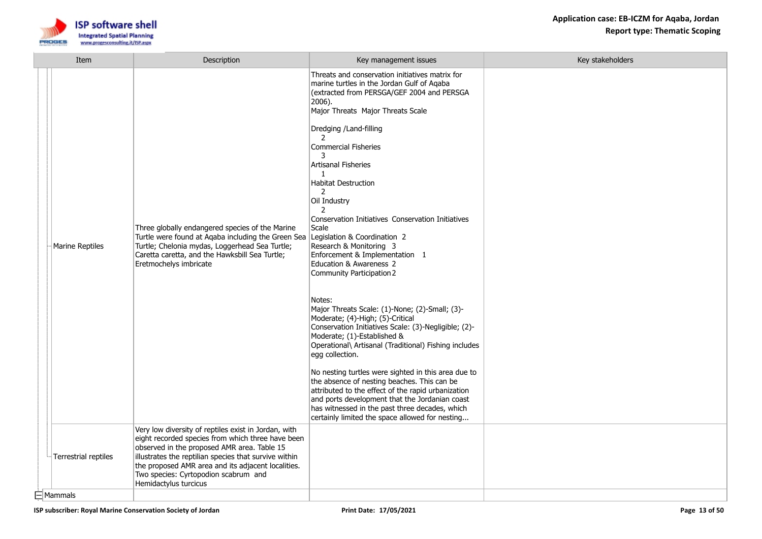

| Item                 | Description                                                                                                                                                                                                                                                                                                                              | Key management issues                                                                                                                                                                                                                                                                                                                                                                                                                                                                                                                                                                                                                                                                                                                                                                                                                                                                                                                                                                                                                                                                                                                                                                    | Key stakeholders |
|----------------------|------------------------------------------------------------------------------------------------------------------------------------------------------------------------------------------------------------------------------------------------------------------------------------------------------------------------------------------|------------------------------------------------------------------------------------------------------------------------------------------------------------------------------------------------------------------------------------------------------------------------------------------------------------------------------------------------------------------------------------------------------------------------------------------------------------------------------------------------------------------------------------------------------------------------------------------------------------------------------------------------------------------------------------------------------------------------------------------------------------------------------------------------------------------------------------------------------------------------------------------------------------------------------------------------------------------------------------------------------------------------------------------------------------------------------------------------------------------------------------------------------------------------------------------|------------------|
| Marine Reptiles      | Three globally endangered species of the Marine<br>Turtle were found at Aqaba including the Green Sea<br>Turtle; Chelonia mydas, Loggerhead Sea Turtle;<br>Caretta caretta, and the Hawksbill Sea Turtle;<br>Eretmochelys imbricate                                                                                                      | Threats and conservation initiatives matrix for<br>marine turtles in the Jordan Gulf of Agaba<br>(extracted from PERSGA/GEF 2004 and PERSGA<br>2006).<br>Major Threats Major Threats Scale<br>Dredging /Land-filling<br>$\mathcal{L}$<br><b>Commercial Fisheries</b><br>3<br><b>Artisanal Fisheries</b><br>$\mathbf{1}$<br><b>Habitat Destruction</b><br>2<br>Oil Industry<br>2<br>Conservation Initiatives Conservation Initiatives<br>Scale<br>Legislation & Coordination 2<br>Research & Monitoring 3<br>Enforcement & Implementation 1<br>Education & Awareness 2<br>Community Participation 2<br>Notes:<br>Major Threats Scale: (1)-None; (2)-Small; (3)-<br>Moderate; (4)-High; (5)-Critical<br>Conservation Initiatives Scale: (3)-Negligible; (2)-<br>Moderate; (1)-Established &<br>Operational\ Artisanal (Traditional) Fishing includes<br>egg collection.<br>No nesting turtles were sighted in this area due to<br>the absence of nesting beaches. This can be<br>attributed to the effect of the rapid urbanization<br>and ports development that the Jordanian coast<br>has witnessed in the past three decades, which<br>certainly limited the space allowed for nesting |                  |
| Terrestrial reptiles | Very low diversity of reptiles exist in Jordan, with<br>eight recorded species from which three have been<br>observed in the proposed AMR area. Table 15<br>illustrates the reptilian species that survive within<br>the proposed AMR area and its adjacent localities.<br>Two species: Cyrtopodion scabrum and<br>Hemidactylus turcicus |                                                                                                                                                                                                                                                                                                                                                                                                                                                                                                                                                                                                                                                                                                                                                                                                                                                                                                                                                                                                                                                                                                                                                                                          |                  |
| $\boxdot$ Mammals    |                                                                                                                                                                                                                                                                                                                                          |                                                                                                                                                                                                                                                                                                                                                                                                                                                                                                                                                                                                                                                                                                                                                                                                                                                                                                                                                                                                                                                                                                                                                                                          |                  |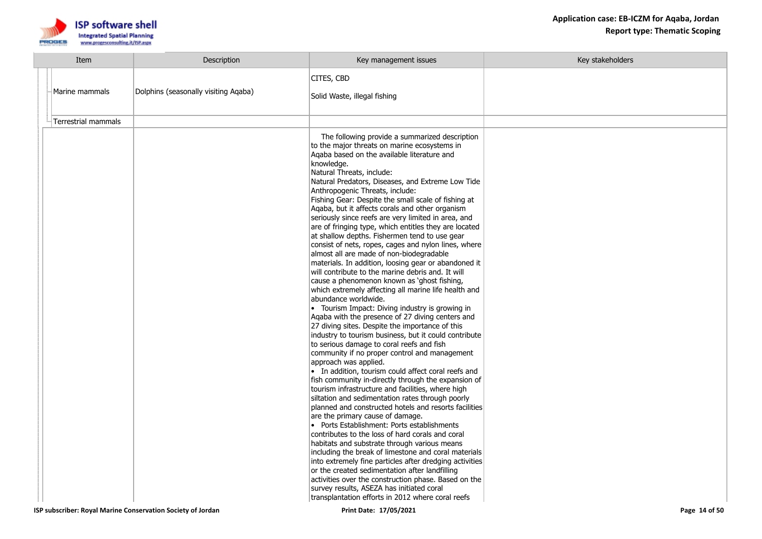

| Item                                                        | Description                          | Key management issues                                                                                                                                                                                                                                                                                                                                                                                                                                                                                                                                                                                                                                                                                                                                                                                                                                                                                                                                                                                                                                                                                                                                                                                                                                                                                                                                                                                                                                                                                                                                                                                                                                                                                                        | Key stakeholders |
|-------------------------------------------------------------|--------------------------------------|------------------------------------------------------------------------------------------------------------------------------------------------------------------------------------------------------------------------------------------------------------------------------------------------------------------------------------------------------------------------------------------------------------------------------------------------------------------------------------------------------------------------------------------------------------------------------------------------------------------------------------------------------------------------------------------------------------------------------------------------------------------------------------------------------------------------------------------------------------------------------------------------------------------------------------------------------------------------------------------------------------------------------------------------------------------------------------------------------------------------------------------------------------------------------------------------------------------------------------------------------------------------------------------------------------------------------------------------------------------------------------------------------------------------------------------------------------------------------------------------------------------------------------------------------------------------------------------------------------------------------------------------------------------------------------------------------------------------------|------------------|
| Marine mammals                                              | Dolphins (seasonally visiting Agaba) | CITES, CBD<br>Solid Waste, illegal fishing                                                                                                                                                                                                                                                                                                                                                                                                                                                                                                                                                                                                                                                                                                                                                                                                                                                                                                                                                                                                                                                                                                                                                                                                                                                                                                                                                                                                                                                                                                                                                                                                                                                                                   |                  |
| Terrestrial mammals                                         |                                      |                                                                                                                                                                                                                                                                                                                                                                                                                                                                                                                                                                                                                                                                                                                                                                                                                                                                                                                                                                                                                                                                                                                                                                                                                                                                                                                                                                                                                                                                                                                                                                                                                                                                                                                              |                  |
|                                                             |                                      | The following provide a summarized description<br>to the major threats on marine ecosystems in<br>Agaba based on the available literature and<br>knowledge.<br>Natural Threats, include:<br>Natural Predators, Diseases, and Extreme Low Tide<br>Anthropogenic Threats, include:<br>Fishing Gear: Despite the small scale of fishing at<br>Aqaba, but it affects corals and other organism<br>seriously since reefs are very limited in area, and<br>are of fringing type, which entitles they are located<br>at shallow depths. Fishermen tend to use gear<br>consist of nets, ropes, cages and nylon lines, where<br>almost all are made of non-biodegradable<br>materials. In addition, loosing gear or abandoned it<br>will contribute to the marine debris and. It will<br>cause a phenomenon known as 'ghost fishing,<br>which extremely affecting all marine life health and<br>abundance worldwide.<br>• Tourism Impact: Diving industry is growing in<br>Aqaba with the presence of 27 diving centers and<br>27 diving sites. Despite the importance of this<br>industry to tourism business, but it could contribute<br>to serious damage to coral reefs and fish<br>community if no proper control and management<br>approach was applied.<br>• In addition, tourism could affect coral reefs and<br>fish community in-directly through the expansion of<br>tourism infrastructure and facilities, where high<br>siltation and sedimentation rates through poorly<br>planned and constructed hotels and resorts facilities<br>are the primary cause of damage.<br>• Ports Establishment: Ports establishments<br>contributes to the loss of hard corals and coral<br>habitats and substrate through various means |                  |
|                                                             |                                      | including the break of limestone and coral materials<br>into extremely fine particles after dredging activities                                                                                                                                                                                                                                                                                                                                                                                                                                                                                                                                                                                                                                                                                                                                                                                                                                                                                                                                                                                                                                                                                                                                                                                                                                                                                                                                                                                                                                                                                                                                                                                                              |                  |
|                                                             |                                      | or the created sedimentation after landfilling                                                                                                                                                                                                                                                                                                                                                                                                                                                                                                                                                                                                                                                                                                                                                                                                                                                                                                                                                                                                                                                                                                                                                                                                                                                                                                                                                                                                                                                                                                                                                                                                                                                                               |                  |
|                                                             |                                      | activities over the construction phase. Based on the                                                                                                                                                                                                                                                                                                                                                                                                                                                                                                                                                                                                                                                                                                                                                                                                                                                                                                                                                                                                                                                                                                                                                                                                                                                                                                                                                                                                                                                                                                                                                                                                                                                                         |                  |
|                                                             |                                      | survey results, ASEZA has initiated coral<br>transplantation efforts in 2012 where coral reefs                                                                                                                                                                                                                                                                                                                                                                                                                                                                                                                                                                                                                                                                                                                                                                                                                                                                                                                                                                                                                                                                                                                                                                                                                                                                                                                                                                                                                                                                                                                                                                                                                               |                  |
| ISP subscriber: Royal Marine Conservation Society of Jordan |                                      | Print Date: 17/05/2021                                                                                                                                                                                                                                                                                                                                                                                                                                                                                                                                                                                                                                                                                                                                                                                                                                                                                                                                                                                                                                                                                                                                                                                                                                                                                                                                                                                                                                                                                                                                                                                                                                                                                                       | Page 14 of 50    |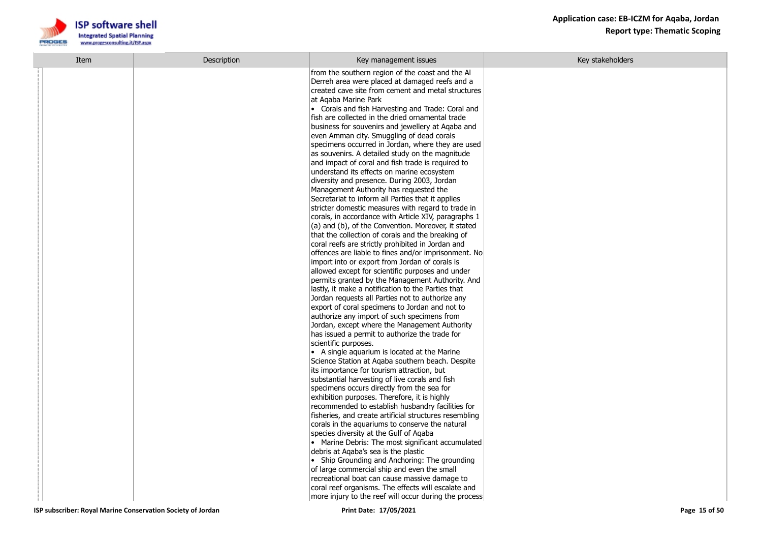

| Item | Description | Key management issues                                                                                      | Key stakeholders |
|------|-------------|------------------------------------------------------------------------------------------------------------|------------------|
|      |             | from the southern region of the coast and the Al                                                           |                  |
|      |             | Derreh area were placed at damaged reefs and a                                                             |                  |
|      |             | created cave site from cement and metal structures                                                         |                  |
|      |             | at Agaba Marine Park                                                                                       |                  |
|      |             | • Corals and fish Harvesting and Trade: Coral and                                                          |                  |
|      |             | fish are collected in the dried ornamental trade<br>business for souvenirs and jewellery at Aqaba and      |                  |
|      |             | even Amman city. Smuggling of dead corals                                                                  |                  |
|      |             | specimens occurred in Jordan, where they are used                                                          |                  |
|      |             | as souvenirs. A detailed study on the magnitude                                                            |                  |
|      |             | and impact of coral and fish trade is required to                                                          |                  |
|      |             | understand its effects on marine ecosystem                                                                 |                  |
|      |             | diversity and presence. During 2003, Jordan                                                                |                  |
|      |             | Management Authority has requested the                                                                     |                  |
|      |             | Secretariat to inform all Parties that it applies                                                          |                  |
|      |             | stricter domestic measures with regard to trade in<br>corals, in accordance with Article XIV, paragraphs 1 |                  |
|      |             | (a) and (b), of the Convention. Moreover, it stated                                                        |                  |
|      |             | that the collection of corals and the breaking of                                                          |                  |
|      |             | coral reefs are strictly prohibited in Jordan and                                                          |                  |
|      |             | offences are liable to fines and/or imprisonment. No                                                       |                  |
|      |             | import into or export from Jordan of corals is                                                             |                  |
|      |             | allowed except for scientific purposes and under                                                           |                  |
|      |             | permits granted by the Management Authority. And                                                           |                  |
|      |             | lastly, it make a notification to the Parties that                                                         |                  |
|      |             | Jordan requests all Parties not to authorize any<br>export of coral specimens to Jordan and not to         |                  |
|      |             | authorize any import of such specimens from                                                                |                  |
|      |             | Jordan, except where the Management Authority                                                              |                  |
|      |             | has issued a permit to authorize the trade for                                                             |                  |
|      |             | scientific purposes.                                                                                       |                  |
|      |             | • A single aquarium is located at the Marine                                                               |                  |
|      |             | Science Station at Aqaba southern beach. Despite                                                           |                  |
|      |             | its importance for tourism attraction, but                                                                 |                  |
|      |             | substantial harvesting of live corals and fish<br>specimens occurs directly from the sea for               |                  |
|      |             | exhibition purposes. Therefore, it is highly                                                               |                  |
|      |             | recommended to establish husbandry facilities for                                                          |                  |
|      |             | fisheries, and create artificial structures resembling                                                     |                  |
|      |             | corals in the aguariums to conserve the natural                                                            |                  |
|      |             | species diversity at the Gulf of Agaba                                                                     |                  |
|      |             | • Marine Debris: The most significant accumulated                                                          |                  |
|      |             | debris at Agaba's sea is the plastic<br>• Ship Grounding and Anchoring: The grounding                      |                  |
|      |             | of large commercial ship and even the small                                                                |                  |
|      |             | recreational boat can cause massive damage to                                                              |                  |
|      |             | coral reef organisms. The effects will escalate and                                                        |                  |
|      |             | more injury to the reef will occur during the process                                                      |                  |
|      |             |                                                                                                            |                  |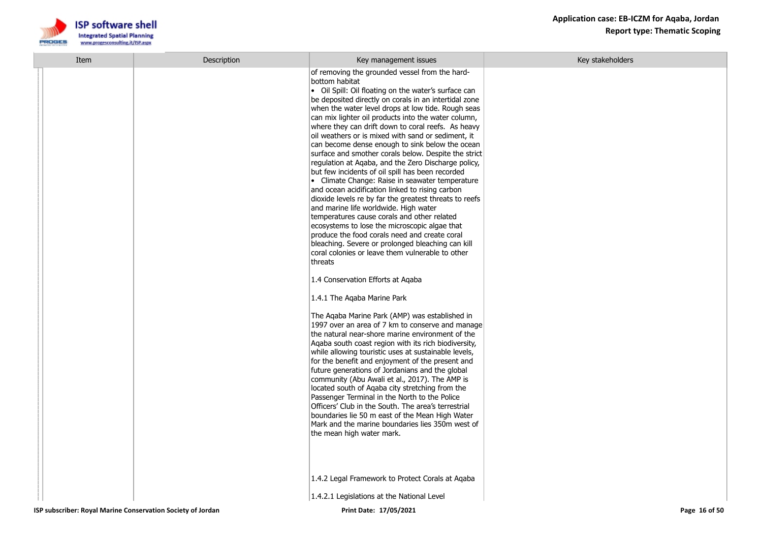

| Item | Description | Key management issues                                                                                                                                                                                                                                                                                                                                                                                                                                                                                                                                                                                                                                                                                                                                                                                                                                                                                                                                                                                                                                                                                          | Key stakeholders |
|------|-------------|----------------------------------------------------------------------------------------------------------------------------------------------------------------------------------------------------------------------------------------------------------------------------------------------------------------------------------------------------------------------------------------------------------------------------------------------------------------------------------------------------------------------------------------------------------------------------------------------------------------------------------------------------------------------------------------------------------------------------------------------------------------------------------------------------------------------------------------------------------------------------------------------------------------------------------------------------------------------------------------------------------------------------------------------------------------------------------------------------------------|------------------|
|      |             | of removing the grounded vessel from the hard-<br>bottom habitat<br>• Oil Spill: Oil floating on the water's surface can<br>be deposited directly on corals in an intertidal zone<br>when the water level drops at low tide. Rough seas<br>can mix lighter oil products into the water column,<br>where they can drift down to coral reefs. As heavy<br>oil weathers or is mixed with sand or sediment, it<br>can become dense enough to sink below the ocean<br>surface and smother corals below. Despite the strict<br>regulation at Aqaba, and the Zero Discharge policy,<br>but few incidents of oil spill has been recorded<br>• Climate Change: Raise in seawater temperature<br>and ocean acidification linked to rising carbon<br>dioxide levels re by far the greatest threats to reefs<br>and marine life worldwide. High water<br>temperatures cause corals and other related<br>ecosystems to lose the microscopic algae that<br>produce the food corals need and create coral<br>bleaching. Severe or prolonged bleaching can kill<br>coral colonies or leave them vulnerable to other<br>threats |                  |
|      |             | 1.4 Conservation Efforts at Aqaba                                                                                                                                                                                                                                                                                                                                                                                                                                                                                                                                                                                                                                                                                                                                                                                                                                                                                                                                                                                                                                                                              |                  |
|      |             | 1.4.1 The Agaba Marine Park                                                                                                                                                                                                                                                                                                                                                                                                                                                                                                                                                                                                                                                                                                                                                                                                                                                                                                                                                                                                                                                                                    |                  |
|      |             | The Aqaba Marine Park (AMP) was established in<br>1997 over an area of 7 km to conserve and manage<br>the natural near-shore marine environment of the<br>Agaba south coast region with its rich biodiversity,<br>while allowing touristic uses at sustainable levels,<br>for the benefit and enjoyment of the present and<br>future generations of Jordanians and the global<br>community (Abu Awali et al., 2017). The AMP is<br>located south of Agaba city stretching from the<br>Passenger Terminal in the North to the Police<br>Officers' Club in the South. The area's terrestrial<br>boundaries lie 50 m east of the Mean High Water<br>Mark and the marine boundaries lies 350m west of<br>the mean high water mark.                                                                                                                                                                                                                                                                                                                                                                                 |                  |
|      |             | 1.4.2 Legal Framework to Protect Corals at Aqaba                                                                                                                                                                                                                                                                                                                                                                                                                                                                                                                                                                                                                                                                                                                                                                                                                                                                                                                                                                                                                                                               |                  |
|      |             | 1.4.2.1 Legislations at the National Level                                                                                                                                                                                                                                                                                                                                                                                                                                                                                                                                                                                                                                                                                                                                                                                                                                                                                                                                                                                                                                                                     |                  |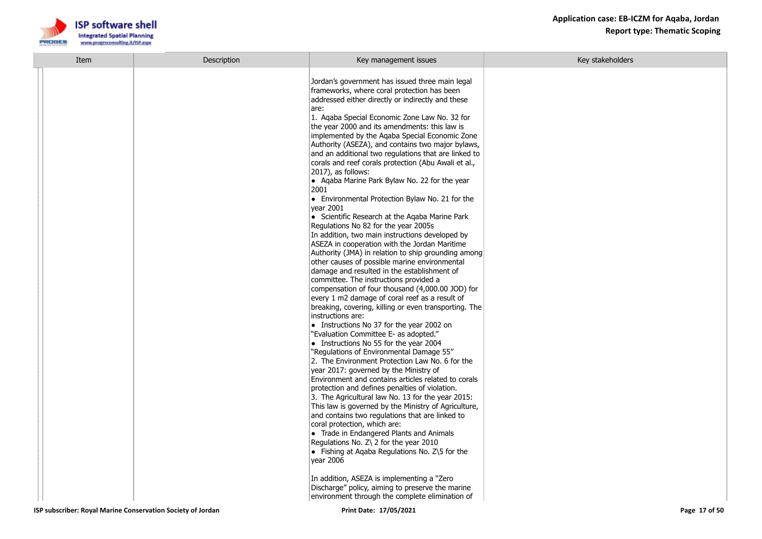| Item | Description | Key management issues                                                                                                                                                                                                                                                                                                                                                                                                                                                                                                                                                                                                                                                                                                                                                                                                                                                                                                                                                                                                                                                                                                                                                                                                                                                                                                                                                                                                                                                                                                                                                                                                                                                                                                                                                                                                                                                                                                                                                                                      | Key stakeholders |
|------|-------------|------------------------------------------------------------------------------------------------------------------------------------------------------------------------------------------------------------------------------------------------------------------------------------------------------------------------------------------------------------------------------------------------------------------------------------------------------------------------------------------------------------------------------------------------------------------------------------------------------------------------------------------------------------------------------------------------------------------------------------------------------------------------------------------------------------------------------------------------------------------------------------------------------------------------------------------------------------------------------------------------------------------------------------------------------------------------------------------------------------------------------------------------------------------------------------------------------------------------------------------------------------------------------------------------------------------------------------------------------------------------------------------------------------------------------------------------------------------------------------------------------------------------------------------------------------------------------------------------------------------------------------------------------------------------------------------------------------------------------------------------------------------------------------------------------------------------------------------------------------------------------------------------------------------------------------------------------------------------------------------------------------|------------------|
|      |             | Jordan's government has issued three main legal<br>frameworks, where coral protection has been<br>addressed either directly or indirectly and these<br>are:<br>1. Agaba Special Economic Zone Law No. 32 for<br>the year 2000 and its amendments: this law is<br>implemented by the Aqaba Special Economic Zone<br>Authority (ASEZA), and contains two major bylaws,<br>and an additional two regulations that are linked to<br>corals and reef corals protection (Abu Awali et al.,<br>$ 2017\rangle$ , as follows:<br>• Agaba Marine Park Bylaw No. 22 for the year<br>2001<br>• Environmental Protection Bylaw No. 21 for the<br>vear 2001<br>$\bullet$ Scientific Research at the Agaba Marine Park<br>Regulations No 82 for the year 2005s<br>In addition, two main instructions developed by<br>ASEZA in cooperation with the Jordan Maritime<br>Authority (JMA) in relation to ship grounding among<br>other causes of possible marine environmental<br>damage and resulted in the establishment of<br>committee. The instructions provided a<br>compensation of four thousand (4,000.00 JOD) for<br>every 1 m2 damage of coral reef as a result of<br>breaking, covering, killing or even transporting. The<br>instructions are:<br>$\bullet$ Instructions No 37 for the year 2002 on<br>"Evaluation Committee E- as adopted."<br>$\bullet$ Instructions No 55 for the year 2004<br>"Regulations of Environmental Damage 55"<br>2. The Environment Protection Law No. 6 for the<br>year 2017: governed by the Ministry of<br>Environment and contains articles related to corals<br>protection and defines penalties of violation.<br>3. The Agricultural law No. 13 for the year 2015:<br>This law is governed by the Ministry of Agriculture,<br>and contains two regulations that are linked to<br>coral protection, which are:<br>$\bullet$ Trade in Endangered Plants and Animals<br>Regulations No. Z\ 2 for the year 2010<br>• Fishing at Agaba Regulations No. $Z\$ 5 for the<br>vear 2006 |                  |
|      |             | In addition, ASEZA is implementing a "Zero"<br>Discharge" policy, aiming to preserve the marine<br>environment through the complete elimination of                                                                                                                                                                                                                                                                                                                                                                                                                                                                                                                                                                                                                                                                                                                                                                                                                                                                                                                                                                                                                                                                                                                                                                                                                                                                                                                                                                                                                                                                                                                                                                                                                                                                                                                                                                                                                                                         |                  |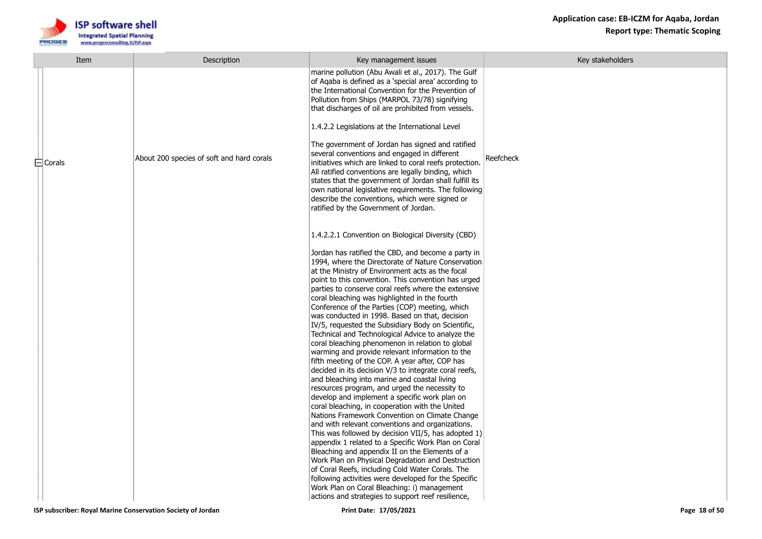

| Item          | Description                               | Key management issues                                                                                                                                                                                                                                                                                                                                                                                                                                                                                                                                                                                                                                                                                                                                                                                                                                                                                                                                                                                                                                                                                                                                                                                                                                                                                                                                                                                                                                                                                                                                                | Key stakeholders |
|---------------|-------------------------------------------|----------------------------------------------------------------------------------------------------------------------------------------------------------------------------------------------------------------------------------------------------------------------------------------------------------------------------------------------------------------------------------------------------------------------------------------------------------------------------------------------------------------------------------------------------------------------------------------------------------------------------------------------------------------------------------------------------------------------------------------------------------------------------------------------------------------------------------------------------------------------------------------------------------------------------------------------------------------------------------------------------------------------------------------------------------------------------------------------------------------------------------------------------------------------------------------------------------------------------------------------------------------------------------------------------------------------------------------------------------------------------------------------------------------------------------------------------------------------------------------------------------------------------------------------------------------------|------------------|
| $\Box$ Corals | About 200 species of soft and hard corals | marine pollution (Abu Awali et al., 2017). The Gulf<br>of Agaba is defined as a 'special area' according to<br>the International Convention for the Prevention of<br>Pollution from Ships (MARPOL 73/78) signifying<br>that discharges of oil are prohibited from vessels.<br>1.4.2.2 Legislations at the International Level<br>The government of Jordan has signed and ratified<br>several conventions and engaged in different<br>initiatives which are linked to coral reefs protection.<br>All ratified conventions are legally binding, which<br>states that the government of Jordan shall fulfill its<br>own national legislative requirements. The following<br>describe the conventions, which were signed or<br>ratified by the Government of Jordan.                                                                                                                                                                                                                                                                                                                                                                                                                                                                                                                                                                                                                                                                                                                                                                                                     | Reefcheck        |
|               |                                           | 1.4.2.2.1 Convention on Biological Diversity (CBD)<br>Jordan has ratified the CBD, and become a party in<br>1994, where the Directorate of Nature Conservation<br>at the Ministry of Environment acts as the focal<br>point to this convention. This convention has urged<br>parties to conserve coral reefs where the extensive<br>coral bleaching was highlighted in the fourth<br>Conference of the Parties (COP) meeting, which<br>was conducted in 1998. Based on that, decision<br>IV/5, requested the Subsidiary Body on Scientific,<br>Technical and Technological Advice to analyze the<br>coral bleaching phenomenon in relation to global<br>warming and provide relevant information to the<br>fifth meeting of the COP. A year after, COP has<br>decided in its decision V/3 to integrate coral reefs,<br>and bleaching into marine and coastal living<br>resources program, and urged the necessity to<br>develop and implement a specific work plan on<br>coral bleaching, in cooperation with the United<br>Nations Framework Convention on Climate Change<br>and with relevant conventions and organizations.<br>This was followed by decision VII/5, has adopted 1)<br>appendix 1 related to a Specific Work Plan on Coral<br>Bleaching and appendix II on the Elements of a<br>Work Plan on Physical Degradation and Destruction<br>of Coral Reefs, including Cold Water Corals. The<br>following activities were developed for the Specific<br>Work Plan on Coral Bleaching: i) management<br>actions and strategies to support reef resilience, |                  |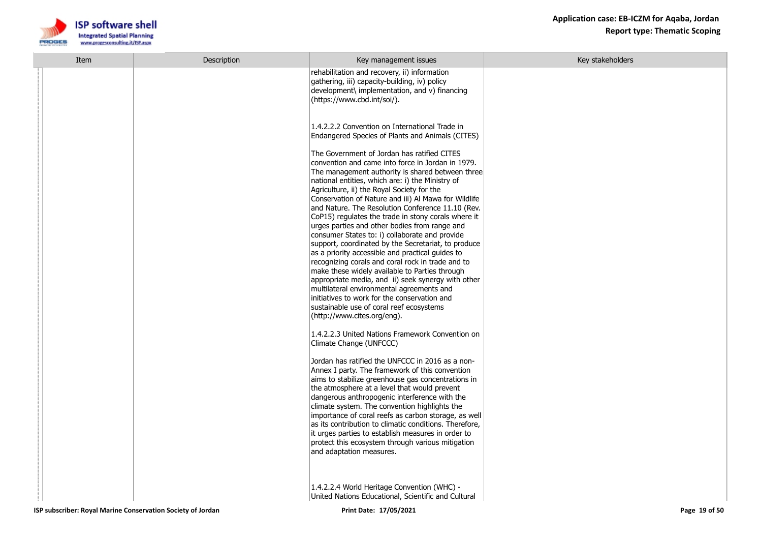

| Item | Description | Key management issues                                                                                                                                                                                                                                                                                                                                                                                                                                                                                                                                                                                                                                                                                                                                                                                                                                                                                                                          | Key stakeholders |
|------|-------------|------------------------------------------------------------------------------------------------------------------------------------------------------------------------------------------------------------------------------------------------------------------------------------------------------------------------------------------------------------------------------------------------------------------------------------------------------------------------------------------------------------------------------------------------------------------------------------------------------------------------------------------------------------------------------------------------------------------------------------------------------------------------------------------------------------------------------------------------------------------------------------------------------------------------------------------------|------------------|
|      |             | rehabilitation and recovery, ii) information<br>gathering, iii) capacity-building, iv) policy<br>development\ implementation, and v) financing<br>(https://www.cbd.int/soi/).                                                                                                                                                                                                                                                                                                                                                                                                                                                                                                                                                                                                                                                                                                                                                                  |                  |
|      |             | 1.4.2.2.2 Convention on International Trade in<br>Endangered Species of Plants and Animals (CITES)                                                                                                                                                                                                                                                                                                                                                                                                                                                                                                                                                                                                                                                                                                                                                                                                                                             |                  |
|      |             | The Government of Jordan has ratified CITES<br>convention and came into force in Jordan in 1979.<br>The management authority is shared between three<br>national entities, which are: i) the Ministry of<br>Agriculture, ii) the Royal Society for the<br>Conservation of Nature and iii) Al Mawa for Wildlife<br>and Nature. The Resolution Conference 11.10 (Rev.<br>CoP15) regulates the trade in stony corals where it<br>urges parties and other bodies from range and<br>consumer States to: i) collaborate and provide<br>support, coordinated by the Secretariat, to produce<br>as a priority accessible and practical guides to<br>recognizing corals and coral rock in trade and to<br>make these widely available to Parties through<br>appropriate media, and ii) seek synergy with other<br>multilateral environmental agreements and<br>initiatives to work for the conservation and<br>sustainable use of coral reef ecosystems |                  |
|      |             | (http://www.cites.org/eng).<br>1.4.2.2.3 United Nations Framework Convention on<br>Climate Change (UNFCCC)                                                                                                                                                                                                                                                                                                                                                                                                                                                                                                                                                                                                                                                                                                                                                                                                                                     |                  |
|      |             | Jordan has ratified the UNFCCC in 2016 as a non-<br>Annex I party. The framework of this convention<br>aims to stabilize greenhouse gas concentrations in<br>the atmosphere at a level that would prevent<br>dangerous anthropogenic interference with the<br>climate system. The convention highlights the<br>importance of coral reefs as carbon storage, as well<br>as its contribution to climatic conditions. Therefore,<br>it urges parties to establish measures in order to<br>protect this ecosystem through various mitigation<br>and adaptation measures.                                                                                                                                                                                                                                                                                                                                                                           |                  |
|      |             | 1.4.2.2.4 World Heritage Convention (WHC) -<br>United Nations Educational, Scientific and Cultural                                                                                                                                                                                                                                                                                                                                                                                                                                                                                                                                                                                                                                                                                                                                                                                                                                             |                  |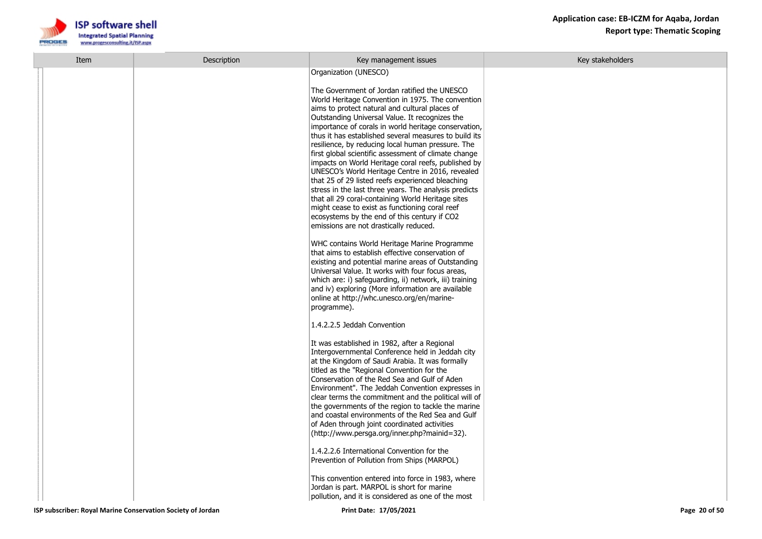

| Item                                                        | Description | Key management issues                                                                                                                                                                                                                                                                                                                                                                                                                                                                                                                                                                                                                                                                                                                                                                                              | Key stakeholders |
|-------------------------------------------------------------|-------------|--------------------------------------------------------------------------------------------------------------------------------------------------------------------------------------------------------------------------------------------------------------------------------------------------------------------------------------------------------------------------------------------------------------------------------------------------------------------------------------------------------------------------------------------------------------------------------------------------------------------------------------------------------------------------------------------------------------------------------------------------------------------------------------------------------------------|------------------|
|                                                             |             | Organization (UNESCO)                                                                                                                                                                                                                                                                                                                                                                                                                                                                                                                                                                                                                                                                                                                                                                                              |                  |
|                                                             |             | The Government of Jordan ratified the UNESCO<br>World Heritage Convention in 1975. The convention<br>aims to protect natural and cultural places of<br>Outstanding Universal Value. It recognizes the<br>importance of corals in world heritage conservation,<br>thus it has established several measures to build its<br>resilience, by reducing local human pressure. The<br>first global scientific assessment of climate change<br>impacts on World Heritage coral reefs, published by<br>UNESCO's World Heritage Centre in 2016, revealed<br>that 25 of 29 listed reefs experienced bleaching<br>stress in the last three years. The analysis predicts<br>that all 29 coral-containing World Heritage sites<br>might cease to exist as functioning coral reef<br>ecosystems by the end of this century if CO2 |                  |
|                                                             |             | emissions are not drastically reduced.                                                                                                                                                                                                                                                                                                                                                                                                                                                                                                                                                                                                                                                                                                                                                                             |                  |
|                                                             |             | WHC contains World Heritage Marine Programme<br>that aims to establish effective conservation of<br>existing and potential marine areas of Outstanding<br>Universal Value. It works with four focus areas,<br>which are: i) safeguarding, ii) network, iii) training<br>and iv) exploring (More information are available<br>online at http://whc.unesco.org/en/marine-<br>programme).                                                                                                                                                                                                                                                                                                                                                                                                                             |                  |
|                                                             |             | 1.4.2.2.5 Jeddah Convention                                                                                                                                                                                                                                                                                                                                                                                                                                                                                                                                                                                                                                                                                                                                                                                        |                  |
|                                                             |             | It was established in 1982, after a Regional<br>Intergovernmental Conference held in Jeddah city<br>at the Kingdom of Saudi Arabia. It was formally<br>titled as the "Regional Convention for the<br>Conservation of the Red Sea and Gulf of Aden<br>Environment". The Jeddah Convention expresses in<br>clear terms the commitment and the political will of<br>the governments of the region to tackle the marine<br>and coastal environments of the Red Sea and Gulf<br>of Aden through joint coordinated activities<br>(http://www.persga.org/inner.php?mainid=32).                                                                                                                                                                                                                                            |                  |
|                                                             |             | 1.4.2.2.6 International Convention for the<br>Prevention of Pollution from Ships (MARPOL)                                                                                                                                                                                                                                                                                                                                                                                                                                                                                                                                                                                                                                                                                                                          |                  |
|                                                             |             | This convention entered into force in 1983, where<br>Jordan is part. MARPOL is short for marine<br>pollution, and it is considered as one of the most                                                                                                                                                                                                                                                                                                                                                                                                                                                                                                                                                                                                                                                              |                  |
| ISP subscriber: Royal Marine Conservation Society of Jordan |             | Print Date: 17/05/2021                                                                                                                                                                                                                                                                                                                                                                                                                                                                                                                                                                                                                                                                                                                                                                                             | Page 20 of 50    |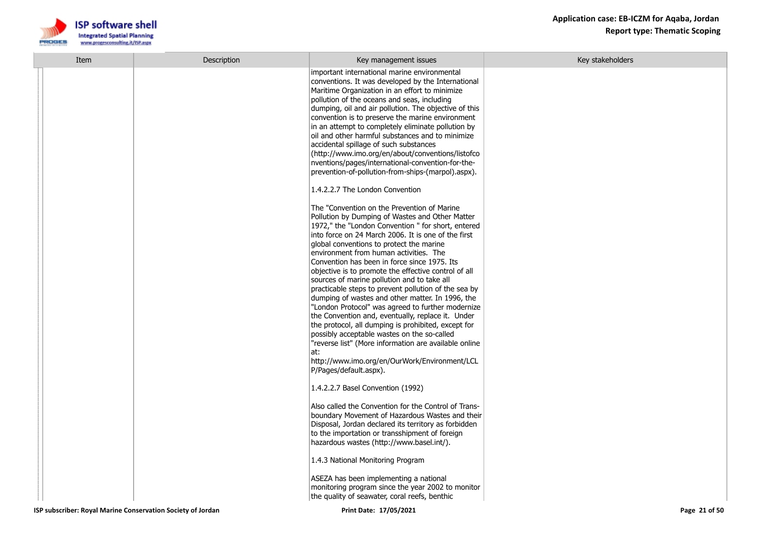

| Item | Description | Key management issues                                                                                                                                                                                                                                                                                                                                                                                                                                                                                                                                                                                                                                                                                                                                                                                                                                                                                                                                                                                                                                                                                                                                                                                                                                                                                                                                                                                                                                                                                                                                                                                      | Key stakeholders |
|------|-------------|------------------------------------------------------------------------------------------------------------------------------------------------------------------------------------------------------------------------------------------------------------------------------------------------------------------------------------------------------------------------------------------------------------------------------------------------------------------------------------------------------------------------------------------------------------------------------------------------------------------------------------------------------------------------------------------------------------------------------------------------------------------------------------------------------------------------------------------------------------------------------------------------------------------------------------------------------------------------------------------------------------------------------------------------------------------------------------------------------------------------------------------------------------------------------------------------------------------------------------------------------------------------------------------------------------------------------------------------------------------------------------------------------------------------------------------------------------------------------------------------------------------------------------------------------------------------------------------------------------|------------------|
|      |             | important international marine environmental<br>conventions. It was developed by the International<br>Maritime Organization in an effort to minimize<br>pollution of the oceans and seas, including<br>dumping, oil and air pollution. The objective of this<br>convention is to preserve the marine environment<br>in an attempt to completely eliminate pollution by<br>oil and other harmful substances and to minimize<br>accidental spillage of such substances<br>(http://www.imo.org/en/about/conventions/listofco<br>nventions/pages/international-convention-for-the-<br>prevention-of-pollution-from-ships-(marpol).aspx).<br>1.4.2.2.7 The London Convention<br>The "Convention on the Prevention of Marine<br>Pollution by Dumping of Wastes and Other Matter<br>1972," the "London Convention " for short, entered<br>into force on 24 March 2006. It is one of the first<br>global conventions to protect the marine<br>environment from human activities. The<br>Convention has been in force since 1975. Its<br>objective is to promote the effective control of all<br>sources of marine pollution and to take all<br>practicable steps to prevent pollution of the sea by<br>dumping of wastes and other matter. In 1996, the<br>"London Protocol" was agreed to further modernize<br>the Convention and, eventually, replace it. Under<br>the protocol, all dumping is prohibited, except for<br>possibly acceptable wastes on the so-called<br>"reverse list" (More information are available online<br>at:<br>http://www.imo.org/en/OurWork/Environment/LCL<br>P/Pages/default.aspx). |                  |
|      |             | 1.4.2.2.7 Basel Convention (1992)                                                                                                                                                                                                                                                                                                                                                                                                                                                                                                                                                                                                                                                                                                                                                                                                                                                                                                                                                                                                                                                                                                                                                                                                                                                                                                                                                                                                                                                                                                                                                                          |                  |
|      |             | Also called the Convention for the Control of Trans-<br>boundary Movement of Hazardous Wastes and their<br>Disposal, Jordan declared its territory as forbidden<br>to the importation or transshipment of foreign<br>hazardous wastes (http://www.basel.int/).                                                                                                                                                                                                                                                                                                                                                                                                                                                                                                                                                                                                                                                                                                                                                                                                                                                                                                                                                                                                                                                                                                                                                                                                                                                                                                                                             |                  |
|      |             | 1.4.3 National Monitoring Program                                                                                                                                                                                                                                                                                                                                                                                                                                                                                                                                                                                                                                                                                                                                                                                                                                                                                                                                                                                                                                                                                                                                                                                                                                                                                                                                                                                                                                                                                                                                                                          |                  |
|      |             | ASEZA has been implementing a national<br>monitoring program since the year 2002 to monitor<br>the quality of seawater, coral reefs, benthic                                                                                                                                                                                                                                                                                                                                                                                                                                                                                                                                                                                                                                                                                                                                                                                                                                                                                                                                                                                                                                                                                                                                                                                                                                                                                                                                                                                                                                                               |                  |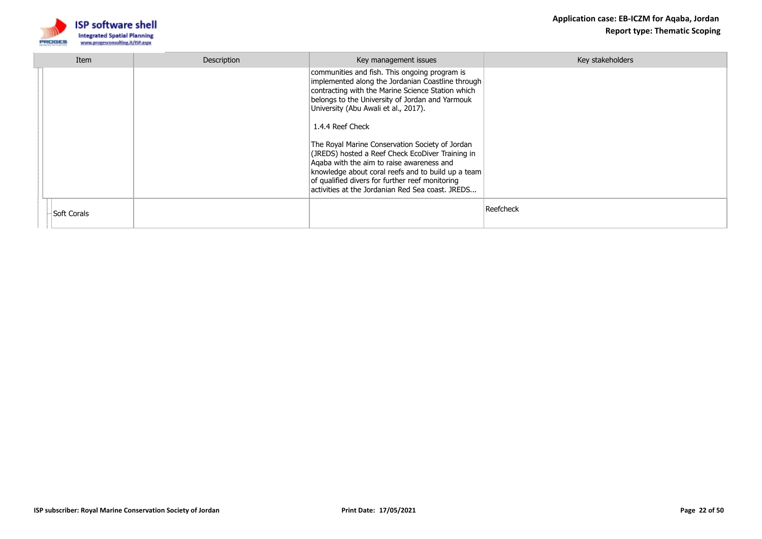

| Item        | Description | Key management issues                                                                                                                                                                                                                                                                                                                                                                                                                                                                                                                                                                   | Key stakeholders |
|-------------|-------------|-----------------------------------------------------------------------------------------------------------------------------------------------------------------------------------------------------------------------------------------------------------------------------------------------------------------------------------------------------------------------------------------------------------------------------------------------------------------------------------------------------------------------------------------------------------------------------------------|------------------|
|             |             | communities and fish. This ongoing program is<br>implemented along the Jordanian Coastline through<br>contracting with the Marine Science Station which<br>belongs to the University of Jordan and Yarmouk<br>University (Abu Awali et al., 2017).<br>1.4.4 Reef Check<br>The Royal Marine Conservation Society of Jordan<br>(JREDS) hosted a Reef Check EcoDiver Training in<br>Agaba with the aim to raise awareness and<br>knowledge about coral reefs and to build up a team<br>of qualified divers for further reef monitoring<br>activities at the Jordanian Red Sea coast, JREDS |                  |
| Soft Corals |             |                                                                                                                                                                                                                                                                                                                                                                                                                                                                                                                                                                                         | Reefcheck        |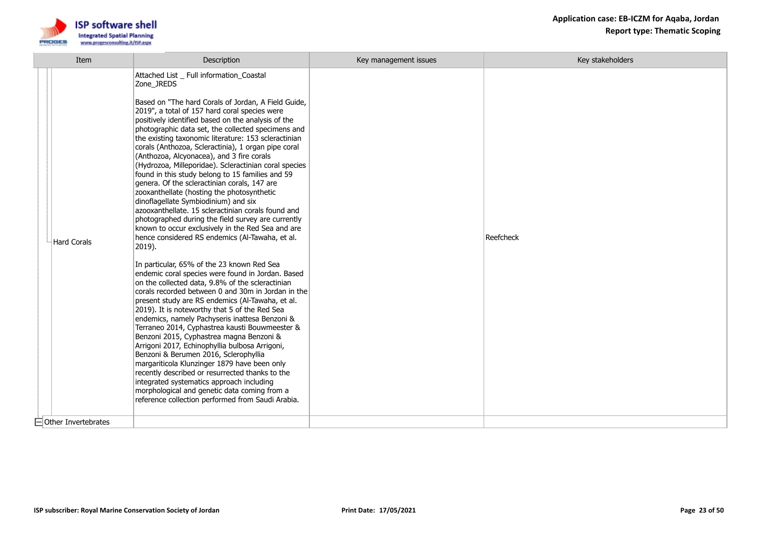



| Item                       | Description                                                                                                                                                                                                                                                                                                                                                                                                                                                                                                                                                                                                                                                                                                                                                                                                                                                                                                                                                                                                                                                                                                                                                                                                                                                                                                                                                                                                                                                                                                                                                                                                                                                                                                                                   | Key management issues | Key stakeholders |
|----------------------------|-----------------------------------------------------------------------------------------------------------------------------------------------------------------------------------------------------------------------------------------------------------------------------------------------------------------------------------------------------------------------------------------------------------------------------------------------------------------------------------------------------------------------------------------------------------------------------------------------------------------------------------------------------------------------------------------------------------------------------------------------------------------------------------------------------------------------------------------------------------------------------------------------------------------------------------------------------------------------------------------------------------------------------------------------------------------------------------------------------------------------------------------------------------------------------------------------------------------------------------------------------------------------------------------------------------------------------------------------------------------------------------------------------------------------------------------------------------------------------------------------------------------------------------------------------------------------------------------------------------------------------------------------------------------------------------------------------------------------------------------------|-----------------------|------------------|
| Hard Corals                | Attached List _ Full information_Coastal<br>Zone_JREDS<br>Based on "The hard Corals of Jordan, A Field Guide,<br>2019", a total of 157 hard coral species were<br>positively identified based on the analysis of the<br>photographic data set, the collected specimens and<br>the existing taxonomic literature: 153 scleractinian<br>corals (Anthozoa, Scleractinia), 1 organ pipe coral<br>(Anthozoa, Alcyonacea), and 3 fire corals<br>(Hydrozoa, Milleporidae). Scleractinian coral species<br>found in this study belong to 15 families and 59<br>genera. Of the scleractinian corals, 147 are<br>zooxanthellate (hosting the photosynthetic<br>dinoflagellate Symbiodinium) and six<br>azooxanthellate. 15 scleractinian corals found and<br>photographed during the field survey are currently<br>known to occur exclusively in the Red Sea and are<br>hence considered RS endemics (Al-Tawaha, et al.<br>$ 2019$ ).<br>In particular, 65% of the 23 known Red Sea<br>endemic coral species were found in Jordan. Based<br>on the collected data, 9.8% of the scleractinian<br>corals recorded between 0 and 30m in Jordan in the<br>present study are RS endemics (Al-Tawaha, et al.<br>2019). It is noteworthy that 5 of the Red Sea<br>endemics, namely Pachyseris inattesa Benzoni &<br>Terraneo 2014, Cyphastrea kausti Bouwmeester &<br>Benzoni 2015, Cyphastrea magna Benzoni &<br>Arrigoni 2017, Echinophyllia bulbosa Arrigoni,<br>Benzoni & Berumen 2016, Sclerophyllia<br>margariticola Klunzinger 1879 have been only<br>recently described or resurrected thanks to the<br>integrated systematics approach including<br>morphological and genetic data coming from a<br>reference collection performed from Saudi Arabia. |                       | Reefcheck        |
| $\Box$ Other Invertebrates |                                                                                                                                                                                                                                                                                                                                                                                                                                                                                                                                                                                                                                                                                                                                                                                                                                                                                                                                                                                                                                                                                                                                                                                                                                                                                                                                                                                                                                                                                                                                                                                                                                                                                                                                               |                       |                  |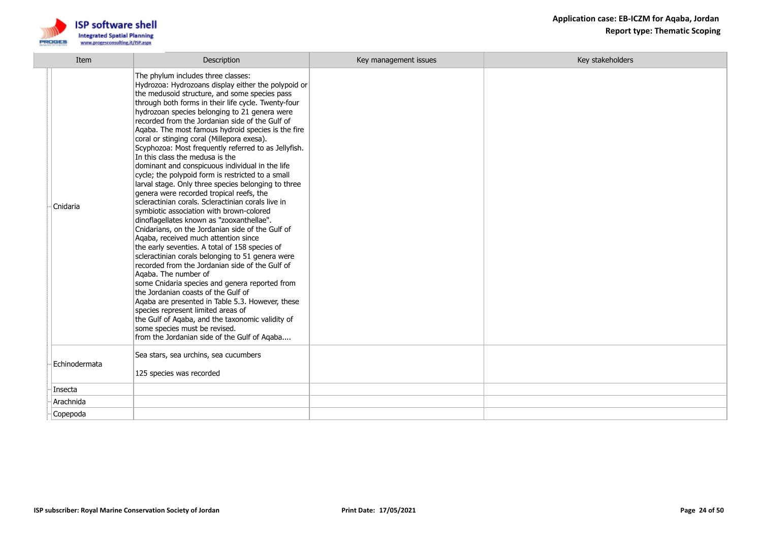

| Item          | Description                                                                                                                                                                                                                                                                                                                                                                                                                                                                                                                                                                                                                                                                                                                                                                                                                                                                                                                                                                                                                                                                                                                                                                                                                                                                                                                                                                                                                                                         | Key management issues | Key stakeholders |
|---------------|---------------------------------------------------------------------------------------------------------------------------------------------------------------------------------------------------------------------------------------------------------------------------------------------------------------------------------------------------------------------------------------------------------------------------------------------------------------------------------------------------------------------------------------------------------------------------------------------------------------------------------------------------------------------------------------------------------------------------------------------------------------------------------------------------------------------------------------------------------------------------------------------------------------------------------------------------------------------------------------------------------------------------------------------------------------------------------------------------------------------------------------------------------------------------------------------------------------------------------------------------------------------------------------------------------------------------------------------------------------------------------------------------------------------------------------------------------------------|-----------------------|------------------|
| Cnidaria      | The phylum includes three classes:<br>Hydrozoa: Hydrozoans display either the polypoid or<br>the medusoid structure, and some species pass<br>through both forms in their life cycle. Twenty-four<br>hydrozoan species belonging to 21 genera were<br>recorded from the Jordanian side of the Gulf of<br>Agaba. The most famous hydroid species is the fire<br>coral or stinging coral (Millepora exesa).<br>Scyphozoa: Most frequently referred to as Jellyfish.<br>In this class the medusa is the<br>dominant and conspicuous individual in the life<br>cycle; the polypoid form is restricted to a small<br>larval stage. Only three species belonging to three<br>genera were recorded tropical reefs, the<br>scleractinian corals. Scleractinian corals live in<br>symbiotic association with brown-colored<br>dinoflagellates known as "zooxanthellae".<br>Cnidarians, on the Jordanian side of the Gulf of<br>Agaba, received much attention since<br>the early seventies. A total of 158 species of<br>scleractinian corals belonging to 51 genera were<br>recorded from the Jordanian side of the Gulf of<br>Agaba. The number of<br>some Cnidaria species and genera reported from<br>the Jordanian coasts of the Gulf of<br>Agaba are presented in Table 5.3. However, these<br>species represent limited areas of<br>the Gulf of Aqaba, and the taxonomic validity of<br>some species must be revised.<br>from the Jordanian side of the Gulf of Aqaba |                       |                  |
| Echinodermata | Sea stars, sea urchins, sea cucumbers<br>125 species was recorded                                                                                                                                                                                                                                                                                                                                                                                                                                                                                                                                                                                                                                                                                                                                                                                                                                                                                                                                                                                                                                                                                                                                                                                                                                                                                                                                                                                                   |                       |                  |
| Insecta       |                                                                                                                                                                                                                                                                                                                                                                                                                                                                                                                                                                                                                                                                                                                                                                                                                                                                                                                                                                                                                                                                                                                                                                                                                                                                                                                                                                                                                                                                     |                       |                  |
| Arachnida     |                                                                                                                                                                                                                                                                                                                                                                                                                                                                                                                                                                                                                                                                                                                                                                                                                                                                                                                                                                                                                                                                                                                                                                                                                                                                                                                                                                                                                                                                     |                       |                  |
| Copepoda      |                                                                                                                                                                                                                                                                                                                                                                                                                                                                                                                                                                                                                                                                                                                                                                                                                                                                                                                                                                                                                                                                                                                                                                                                                                                                                                                                                                                                                                                                     |                       |                  |
|               |                                                                                                                                                                                                                                                                                                                                                                                                                                                                                                                                                                                                                                                                                                                                                                                                                                                                                                                                                                                                                                                                                                                                                                                                                                                                                                                                                                                                                                                                     |                       |                  |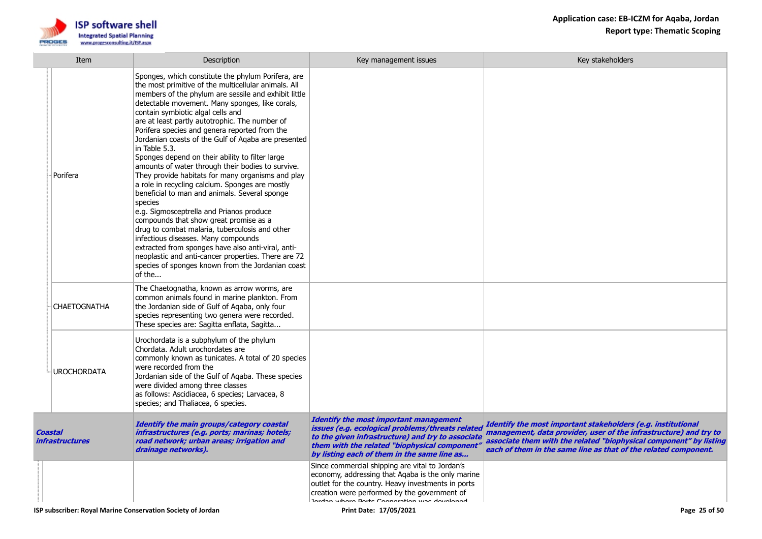

| Item                              | Description                                                                                                                                                                                                                                                                                                                                                                                                                                                                                                                                                                                                                                                                                                                                                                                                                                                                                                                                                                                                                                                                  | Key management issues                                                                                                                                                                                                                                     | Key stakeholders                                                                                                                                                                                                                                                           |
|-----------------------------------|------------------------------------------------------------------------------------------------------------------------------------------------------------------------------------------------------------------------------------------------------------------------------------------------------------------------------------------------------------------------------------------------------------------------------------------------------------------------------------------------------------------------------------------------------------------------------------------------------------------------------------------------------------------------------------------------------------------------------------------------------------------------------------------------------------------------------------------------------------------------------------------------------------------------------------------------------------------------------------------------------------------------------------------------------------------------------|-----------------------------------------------------------------------------------------------------------------------------------------------------------------------------------------------------------------------------------------------------------|----------------------------------------------------------------------------------------------------------------------------------------------------------------------------------------------------------------------------------------------------------------------------|
| Porifera                          | Sponges, which constitute the phylum Porifera, are<br>the most primitive of the multicellular animals. All<br>members of the phylum are sessile and exhibit little<br>detectable movement. Many sponges, like corals,<br>contain symbiotic algal cells and<br>are at least partly autotrophic. The number of<br>Porifera species and genera reported from the<br>Jordanian coasts of the Gulf of Agaba are presented<br>in Table 5.3.<br>Sponges depend on their ability to filter large<br>amounts of water through their bodies to survive.<br>They provide habitats for many organisms and play<br>a role in recycling calcium. Sponges are mostly<br>beneficial to man and animals. Several sponge<br>species<br>e.g. Sigmosceptrella and Prianos produce<br>compounds that show great promise as a<br>drug to combat malaria, tuberculosis and other<br>infectious diseases. Many compounds<br>extracted from sponges have also anti-viral, anti-<br>neoplastic and anti-cancer properties. There are 72<br>species of sponges known from the Jordanian coast<br>of the |                                                                                                                                                                                                                                                           |                                                                                                                                                                                                                                                                            |
| <b>CHAETOGNATHA</b>               | The Chaetognatha, known as arrow worms, are<br>common animals found in marine plankton. From<br>the Jordanian side of Gulf of Agaba, only four<br>species representing two genera were recorded.<br>These species are: Sagitta enflata, Sagitta                                                                                                                                                                                                                                                                                                                                                                                                                                                                                                                                                                                                                                                                                                                                                                                                                              |                                                                                                                                                                                                                                                           |                                                                                                                                                                                                                                                                            |
| <b>UROCHORDATA</b>                | Urochordata is a subphylum of the phylum<br>Chordata. Adult urochordates are<br>commonly known as tunicates. A total of 20 species<br>were recorded from the<br>Jordanian side of the Gulf of Aqaba. These species<br>were divided among three classes<br>as follows: Ascidiacea, 6 species; Larvacea, 8<br>species; and Thaliacea, 6 species.                                                                                                                                                                                                                                                                                                                                                                                                                                                                                                                                                                                                                                                                                                                               |                                                                                                                                                                                                                                                           |                                                                                                                                                                                                                                                                            |
| Coastal<br><i>infrastructures</i> | Identify the main groups/category coastal<br>infrastructures (e.g. ports; marinas; hotels;<br>road network; urban areas; irrigation and<br>drainage networks).                                                                                                                                                                                                                                                                                                                                                                                                                                                                                                                                                                                                                                                                                                                                                                                                                                                                                                               | <b>Identify the most important management</b><br>issues (e.g. ecological problems/threats related<br>to the given infrastructure) and try to associate<br>them with the related "biophysical component"<br>by listing each of them in the same line as    | Identify the most important stakeholders (e.g. institutional<br>management, data provider, user of the infrastructure) and try to<br>associate them with the related "biophysical component" by listing<br>each of them in the same line as that of the related component. |
|                                   |                                                                                                                                                                                                                                                                                                                                                                                                                                                                                                                                                                                                                                                                                                                                                                                                                                                                                                                                                                                                                                                                              | Since commercial shipping are vital to Jordan's<br>economy, addressing that Agaba is the only marine<br>outlet for the country. Heavy investments in ports<br>creation were performed by the government of<br>Inrdan where Dorte Connection was developed |                                                                                                                                                                                                                                                                            |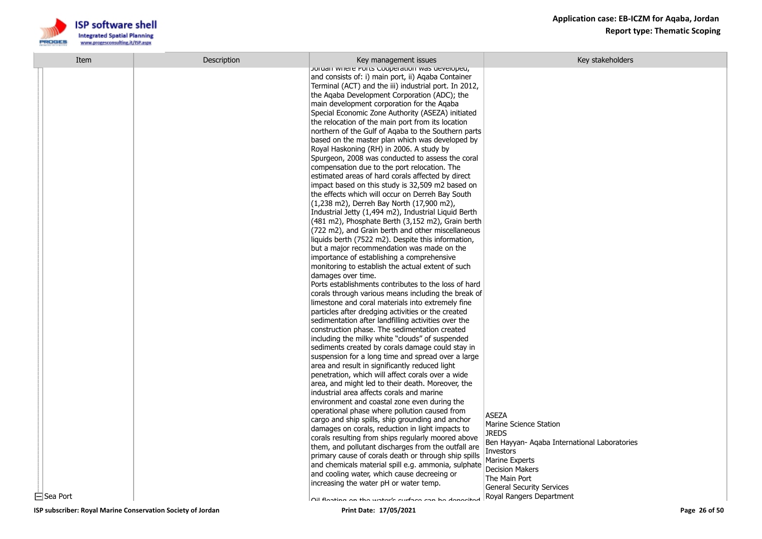

| Item            | Description | Key management issues                                                                                     | Key stakeholders                             |
|-----------------|-------------|-----------------------------------------------------------------------------------------------------------|----------------------------------------------|
|                 |             | Joruan where Ports Cooperation was developed,<br>and consists of: i) main port, ii) Agaba Container       |                                              |
|                 |             | Terminal (ACT) and the iii) industrial port. In 2012,                                                     |                                              |
|                 |             | the Agaba Development Corporation (ADC); the                                                              |                                              |
|                 |             | main development corporation for the Agaba                                                                |                                              |
|                 |             | Special Economic Zone Authority (ASEZA) initiated                                                         |                                              |
|                 |             | the relocation of the main port from its location                                                         |                                              |
|                 |             | northern of the Gulf of Agaba to the Southern parts                                                       |                                              |
|                 |             | based on the master plan which was developed by                                                           |                                              |
|                 |             | Royal Haskoning (RH) in 2006. A study by                                                                  |                                              |
|                 |             | Spurgeon, 2008 was conducted to assess the coral                                                          |                                              |
|                 |             | compensation due to the port relocation. The                                                              |                                              |
|                 |             | estimated areas of hard corals affected by direct                                                         |                                              |
|                 |             | impact based on this study is 32,509 m2 based on                                                          |                                              |
|                 |             | the effects which will occur on Derreh Bay South                                                          |                                              |
|                 |             | (1,238 m2), Derreh Bay North (17,900 m2),                                                                 |                                              |
|                 |             | Industrial Jetty (1,494 m2), Industrial Liquid Berth                                                      |                                              |
|                 |             | (481 m2), Phosphate Berth (3,152 m2), Grain berth                                                         |                                              |
|                 |             | (722 m2), and Grain berth and other miscellaneous                                                         |                                              |
|                 |             | liquids berth (7522 m2). Despite this information,                                                        |                                              |
|                 |             | but a major recommendation was made on the                                                                |                                              |
|                 |             | importance of establishing a comprehensive<br>monitoring to establish the actual extent of such           |                                              |
|                 |             | damages over time.                                                                                        |                                              |
|                 |             | Ports establishments contributes to the loss of hard                                                      |                                              |
|                 |             | corals through various means including the break of                                                       |                                              |
|                 |             | limestone and coral materials into extremely fine                                                         |                                              |
|                 |             | particles after dredging activities or the created                                                        |                                              |
|                 |             | sedimentation after landfilling activities over the                                                       |                                              |
|                 |             | construction phase. The sedimentation created                                                             |                                              |
|                 |             | including the milky white "clouds" of suspended                                                           |                                              |
|                 |             | sediments created by corals damage could stay in                                                          |                                              |
|                 |             | suspension for a long time and spread over a large                                                        |                                              |
|                 |             | area and result in significantly reduced light                                                            |                                              |
|                 |             | penetration, which will affect corals over a wide                                                         |                                              |
|                 |             | area, and might led to their death. Moreover, the                                                         |                                              |
|                 |             | industrial area affects corals and marine                                                                 |                                              |
|                 |             | environment and coastal zone even during the                                                              |                                              |
|                 |             | operational phase where pollution caused from                                                             | ASEZA                                        |
|                 |             | cargo and ship spills, ship grounding and anchor                                                          | Marine Science Station                       |
|                 |             | damages on corals, reduction in light impacts to                                                          | <b>JREDS</b>                                 |
|                 |             | corals resulting from ships regularly moored above<br>them, and pollutant discharges from the outfall are | Ben Hayyan- Agaba International Laboratories |
|                 |             | primary cause of corals death or through ship spills                                                      | Investors                                    |
|                 |             | and chemicals material spill e.g. ammonia, sulphate                                                       | <b>Marine Experts</b>                        |
|                 |             | and cooling water, which cause decreeing or                                                               | <b>Decision Makers</b>                       |
|                 |             | increasing the water pH or water temp.                                                                    | The Main Port                                |
|                 |             |                                                                                                           | <b>General Security Services</b>             |
| $\Box$ Sea Port |             | Nil flanting an the water's surface can be denosited                                                      | Royal Rangers Department                     |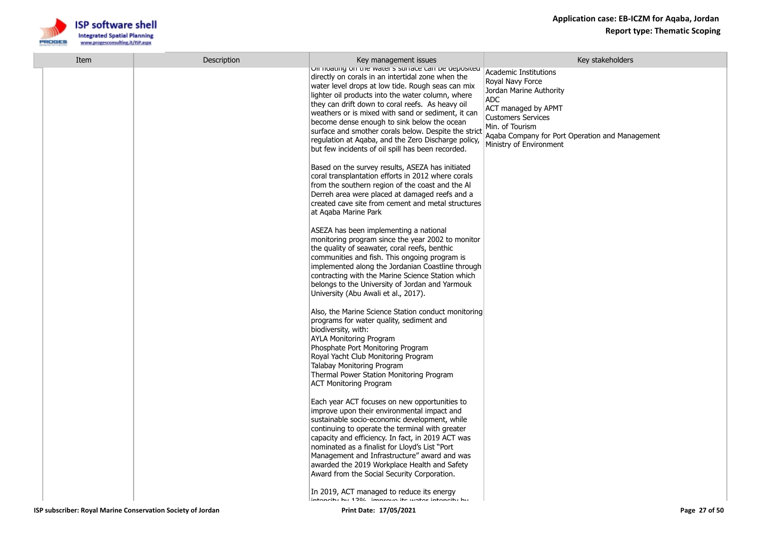

| Item | Description | Key management issues                                                                                                                                                                                                                                                                                                                                                                                                                                                                                                                           | Key stakeholders                                                                                                                                                                                                                               |
|------|-------------|-------------------------------------------------------------------------------------------------------------------------------------------------------------------------------------------------------------------------------------------------------------------------------------------------------------------------------------------------------------------------------------------------------------------------------------------------------------------------------------------------------------------------------------------------|------------------------------------------------------------------------------------------------------------------------------------------------------------------------------------------------------------------------------------------------|
|      |             | Oir noadrig on the water's surrace can be deposited<br>directly on corals in an intertidal zone when the<br>water level drops at low tide. Rough seas can mix<br>lighter oil products into the water column, where<br>they can drift down to coral reefs. As heavy oil<br>weathers or is mixed with sand or sediment, it can<br>become dense enough to sink below the ocean<br>surface and smother corals below. Despite the strict<br>regulation at Aqaba, and the Zero Discharge policy,<br>but few incidents of oil spill has been recorded. | <b>Academic Institutions</b><br>Royal Navy Force<br>Jordan Marine Authority<br><b>ADC</b><br>ACT managed by APMT<br><b>Customers Services</b><br>Min. of Tourism<br>Aqaba Company for Port Operation and Management<br>Ministry of Environment |
|      |             | Based on the survey results, ASEZA has initiated<br>coral transplantation efforts in 2012 where corals<br>from the southern region of the coast and the Al<br>Derreh area were placed at damaged reefs and a<br>created cave site from cement and metal structures<br>at Agaba Marine Park                                                                                                                                                                                                                                                      |                                                                                                                                                                                                                                                |
|      |             | ASEZA has been implementing a national<br>monitoring program since the year 2002 to monitor<br>the quality of seawater, coral reefs, benthic<br>communities and fish. This ongoing program is<br>implemented along the Jordanian Coastline through<br>contracting with the Marine Science Station which<br>belongs to the University of Jordan and Yarmouk<br>University (Abu Awali et al., 2017).                                                                                                                                              |                                                                                                                                                                                                                                                |
|      |             | Also, the Marine Science Station conduct monitoring<br>programs for water quality, sediment and<br>biodiversity, with:<br><b>AYLA Monitoring Program</b><br>Phosphate Port Monitoring Program<br>Royal Yacht Club Monitoring Program<br>Talabay Monitoring Program<br>Thermal Power Station Monitoring Program<br><b>ACT Monitoring Program</b>                                                                                                                                                                                                 |                                                                                                                                                                                                                                                |
|      |             | Each year ACT focuses on new opportunities to<br>improve upon their environmental impact and<br>sustainable socio-economic development, while<br>continuing to operate the terminal with greater<br>capacity and efficiency. In fact, in 2019 ACT was<br>nominated as a finalist for Lloyd's List "Port"<br>Management and Infrastructure" award and was<br>awarded the 2019 Workplace Health and Safety<br>Award from the Social Security Corporation.                                                                                         |                                                                                                                                                                                                                                                |
|      |             | In 2019, ACT managed to reduce its energy<br>intoneity hy 1204 improve its water intoneity hy                                                                                                                                                                                                                                                                                                                                                                                                                                                   |                                                                                                                                                                                                                                                |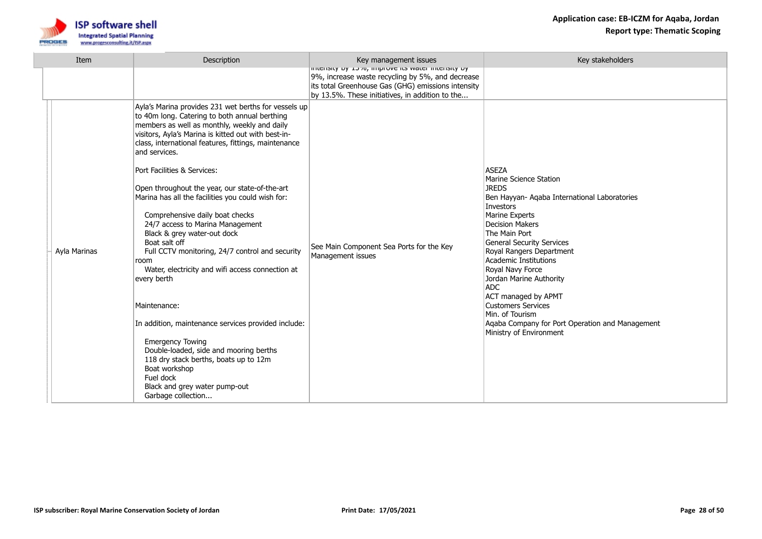

| Item         | <b>Description</b>                                                                                                                                                                                                                                                                                                                                                                                                                                                                                                                                                                                                                                                                                                                                                                                                                                                                                                                                         | Key management issues                                                                                                                                                                                           | Key stakeholders                                                                                                                                                                                                                                                                                                                                                                                                                                                                                          |
|--------------|------------------------------------------------------------------------------------------------------------------------------------------------------------------------------------------------------------------------------------------------------------------------------------------------------------------------------------------------------------------------------------------------------------------------------------------------------------------------------------------------------------------------------------------------------------------------------------------------------------------------------------------------------------------------------------------------------------------------------------------------------------------------------------------------------------------------------------------------------------------------------------------------------------------------------------------------------------|-----------------------------------------------------------------------------------------------------------------------------------------------------------------------------------------------------------------|-----------------------------------------------------------------------------------------------------------------------------------------------------------------------------------------------------------------------------------------------------------------------------------------------------------------------------------------------------------------------------------------------------------------------------------------------------------------------------------------------------------|
|              |                                                                                                                                                                                                                                                                                                                                                                                                                                                                                                                                                                                                                                                                                                                                                                                                                                                                                                                                                            | or understy by 13%, improve its water intensity by<br>9%, increase waste recycling by 5%, and decrease<br>its total Greenhouse Gas (GHG) emissions intensity<br>by 13.5%. These initiatives, in addition to the |                                                                                                                                                                                                                                                                                                                                                                                                                                                                                                           |
| Ayla Marinas | Ayla's Marina provides 231 wet berths for vessels up<br>to 40m long. Catering to both annual berthing<br>members as well as monthly, weekly and daily<br>visitors, Ayla's Marina is kitted out with best-in-<br>class, international features, fittings, maintenance<br>and services.<br>Port Facilities & Services:<br>Open throughout the year, our state-of-the-art<br>Marina has all the facilities you could wish for:<br>Comprehensive daily boat checks<br>24/7 access to Marina Management<br>Black & grey water-out dock<br>Boat salt off<br>Full CCTV monitoring, 24/7 control and security<br>room<br>Water, electricity and wifi access connection at<br>every berth<br>Maintenance:<br>In addition, maintenance services provided include:<br><b>Emergency Towing</b><br>Double-loaded, side and mooring berths<br>118 dry stack berths, boats up to 12m<br>Boat workshop<br>Fuel dock<br>Black and grey water pump-out<br>Garbage collection | See Main Component Sea Ports for the Key<br>Management issues                                                                                                                                                   | <b>ASEZA</b><br>Marine Science Station<br><b>JREDS</b><br>Ben Hayyan- Aqaba International Laboratories<br>Investors<br><b>Marine Experts</b><br><b>Decision Makers</b><br>The Main Port<br><b>General Security Services</b><br>Royal Rangers Department<br><b>Academic Institutions</b><br>Royal Navy Force<br>Jordan Marine Authority<br><b>ADC</b><br>ACT managed by APMT<br><b>Customers Services</b><br>Min. of Tourism<br>Aqaba Company for Port Operation and Management<br>Ministry of Environment |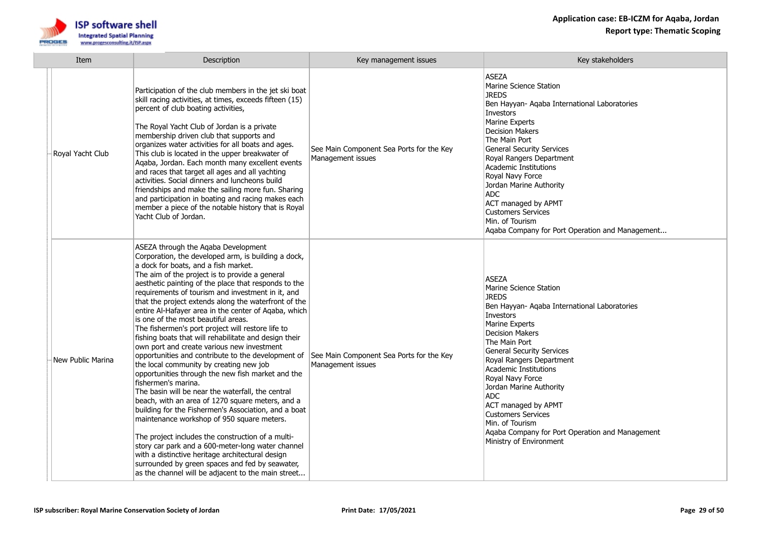



| Item              | Description                                                                                                                                                                                                                                                                                                                                                                                                                                                                                                                                                                                                                                                                                                                                                                                                                                                                                                                                                                                                                                                                                                                                                                                                                                                                             | Key management issues                                         | Key stakeholders                                                                                                                                                                                                                                                                                                                                                                                                                                                                             |
|-------------------|-----------------------------------------------------------------------------------------------------------------------------------------------------------------------------------------------------------------------------------------------------------------------------------------------------------------------------------------------------------------------------------------------------------------------------------------------------------------------------------------------------------------------------------------------------------------------------------------------------------------------------------------------------------------------------------------------------------------------------------------------------------------------------------------------------------------------------------------------------------------------------------------------------------------------------------------------------------------------------------------------------------------------------------------------------------------------------------------------------------------------------------------------------------------------------------------------------------------------------------------------------------------------------------------|---------------------------------------------------------------|----------------------------------------------------------------------------------------------------------------------------------------------------------------------------------------------------------------------------------------------------------------------------------------------------------------------------------------------------------------------------------------------------------------------------------------------------------------------------------------------|
| Royal Yacht Club  | Participation of the club members in the jet ski boat<br>skill racing activities, at times, exceeds fifteen (15)<br>percent of club boating activities,<br>The Royal Yacht Club of Jordan is a private<br>membership driven club that supports and<br>organizes water activities for all boats and ages.<br>This club is located in the upper breakwater of<br>Aqaba, Jordan. Each month many excellent events<br>and races that target all ages and all yachting<br>activities. Social dinners and luncheons build<br>friendships and make the sailing more fun. Sharing<br>and participation in boating and racing makes each<br>member a piece of the notable history that is Royal<br>Yacht Club of Jordan.                                                                                                                                                                                                                                                                                                                                                                                                                                                                                                                                                                         | See Main Component Sea Ports for the Key<br>Management issues | ASEZA<br>Marine Science Station<br><b>JREDS</b><br>Ben Hayyan- Aqaba International Laboratories<br><b>Investors</b><br>Marine Experts<br><b>Decision Makers</b><br>The Main Port<br><b>General Security Services</b><br>Royal Rangers Department<br>Academic Institutions<br>Royal Navy Force<br>Jordan Marine Authority<br>ADC<br>ACT managed by APMT<br><b>Customers Services</b><br>Min. of Tourism<br>Agaba Company for Port Operation and Management                                    |
| New Public Marina | ASEZA through the Aqaba Development<br>Corporation, the developed arm, is building a dock,<br>a dock for boats, and a fish market.<br>The aim of the project is to provide a general<br>aesthetic painting of the place that responds to the<br>requirements of tourism and investment in it, and<br>that the project extends along the waterfront of the<br>entire Al-Hafayer area in the center of Aqaba, which<br>is one of the most beautiful areas.<br>The fishermen's port project will restore life to<br>fishing boats that will rehabilitate and design their<br>own port and create various new investment<br>opportunities and contribute to the development of<br>the local community by creating new job<br>opportunities through the new fish market and the<br>fishermen's marina.<br>The basin will be near the waterfall, the central<br>beach, with an area of 1270 square meters, and a<br>building for the Fishermen's Association, and a boat<br>maintenance workshop of 950 square meters.<br>The project includes the construction of a multi-<br>story car park and a 600-meter-long water channel<br>with a distinctive heritage architectural design<br>surrounded by green spaces and fed by seawater,<br>as the channel will be adjacent to the main street | See Main Component Sea Ports for the Key<br>Management issues | <b>ASEZA</b><br>Marine Science Station<br><b>JREDS</b><br>Ben Hayyan- Aqaba International Laboratories<br>Investors<br>Marine Experts<br><b>Decision Makers</b><br>The Main Port<br><b>General Security Services</b><br>Royal Rangers Department<br><b>Academic Institutions</b><br>Royal Navy Force<br>Jordan Marine Authority<br>ADC.<br>ACT managed by APMT<br><b>Customers Services</b><br>Min. of Tourism<br>Aqaba Company for Port Operation and Management<br>Ministry of Environment |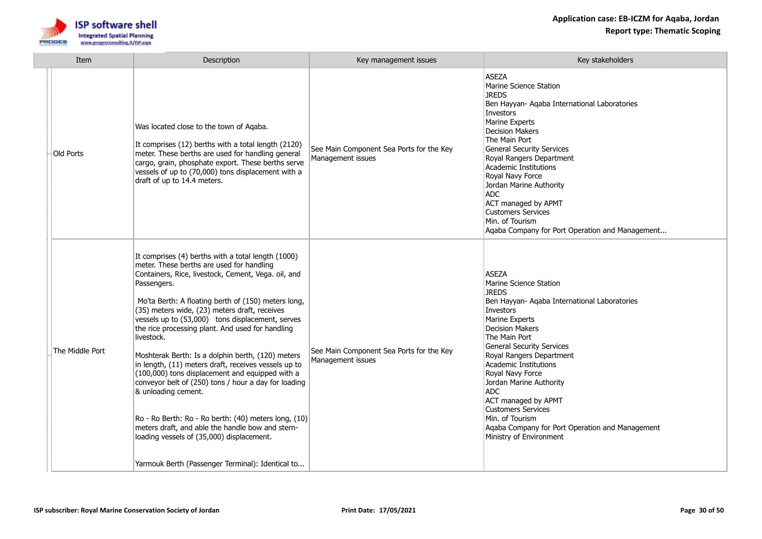

| Item            | Description                                                                                                                                                                                                                                                                                                                                                                                                                                                                                                                                                                                                                                                                                                                                                                                                                                                     | Key management issues                                         | Key stakeholders                                                                                                                                                                                                                                                                                                                                                                                                                                                                                   |
|-----------------|-----------------------------------------------------------------------------------------------------------------------------------------------------------------------------------------------------------------------------------------------------------------------------------------------------------------------------------------------------------------------------------------------------------------------------------------------------------------------------------------------------------------------------------------------------------------------------------------------------------------------------------------------------------------------------------------------------------------------------------------------------------------------------------------------------------------------------------------------------------------|---------------------------------------------------------------|----------------------------------------------------------------------------------------------------------------------------------------------------------------------------------------------------------------------------------------------------------------------------------------------------------------------------------------------------------------------------------------------------------------------------------------------------------------------------------------------------|
| Old Ports       | Was located close to the town of Aqaba.<br>It comprises (12) berths with a total length (2120)<br>meter. These berths are used for handling general<br>cargo, grain, phosphate export. These berths serve<br>vessels of up to (70,000) tons displacement with a<br>draft of up to 14.4 meters.                                                                                                                                                                                                                                                                                                                                                                                                                                                                                                                                                                  | See Main Component Sea Ports for the Key<br>Management issues | <b>ASEZA</b><br>Marine Science Station<br><b>JREDS</b><br>Ben Hayyan- Aqaba International Laboratories<br>Investors<br>Marine Experts<br><b>Decision Makers</b><br>The Main Port<br><b>General Security Services</b><br>Royal Rangers Department<br>Academic Institutions<br>Royal Navy Force<br>Jordan Marine Authority<br>ADC.<br><b>ACT managed by APMT</b><br><b>Customers Services</b><br>Min. of Tourism<br>Agaba Company for Port Operation and Management                                  |
| The Middle Port | It comprises (4) berths with a total length (1000)<br>meter. These berths are used for handling<br>Containers, Rice, livestock, Cement, Vega. oil, and<br>Passengers.<br>Mo'ta Berth: A floating berth of (150) meters long,<br>(35) meters wide, (23) meters draft, receives<br>vessels up to (53,000) tons displacement, serves<br>the rice processing plant. And used for handling<br>livestock.<br>Moshterak Berth: Is a dolphin berth, (120) meters<br>in length, (11) meters draft, receives vessels up to<br>(100,000) tons displacement and equipped with a<br>conveyor belt of (250) tons / hour a day for loading<br>& unloading cement.<br>Ro - Ro Berth: Ro - Ro berth: (40) meters long, (10)<br>meters draft, and able the handle bow and stern-<br>loading vessels of (35,000) displacement.<br>Yarmouk Berth (Passenger Terminal): Identical to | See Main Component Sea Ports for the Key<br>Management issues | <b>ASEZA</b><br>Marine Science Station<br><b>JREDS</b><br>Ben Hayyan- Aqaba International Laboratories<br>Investors<br>Marine Experts<br><b>Decision Makers</b><br>The Main Port<br><b>General Security Services</b><br>Royal Rangers Department<br>Academic Institutions<br>Royal Navy Force<br>Jordan Marine Authority<br><b>ADC</b><br><b>ACT managed by APMT</b><br><b>Customers Services</b><br>Min. of Tourism<br>Aqaba Company for Port Operation and Management<br>Ministry of Environment |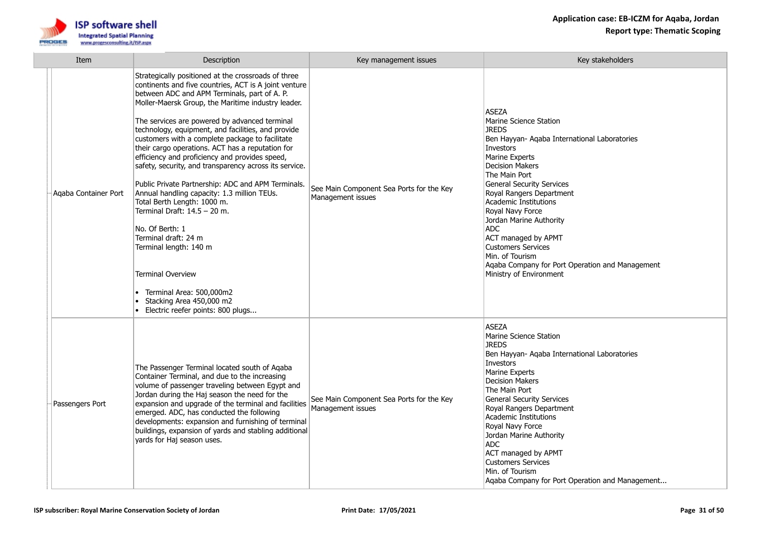

| Item                 | Description                                                                                                                                                                                                                                                                                                                                                                                                                                                                                                                                                                                                                                                                                                                                                                                                                                                                                                         | Key management issues                                         | Key stakeholders                                                                                                                                                                                                                                                                                                                                                                                                                                                                            |
|----------------------|---------------------------------------------------------------------------------------------------------------------------------------------------------------------------------------------------------------------------------------------------------------------------------------------------------------------------------------------------------------------------------------------------------------------------------------------------------------------------------------------------------------------------------------------------------------------------------------------------------------------------------------------------------------------------------------------------------------------------------------------------------------------------------------------------------------------------------------------------------------------------------------------------------------------|---------------------------------------------------------------|---------------------------------------------------------------------------------------------------------------------------------------------------------------------------------------------------------------------------------------------------------------------------------------------------------------------------------------------------------------------------------------------------------------------------------------------------------------------------------------------|
| Agaba Container Port | Strategically positioned at the crossroads of three<br>continents and five countries, ACT is A joint venture<br>between ADC and APM Terminals, part of A. P.<br>Moller-Maersk Group, the Maritime industry leader.<br>The services are powered by advanced terminal<br>technology, equipment, and facilities, and provide<br>customers with a complete package to facilitate<br>their cargo operations. ACT has a reputation for<br>efficiency and proficiency and provides speed,<br>safety, security, and transparency across its service.<br>Public Private Partnership: ADC and APM Terminals.<br>Annual handling capacity: 1.3 million TEUs.<br>Total Berth Length: 1000 m.<br>Terminal Draft: 14.5 - 20 m.<br>No. Of Berth: 1<br>Terminal draft: 24 m<br>Terminal length: 140 m<br><b>Terminal Overview</b><br>Terminal Area: 500,000m2<br>Stacking Area 450,000 m2<br>٠<br>Electric reefer points: 800 plugs | See Main Component Sea Ports for the Key<br>Management issues | <b>ASEZA</b><br>Marine Science Station<br><b>JREDS</b><br>Ben Hayyan- Aqaba International Laboratories<br>Investors<br>Marine Experts<br><b>Decision Makers</b><br>The Main Port<br><b>General Security Services</b><br>Royal Rangers Department<br>Academic Institutions<br>Royal Navy Force<br>Jordan Marine Authority<br><b>ADC</b><br>ACT managed by APMT<br><b>Customers Services</b><br>Min. of Tourism<br>Aqaba Company for Port Operation and Management<br>Ministry of Environment |
| Passengers Port      | The Passenger Terminal located south of Aqaba<br>Container Terminal, and due to the increasing<br>volume of passenger traveling between Egypt and<br>Jordan during the Haj season the need for the<br>expansion and upgrade of the terminal and facilities<br>emerged. ADC, has conducted the following<br>developments: expansion and furnishing of terminal<br>buildings, expansion of yards and stabling additional<br>yards for Haj season uses.                                                                                                                                                                                                                                                                                                                                                                                                                                                                | See Main Component Sea Ports for the Key<br>Management issues | <b>ASEZA</b><br>Marine Science Station<br><b>JREDS</b><br>Ben Hayyan- Aqaba International Laboratories<br>Investors<br>Marine Experts<br><b>Decision Makers</b><br>The Main Port<br><b>General Security Services</b><br>Royal Rangers Department<br>Academic Institutions<br>Royal Navy Force<br>Jordan Marine Authority<br><b>ADC</b><br>ACT managed by APMT<br><b>Customers Services</b><br>Min. of Tourism<br>Aqaba Company for Port Operation and Management                            |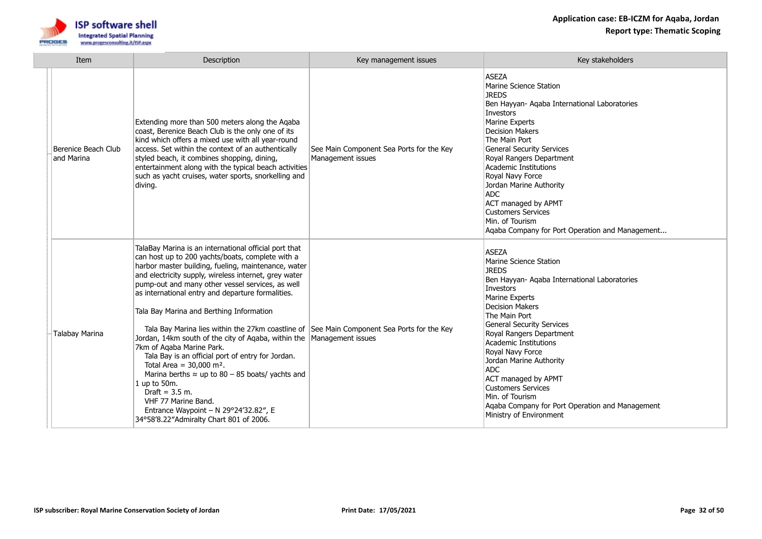

| Item                              | Description                                                                                                                                                                                                                                                                                                                                                                                                                                                                                                                                                                                                                                                                                                                                                                                                                                                                                             | Key management issues                                         | Key stakeholders                                                                                                                                                                                                                                                                                                                                                                                                                                                                            |
|-----------------------------------|---------------------------------------------------------------------------------------------------------------------------------------------------------------------------------------------------------------------------------------------------------------------------------------------------------------------------------------------------------------------------------------------------------------------------------------------------------------------------------------------------------------------------------------------------------------------------------------------------------------------------------------------------------------------------------------------------------------------------------------------------------------------------------------------------------------------------------------------------------------------------------------------------------|---------------------------------------------------------------|---------------------------------------------------------------------------------------------------------------------------------------------------------------------------------------------------------------------------------------------------------------------------------------------------------------------------------------------------------------------------------------------------------------------------------------------------------------------------------------------|
| Berenice Beach Club<br>and Marina | Extending more than 500 meters along the Aqaba<br>coast, Berenice Beach Club is the only one of its<br>kind which offers a mixed use with all year-round<br>access. Set within the context of an authentically<br>styled beach, it combines shopping, dining,<br>entertainment along with the typical beach activities<br>such as yacht cruises, water sports, snorkelling and<br>diving.                                                                                                                                                                                                                                                                                                                                                                                                                                                                                                               | See Main Component Sea Ports for the Key<br>Management issues | <b>ASEZA</b><br>Marine Science Station<br><b>JREDS</b><br>Ben Hayyan- Agaba International Laboratories<br><b>Investors</b><br><b>Marine Experts</b><br><b>Decision Makers</b><br>The Main Port<br><b>General Security Services</b><br>Royal Rangers Department<br>Academic Institutions<br>Royal Navy Force<br>Jordan Marine Authority<br><b>ADC</b><br>ACT managed by APMT<br><b>Customers Services</b><br>Min. of Tourism<br>Agaba Company for Port Operation and Management              |
| Talabay Marina                    | TalaBay Marina is an international official port that<br>can host up to 200 yachts/boats, complete with a<br>harbor master building, fueling, maintenance, water<br>and electricity supply, wireless internet, grey water<br>pump-out and many other vessel services, as well<br>as international entry and departure formalities.<br>Tala Bay Marina and Berthing Information<br>Tala Bay Marina lies within the 27km coastline of See Main Component Sea Ports for the Key<br>Jordan, 14km south of the city of Agaba, within the  Management issues<br>7km of Agaba Marine Park.<br>Tala Bay is an official port of entry for Jordan.<br>Total Area = $30,000$ m <sup>2</sup> .<br>Marina berths $\approx$ up to 80 – 85 boats/ yachts and<br>1 up to 50m.<br>Draft = $3.5$ m.<br>VHF 77 Marine Band.<br>Entrance Waypoint - N $29^{\circ}24'32.82''$ , E<br>34°58'8.22"Admiralty Chart 801 of 2006. |                                                               | <b>ASEZA</b><br>Marine Science Station<br><b>JREDS</b><br>Ben Hayyan- Agaba International Laboratories<br>Investors<br>Marine Experts<br><b>Decision Makers</b><br>The Main Port<br><b>General Security Services</b><br>Royal Rangers Department<br><b>Academic Institutions</b><br>Royal Navy Force<br>Jordan Marine Authority<br>ADC<br>ACT managed by APMT<br><b>Customers Services</b><br>Min. of Tourism<br>Agaba Company for Port Operation and Management<br>Ministry of Environment |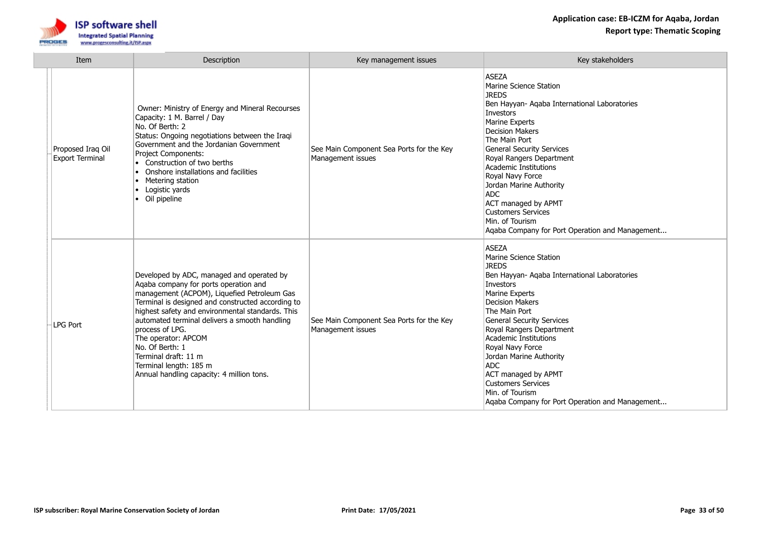

| Item                                        | Description                                                                                                                                                                                                                                                                                                                                                                                                                                             | Key management issues                                         | Key stakeholders                                                                                                                                                                                                                                                                                                                                                                                                                                                 |
|---------------------------------------------|---------------------------------------------------------------------------------------------------------------------------------------------------------------------------------------------------------------------------------------------------------------------------------------------------------------------------------------------------------------------------------------------------------------------------------------------------------|---------------------------------------------------------------|------------------------------------------------------------------------------------------------------------------------------------------------------------------------------------------------------------------------------------------------------------------------------------------------------------------------------------------------------------------------------------------------------------------------------------------------------------------|
| Proposed Iraq Oil<br><b>Export Terminal</b> | Owner: Ministry of Energy and Mineral Recourses<br>Capacity: 1 M. Barrel / Day<br>No. Of Berth: 2<br>Status: Ongoing negotiations between the Iraqi<br>Government and the Jordanian Government<br>Project Components:<br>$\bullet$ Construction of two berths<br>Onshore installations and facilities<br>$\bullet$<br>Metering station<br>Logistic yards<br>$\bullet$<br>• Oil pipeline                                                                 | See Main Component Sea Ports for the Key<br>Management issues | <b>ASEZA</b><br>Marine Science Station<br><b>JREDS</b><br>Ben Hayyan- Aqaba International Laboratories<br>Investors<br>Marine Experts<br><b>Decision Makers</b><br>The Main Port<br><b>General Security Services</b><br>Royal Rangers Department<br>Academic Institutions<br>Royal Navy Force<br>Jordan Marine Authority<br><b>ADC</b><br>ACT managed by APMT<br><b>Customers Services</b><br>Min. of Tourism<br>Agaba Company for Port Operation and Management |
| <b>LPG Port</b>                             | Developed by ADC, managed and operated by<br>Agaba company for ports operation and<br>management (ACPOM), Liquefied Petroleum Gas<br>Terminal is designed and constructed according to<br>highest safety and environmental standards. This<br>automated terminal delivers a smooth handling<br>process of LPG.<br>The operator: APCOM<br>No. Of Berth: 1<br>Terminal draft: 11 m<br>Terminal length: 185 m<br>Annual handling capacity: 4 million tons. | See Main Component Sea Ports for the Key<br>Management issues | <b>ASEZA</b><br>Marine Science Station<br><b>JREDS</b><br>Ben Hayyan- Aqaba International Laboratories<br>Investors<br>Marine Experts<br><b>Decision Makers</b><br>The Main Port<br><b>General Security Services</b><br>Royal Rangers Department<br>Academic Institutions<br>Royal Navy Force<br>Jordan Marine Authority<br><b>ADC</b><br>ACT managed by APMT<br><b>Customers Services</b><br>Min. of Tourism<br>Aqaba Company for Port Operation and Management |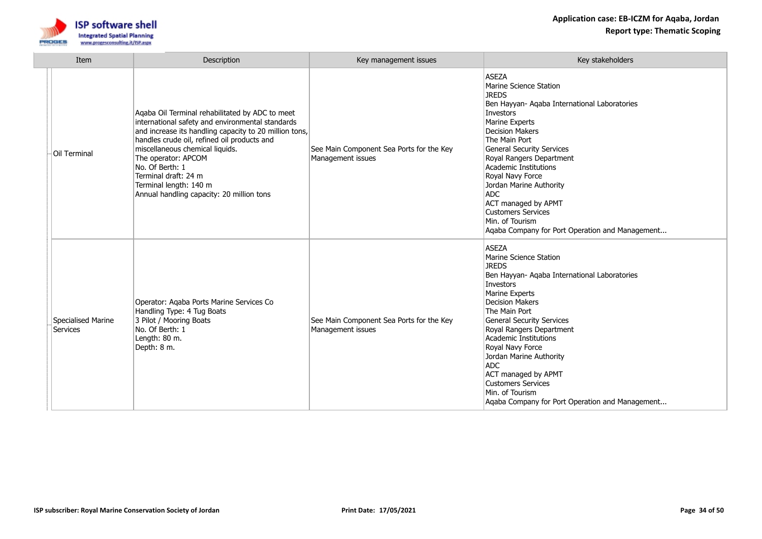

| Item                           | Description                                                                                                                                                                                                                                                                                                                                                                              | Key management issues                                         | Key stakeholders                                                                                                                                                                                                                                                                                                                                                                                                                                                 |
|--------------------------------|------------------------------------------------------------------------------------------------------------------------------------------------------------------------------------------------------------------------------------------------------------------------------------------------------------------------------------------------------------------------------------------|---------------------------------------------------------------|------------------------------------------------------------------------------------------------------------------------------------------------------------------------------------------------------------------------------------------------------------------------------------------------------------------------------------------------------------------------------------------------------------------------------------------------------------------|
| Oil Terminal                   | Aqaba Oil Terminal rehabilitated by ADC to meet<br>international safety and environmental standards<br>and increase its handling capacity to 20 million tons,<br>handles crude oil, refined oil products and<br>miscellaneous chemical liquids.<br>The operator: APCOM<br>No. Of Berth: 1<br>Terminal draft: 24 m<br>Terminal length: 140 m<br>Annual handling capacity: 20 million tons | See Main Component Sea Ports for the Key<br>Management issues | <b>ASEZA</b><br>Marine Science Station<br><b>JREDS</b><br>Ben Hayyan- Aqaba International Laboratories<br>Investors<br>Marine Experts<br><b>Decision Makers</b><br>The Main Port<br><b>General Security Services</b><br>Royal Rangers Department<br>Academic Institutions<br>Royal Navy Force<br>Jordan Marine Authority<br>ADC.<br>ACT managed by APMT<br><b>Customers Services</b><br>Min. of Tourism<br>Aqaba Company for Port Operation and Management       |
| Specialised Marine<br>Services | Operator: Agaba Ports Marine Services Co<br>Handling Type: 4 Tug Boats<br>3 Pilot / Mooring Boats<br>No. Of Berth: 1<br>Length: 80 m.<br>Depth: 8 m.                                                                                                                                                                                                                                     | See Main Component Sea Ports for the Key<br>Management issues | <b>ASEZA</b><br>Marine Science Station<br><b>JREDS</b><br>Ben Hayyan- Aqaba International Laboratories<br>Investors<br>Marine Experts<br><b>Decision Makers</b><br>The Main Port<br><b>General Security Services</b><br>Royal Rangers Department<br>Academic Institutions<br>Royal Navy Force<br>Jordan Marine Authority<br><b>ADC</b><br>ACT managed by APMT<br><b>Customers Services</b><br>Min. of Tourism<br>Aqaba Company for Port Operation and Management |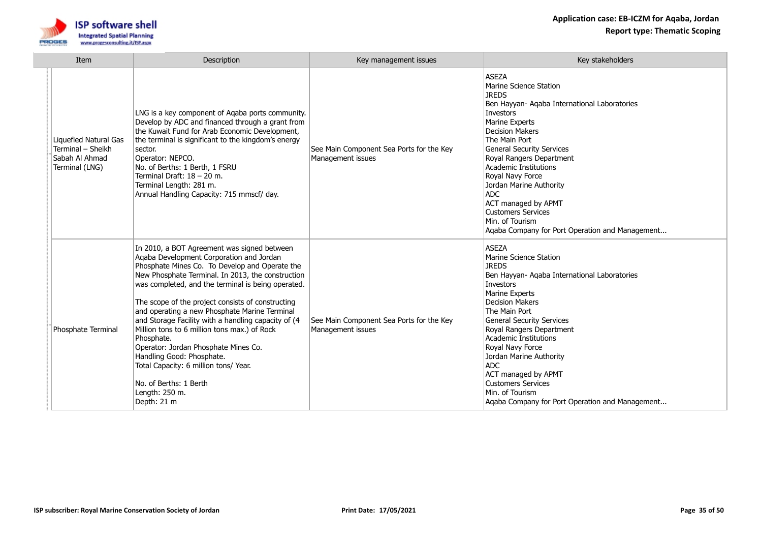

| Item                                                                           | Description                                                                                                                                                                                                                                                                                                                                                                                                                                                                                                                                                                                                                                              | Key management issues                                         | Key stakeholders                                                                                                                                                                                                                                                                                                                                                                                                                                                 |
|--------------------------------------------------------------------------------|----------------------------------------------------------------------------------------------------------------------------------------------------------------------------------------------------------------------------------------------------------------------------------------------------------------------------------------------------------------------------------------------------------------------------------------------------------------------------------------------------------------------------------------------------------------------------------------------------------------------------------------------------------|---------------------------------------------------------------|------------------------------------------------------------------------------------------------------------------------------------------------------------------------------------------------------------------------------------------------------------------------------------------------------------------------------------------------------------------------------------------------------------------------------------------------------------------|
| Liquefied Natural Gas<br>Terminal - Sheikh<br>Sabah Al Ahmad<br>Terminal (LNG) | LNG is a key component of Aqaba ports community.<br>Develop by ADC and financed through a grant from<br>the Kuwait Fund for Arab Economic Development,<br>the terminal is significant to the kingdom's energy<br>sector.<br>Operator: NEPCO.<br>No. of Berths: 1 Berth, 1 FSRU<br>Terminal Draft: 18 - 20 m.<br>Terminal Length: 281 m.<br>Annual Handling Capacity: 715 mmscf/ day.                                                                                                                                                                                                                                                                     | See Main Component Sea Ports for the Key<br>Management issues | <b>ASEZA</b><br>Marine Science Station<br><b>JREDS</b><br>Ben Hayyan- Agaba International Laboratories<br>Investors<br>Marine Experts<br><b>Decision Makers</b><br>The Main Port<br><b>General Security Services</b><br>Royal Rangers Department<br>Academic Institutions<br>Royal Navy Force<br>Jordan Marine Authority<br><b>ADC</b><br>ACT managed by APMT<br><b>Customers Services</b><br>Min. of Tourism<br>Agaba Company for Port Operation and Management |
| Phosphate Terminal                                                             | In 2010, a BOT Agreement was signed between<br>Agaba Development Corporation and Jordan<br>Phosphate Mines Co. To Develop and Operate the<br>New Phosphate Terminal. In 2013, the construction<br>was completed, and the terminal is being operated.<br>The scope of the project consists of constructing<br>and operating a new Phosphate Marine Terminal<br>and Storage Facility with a handling capacity of (4<br>Million tons to 6 million tons max.) of Rock<br>Phosphate.<br>Operator: Jordan Phosphate Mines Co.<br>Handling Good: Phosphate.<br>Total Capacity: 6 million tons/ Year.<br>No. of Berths: 1 Berth<br>Length: 250 m.<br>Depth: 21 m | See Main Component Sea Ports for the Key<br>Management issues | <b>ASEZA</b><br>Marine Science Station<br><b>JREDS</b><br>Ben Hayyan- Aqaba International Laboratories<br>Investors<br>Marine Experts<br><b>Decision Makers</b><br>The Main Port<br><b>General Security Services</b><br>Royal Rangers Department<br>Academic Institutions<br>Royal Navy Force<br>Jordan Marine Authority<br><b>ADC</b><br>ACT managed by APMT<br><b>Customers Services</b><br>Min. of Tourism<br>Aqaba Company for Port Operation and Management |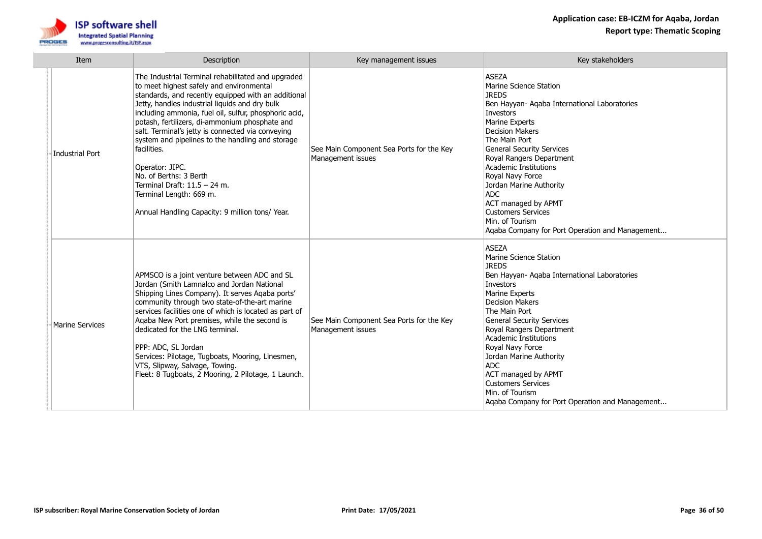

| Item                   | Description                                                                                                                                                                                                                                                                                                                                                                                                                                                                                                                                                                                             | Key management issues                                         | Key stakeholders                                                                                                                                                                                                                                                                                                                                                                                                                                                        |
|------------------------|---------------------------------------------------------------------------------------------------------------------------------------------------------------------------------------------------------------------------------------------------------------------------------------------------------------------------------------------------------------------------------------------------------------------------------------------------------------------------------------------------------------------------------------------------------------------------------------------------------|---------------------------------------------------------------|-------------------------------------------------------------------------------------------------------------------------------------------------------------------------------------------------------------------------------------------------------------------------------------------------------------------------------------------------------------------------------------------------------------------------------------------------------------------------|
| Industrial Port        | The Industrial Terminal rehabilitated and upgraded<br>to meet highest safely and environmental<br>standards, and recently equipped with an additional<br>Jetty, handles industrial liquids and dry bulk<br>including ammonia, fuel oil, sulfur, phosphoric acid,<br>potash, fertilizers, di-ammonium phosphate and<br>salt. Terminal's jetty is connected via conveying<br>system and pipelines to the handling and storage<br>facilities.<br>Operator: JIPC.<br>No. of Berths: 3 Berth<br>Terminal Draft: $11.5 - 24$ m.<br>Terminal Length: 669 m.<br>Annual Handling Capacity: 9 million tons/ Year. | See Main Component Sea Ports for the Key<br>Management issues | <b>ASEZA</b><br>Marine Science Station<br><b>JREDS</b><br>Ben Hayyan- Aqaba International Laboratories<br>Investors<br>Marine Experts<br><b>Decision Makers</b><br>The Main Port<br><b>General Security Services</b><br>Royal Rangers Department<br>Academic Institutions<br>Royal Navy Force<br>Jordan Marine Authority<br><b>ADC</b><br><b>ACT managed by APMT</b><br><b>Customers Services</b><br>Min. of Tourism<br>Aqaba Company for Port Operation and Management |
| <b>Marine Services</b> | APMSCO is a joint venture between ADC and SL<br>Jordan (Smith Lamnalco and Jordan National<br>Shipping Lines Company). It serves Aqaba ports'<br>community through two state-of-the-art marine<br>services facilities one of which is located as part of<br>Agaba New Port premises, while the second is<br>dedicated for the LNG terminal.<br>PPP: ADC, SL Jordan<br>Services: Pilotage, Tugboats, Mooring, Linesmen,<br>VTS, Slipway, Salvage, Towing.<br>Fleet: 8 Tugboats, 2 Mooring, 2 Pilotage, 1 Launch.                                                                                         | See Main Component Sea Ports for the Key<br>Management issues | <b>ASEZA</b><br>Marine Science Station<br><b>JREDS</b><br>Ben Hayyan- Aqaba International Laboratories<br>Investors<br><b>Marine Experts</b><br><b>Decision Makers</b><br>The Main Port<br><b>General Security Services</b><br>Royal Rangers Department<br>Academic Institutions<br>Royal Navy Force<br>Jordan Marine Authority<br><b>ADC</b><br>ACT managed by APMT<br><b>Customers Services</b><br>Min. of Tourism<br>Aqaba Company for Port Operation and Management |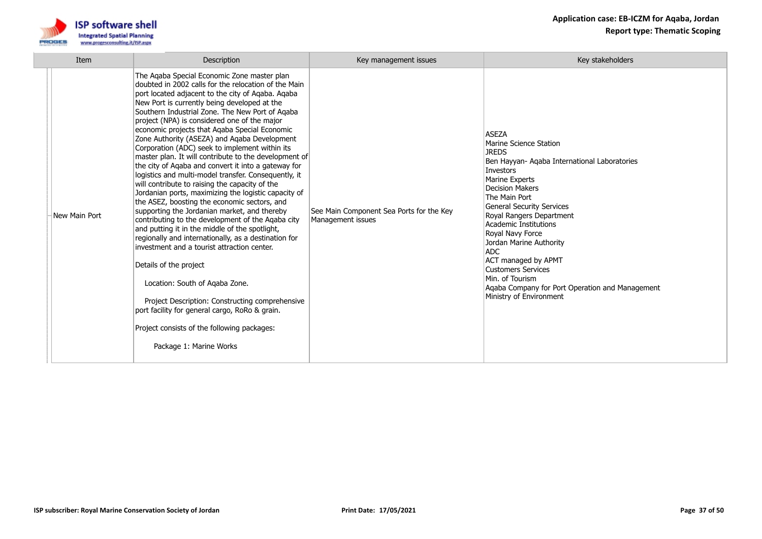

| Item          | Description                                                                                                                                                                                                                                                                                                                                                                                                                                                                                                                                                                                                                                                                                                                                                                                                                                                                                                                                                                                                                                                                                                                                                                                                                                                                                               | Key management issues                                         | Key stakeholders                                                                                                                                                                                                                                                                                                                                                                                                                                                               |
|---------------|-----------------------------------------------------------------------------------------------------------------------------------------------------------------------------------------------------------------------------------------------------------------------------------------------------------------------------------------------------------------------------------------------------------------------------------------------------------------------------------------------------------------------------------------------------------------------------------------------------------------------------------------------------------------------------------------------------------------------------------------------------------------------------------------------------------------------------------------------------------------------------------------------------------------------------------------------------------------------------------------------------------------------------------------------------------------------------------------------------------------------------------------------------------------------------------------------------------------------------------------------------------------------------------------------------------|---------------------------------------------------------------|--------------------------------------------------------------------------------------------------------------------------------------------------------------------------------------------------------------------------------------------------------------------------------------------------------------------------------------------------------------------------------------------------------------------------------------------------------------------------------|
| New Main Port | The Aqaba Special Economic Zone master plan<br>doubted in 2002 calls for the relocation of the Main<br>port located adjacent to the city of Aqaba. Aqaba<br>New Port is currently being developed at the<br>Southern Industrial Zone. The New Port of Aqaba<br>project (NPA) is considered one of the major<br>economic projects that Agaba Special Economic<br>Zone Authority (ASEZA) and Agaba Development<br>Corporation (ADC) seek to implement within its<br>master plan. It will contribute to the development of<br>the city of Aqaba and convert it into a gateway for<br>logistics and multi-model transfer. Consequently, it<br>will contribute to raising the capacity of the<br>Jordanian ports, maximizing the logistic capacity of<br>the ASEZ, boosting the economic sectors, and<br>supporting the Jordanian market, and thereby<br>contributing to the development of the Agaba city<br>and putting it in the middle of the spotlight,<br>regionally and internationally, as a destination for<br>investment and a tourist attraction center.<br>Details of the project<br>Location: South of Agaba Zone.<br>Project Description: Constructing comprehensive<br>port facility for general cargo, RoRo & grain.<br>Project consists of the following packages:<br>Package 1: Marine Works | See Main Component Sea Ports for the Key<br>Management issues | <b>ASEZA</b><br>Marine Science Station<br><b>JREDS</b><br>Ben Hayyan- Aqaba International Laboratories<br>Investors<br>Marine Experts<br>Decision Makers<br>The Main Port<br><b>General Security Services</b><br>Royal Rangers Department<br>Academic Institutions<br>Royal Navy Force<br>Jordan Marine Authority<br>ADC.<br>ACT managed by APMT<br><b>Customers Services</b><br>Min. of Tourism<br>Agaba Company for Port Operation and Management<br>Ministry of Environment |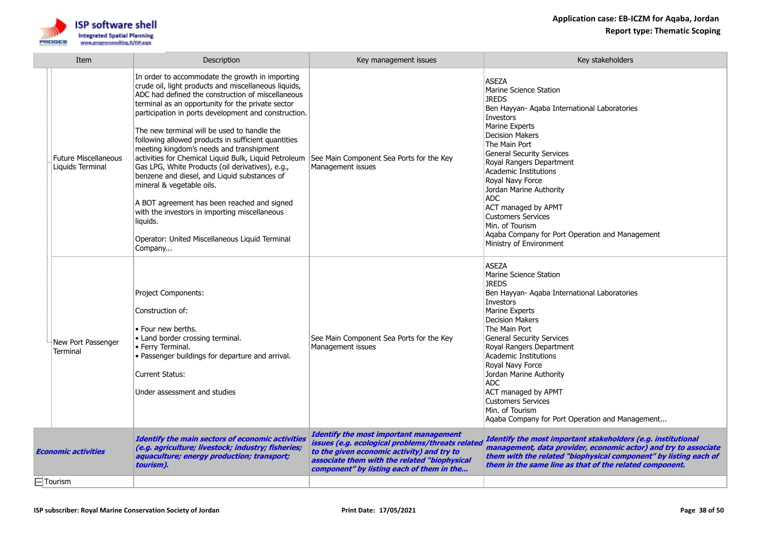

| Item                       |                                                 | Description                                                                                                                                                                                                                                                                                                                                                                                                                                                                                                                                                                                                                                                                                                                                                                                    | Key management issues                                                                                                                                                                                                                        | Key stakeholders                                                                                                                                                                                                                                                                                                                                                                                                                                                                                   |
|----------------------------|-------------------------------------------------|------------------------------------------------------------------------------------------------------------------------------------------------------------------------------------------------------------------------------------------------------------------------------------------------------------------------------------------------------------------------------------------------------------------------------------------------------------------------------------------------------------------------------------------------------------------------------------------------------------------------------------------------------------------------------------------------------------------------------------------------------------------------------------------------|----------------------------------------------------------------------------------------------------------------------------------------------------------------------------------------------------------------------------------------------|----------------------------------------------------------------------------------------------------------------------------------------------------------------------------------------------------------------------------------------------------------------------------------------------------------------------------------------------------------------------------------------------------------------------------------------------------------------------------------------------------|
|                            | <b>Future Miscellaneous</b><br>Liquids Terminal | In order to accommodate the growth in importing<br>crude oil, light products and miscellaneous liquids,<br>ADC had defined the construction of miscellaneous<br>terminal as an opportunity for the private sector<br>participation in ports development and construction.<br>The new terminal will be used to handle the<br>following allowed products in sufficient quantities<br>meeting kingdom's needs and transhipment<br>activities for Chemical Liquid Bulk, Liquid Petroleum<br>Gas LPG, White Products (oil derivatives), e.g.,<br>benzene and diesel, and Liquid substances of<br>mineral & vegetable oils.<br>A BOT agreement has been reached and signed<br>with the investors in importing miscellaneous<br>liquids.<br>Operator: United Miscellaneous Liquid Terminal<br>Company | See Main Component Sea Ports for the Key<br>Management issues                                                                                                                                                                                | <b>ASEZA</b><br>Marine Science Station<br><b>IRFDS</b><br>Ben Hayyan- Aqaba International Laboratories<br>Investors<br>Marine Experts<br><b>Decision Makers</b><br>The Main Port<br><b>General Security Services</b><br>Royal Rangers Department<br><b>Academic Institutions</b><br>Royal Navy Force<br>Jordan Marine Authority<br><b>ADC</b><br>ACT managed by APMT<br><b>Customers Services</b><br>Min. of Tourism<br>Aqaba Company for Port Operation and Management<br>Ministry of Environment |
|                            | New Port Passenger<br>Terminal                  | <b>Project Components:</b><br>Construction of:<br>• Four new berths.<br>• Land border crossing terminal.<br>• Ferry Terminal.<br>• Passenger buildings for departure and arrival.<br><b>Current Status:</b><br>Under assessment and studies                                                                                                                                                                                                                                                                                                                                                                                                                                                                                                                                                    | See Main Component Sea Ports for the Key<br>Management issues                                                                                                                                                                                | <b>ASEZA</b><br>Marine Science Station<br><b>JREDS</b><br>Ben Hayyan- Aqaba International Laboratories<br>Investors<br>Marine Experts<br><b>Decision Makers</b><br>The Main Port<br><b>General Security Services</b><br>Royal Rangers Department<br><b>Academic Institutions</b><br>Royal Navy Force<br>Jordan Marine Authority<br><b>ADC</b><br>ACT managed by APMT<br><b>Customers Services</b><br>Min. of Tourism<br>Aqaba Company for Port Operation and Management                            |
| <b>Economic activities</b> |                                                 | Identify the main sectors of economic activities<br>(e.g. agriculture; livestock; industry; fisheries;<br>aquaculture; energy production; transport;<br>tourism).                                                                                                                                                                                                                                                                                                                                                                                                                                                                                                                                                                                                                              | <b>Identify the most important management</b><br>issues (e.g. ecological problems/threats related<br>to the given economic activity) and try to<br>associate them with the related "biophysical<br>component" by listing each of them in the | Identify the most important stakeholders (e.g. institutional<br>management, data provider, economic actor) and try to associate<br>them with the related "biophysical component" by listing each of<br>them in the same line as that of the related component.                                                                                                                                                                                                                                     |
|                            | $\dot{\boxdot}$ Tourism                         |                                                                                                                                                                                                                                                                                                                                                                                                                                                                                                                                                                                                                                                                                                                                                                                                |                                                                                                                                                                                                                                              |                                                                                                                                                                                                                                                                                                                                                                                                                                                                                                    |
|                            |                                                 |                                                                                                                                                                                                                                                                                                                                                                                                                                                                                                                                                                                                                                                                                                                                                                                                |                                                                                                                                                                                                                                              |                                                                                                                                                                                                                                                                                                                                                                                                                                                                                                    |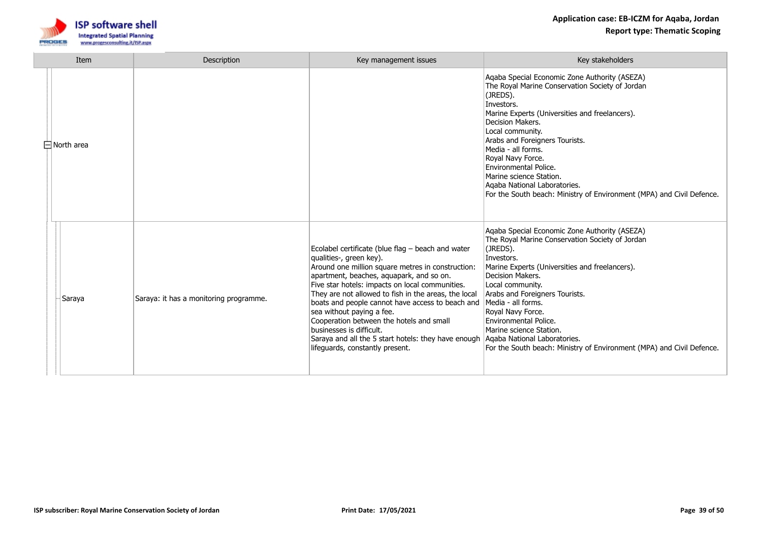

| Item<br><b>Description</b> |                   |                                        | Key management issues                                                                                                                                                                                                                                                                                                                                                                                                                                                                                                                       | Key stakeholders                                                                                                                                                                                                                                                                                                                                                                                                                                               |
|----------------------------|-------------------|----------------------------------------|---------------------------------------------------------------------------------------------------------------------------------------------------------------------------------------------------------------------------------------------------------------------------------------------------------------------------------------------------------------------------------------------------------------------------------------------------------------------------------------------------------------------------------------------|----------------------------------------------------------------------------------------------------------------------------------------------------------------------------------------------------------------------------------------------------------------------------------------------------------------------------------------------------------------------------------------------------------------------------------------------------------------|
|                            | $\Box$ North area |                                        |                                                                                                                                                                                                                                                                                                                                                                                                                                                                                                                                             | Aqaba Special Economic Zone Authority (ASEZA)<br>The Royal Marine Conservation Society of Jordan<br>(JREDS).<br>Investors.<br>Marine Experts (Universities and freelancers).<br>Decision Makers.<br>Local community.<br>Arabs and Foreigners Tourists.<br>Media - all forms.<br>Royal Navy Force.<br>Environmental Police.<br>Marine science Station.<br>Agaba National Laboratories.<br>For the South beach: Ministry of Environment (MPA) and Civil Defence. |
|                            | Saraya            | Saraya: it has a monitoring programme. | Ecolabel certificate (blue flag - beach and water<br>qualities-, green key).<br>Around one million square metres in construction:<br>apartment, beaches, aquapark, and so on.<br>Five star hotels: impacts on local communities.<br>They are not allowed to fish in the areas, the local<br>boats and people cannot have access to beach and<br>sea without paying a fee.<br>Cooperation between the hotels and small<br>businesses is difficult.<br>Saraya and all the 5 start hotels: they have enough<br>lifeguards, constantly present. | Aqaba Special Economic Zone Authority (ASEZA)<br>The Royal Marine Conservation Society of Jordan<br>(JREDS).<br>Investors.<br>Marine Experts (Universities and freelancers).<br>Decision Makers.<br>Local community.<br>Arabs and Foreigners Tourists.<br>Media - all forms.<br>Royal Navy Force.<br>Environmental Police.<br>Marine science Station.<br>Agaba National Laboratories.<br>For the South beach: Ministry of Environment (MPA) and Civil Defence. |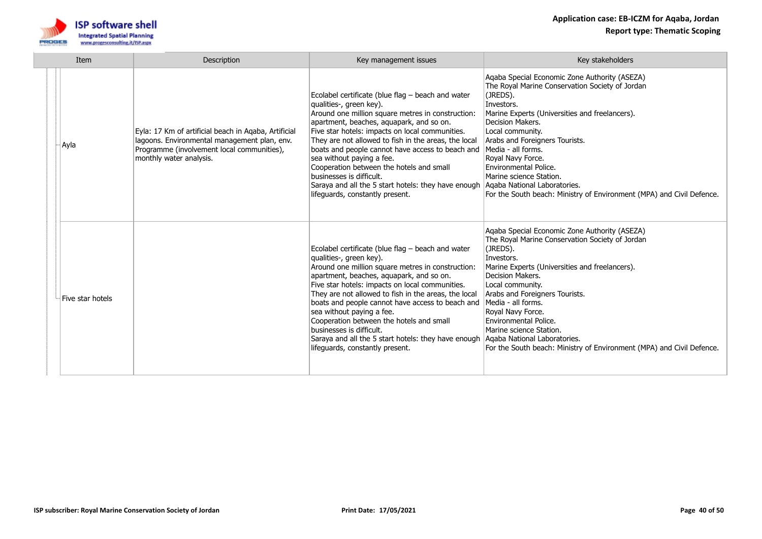

| Item |                  | Description                                                                                                                                                                   | Key management issues                                                                                                                                                                                                                                                                                                                                                                                                                                                                                                                       | Key stakeholders                                                                                                                                                                                                                                                                                                                                                                                                                                               |
|------|------------------|-------------------------------------------------------------------------------------------------------------------------------------------------------------------------------|---------------------------------------------------------------------------------------------------------------------------------------------------------------------------------------------------------------------------------------------------------------------------------------------------------------------------------------------------------------------------------------------------------------------------------------------------------------------------------------------------------------------------------------------|----------------------------------------------------------------------------------------------------------------------------------------------------------------------------------------------------------------------------------------------------------------------------------------------------------------------------------------------------------------------------------------------------------------------------------------------------------------|
|      | -  Ayla          | Eyla: 17 Km of artificial beach in Aqaba, Artificial<br>lagoons. Environmental management plan, env.<br>Programme (involvement local communities),<br>monthly water analysis. | Ecolabel certificate (blue flag - beach and water<br>qualities-, green key).<br>Around one million square metres in construction:<br>apartment, beaches, aquapark, and so on.<br>Five star hotels: impacts on local communities.<br>They are not allowed to fish in the areas, the local<br>boats and people cannot have access to beach and<br>sea without paying a fee.<br>Cooperation between the hotels and small<br>businesses is difficult.<br>Saraya and all the 5 start hotels: they have enough<br>lifeguards, constantly present. | Aqaba Special Economic Zone Authority (ASEZA)<br>The Royal Marine Conservation Society of Jordan<br>(JREDS).<br>Investors.<br>Marine Experts (Universities and freelancers).<br>Decision Makers.<br>Local community.<br>Arabs and Foreigners Tourists.<br>Media - all forms.<br>Royal Navy Force.<br>Environmental Police.<br>Marine science Station.<br>Agaba National Laboratories.<br>For the South beach: Ministry of Environment (MPA) and Civil Defence. |
|      | Five star hotels |                                                                                                                                                                               | Ecolabel certificate (blue flag - beach and water<br>qualities-, green key).<br>Around one million square metres in construction:<br>apartment, beaches, aquapark, and so on.<br>Five star hotels: impacts on local communities.<br>They are not allowed to fish in the areas, the local<br>boats and people cannot have access to beach and<br>sea without paying a fee.<br>Cooperation between the hotels and small<br>businesses is difficult.<br>Saraya and all the 5 start hotels: they have enough<br>lifequards, constantly present. | Aqaba Special Economic Zone Authority (ASEZA)<br>The Royal Marine Conservation Society of Jordan<br>(JREDS).<br>Investors.<br>Marine Experts (Universities and freelancers).<br>Decision Makers.<br>Local community.<br>Arabs and Foreigners Tourists.<br>Media - all forms.<br>Royal Navy Force.<br>Environmental Police.<br>Marine science Station.<br>Agaba National Laboratories.<br>For the South beach: Ministry of Environment (MPA) and Civil Defence. |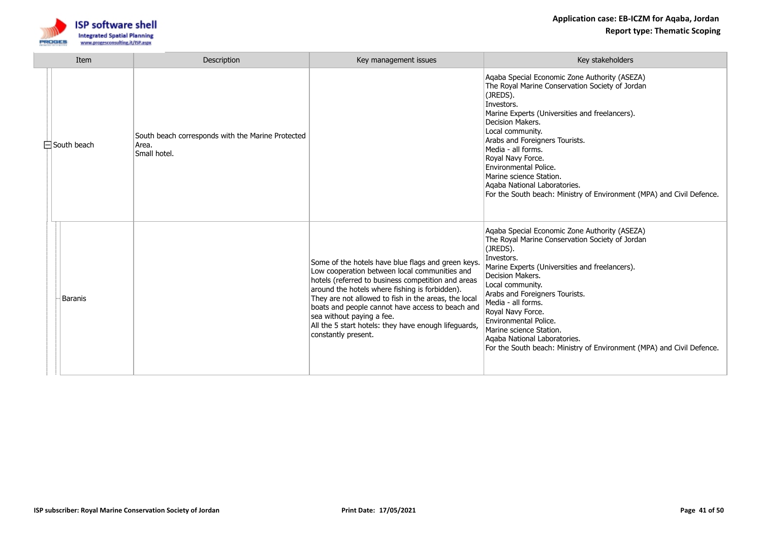

| Item |                    | Description                                                                | Key management issues                                                                                                                                                                                                                                                                                                                                                                                                               | Key stakeholders                                                                                                                                                                                                                                                                                                                                                                                                                                                      |
|------|--------------------|----------------------------------------------------------------------------|-------------------------------------------------------------------------------------------------------------------------------------------------------------------------------------------------------------------------------------------------------------------------------------------------------------------------------------------------------------------------------------------------------------------------------------|-----------------------------------------------------------------------------------------------------------------------------------------------------------------------------------------------------------------------------------------------------------------------------------------------------------------------------------------------------------------------------------------------------------------------------------------------------------------------|
|      | $\Box$ South beach | South beach corresponds with the Marine Protected<br>Area.<br>Small hotel. |                                                                                                                                                                                                                                                                                                                                                                                                                                     | Agaba Special Economic Zone Authority (ASEZA)<br>The Royal Marine Conservation Society of Jordan<br>(JREDS).<br>Investors.<br>Marine Experts (Universities and freelancers).<br>Decision Makers.<br>Local community.<br>Arabs and Foreigners Tourists.<br>Media - all forms.<br>Royal Navy Force.<br><b>Environmental Police.</b><br>Marine science Station.<br>Agaba National Laboratories.<br>For the South beach: Ministry of Environment (MPA) and Civil Defence. |
|      | <b>Baranis</b>     |                                                                            | Some of the hotels have blue flags and green keys.<br>Low cooperation between local communities and<br>hotels (referred to business competition and areas<br>around the hotels where fishing is forbidden).<br>They are not allowed to fish in the areas, the local<br>boats and people cannot have access to beach and<br>sea without paying a fee.<br>All the 5 start hotels: they have enough lifeguards,<br>constantly present. | Aqaba Special Economic Zone Authority (ASEZA)<br>The Royal Marine Conservation Society of Jordan<br>(JREDS).<br>Investors.<br>Marine Experts (Universities and freelancers).<br>Decision Makers.<br>Local community.<br>Arabs and Foreigners Tourists.<br>Media - all forms.<br>Royal Navy Force.<br>Environmental Police.<br>Marine science Station.<br>Agaba National Laboratories.<br>For the South beach: Ministry of Environment (MPA) and Civil Defence.        |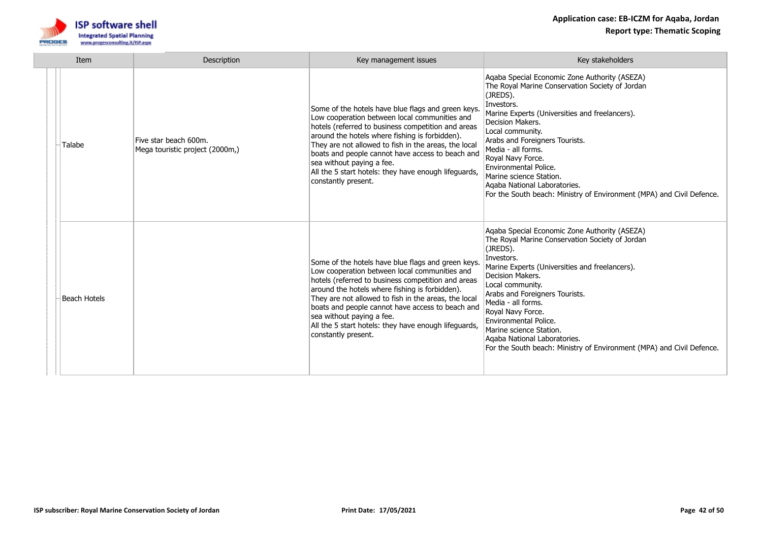

| Item |              | Description                                              | Key management issues                                                                                                                                                                                                                                                                                                                                                                                                               | Key stakeholders                                                                                                                                                                                                                                                                                                                                                                                                                                               |
|------|--------------|----------------------------------------------------------|-------------------------------------------------------------------------------------------------------------------------------------------------------------------------------------------------------------------------------------------------------------------------------------------------------------------------------------------------------------------------------------------------------------------------------------|----------------------------------------------------------------------------------------------------------------------------------------------------------------------------------------------------------------------------------------------------------------------------------------------------------------------------------------------------------------------------------------------------------------------------------------------------------------|
|      | Talabe       | Five star beach 600m.<br>Mega touristic project (2000m,) | Some of the hotels have blue flags and green keys.<br>Low cooperation between local communities and<br>hotels (referred to business competition and areas<br>around the hotels where fishing is forbidden).<br>They are not allowed to fish in the areas, the local<br>boats and people cannot have access to beach and<br>sea without paying a fee.<br>All the 5 start hotels: they have enough lifeguards,<br>constantly present. | Aqaba Special Economic Zone Authority (ASEZA)<br>The Royal Marine Conservation Society of Jordan<br>(JREDS).<br>Investors.<br>Marine Experts (Universities and freelancers).<br>Decision Makers.<br>Local community.<br>Arabs and Foreigners Tourists.<br>Media - all forms.<br>Royal Navy Force.<br>Environmental Police.<br>Marine science Station.<br>Agaba National Laboratories.<br>For the South beach: Ministry of Environment (MPA) and Civil Defence. |
|      | Beach Hotels |                                                          | Some of the hotels have blue flags and green keys.<br>Low cooperation between local communities and<br>hotels (referred to business competition and areas<br>around the hotels where fishing is forbidden).<br>They are not allowed to fish in the areas, the local<br>boats and people cannot have access to beach and<br>sea without paying a fee.<br>All the 5 start hotels: they have enough lifeguards,<br>constantly present. | Aqaba Special Economic Zone Authority (ASEZA)<br>The Royal Marine Conservation Society of Jordan<br>(JREDS).<br>Investors.<br>Marine Experts (Universities and freelancers).<br>Decision Makers.<br>Local community.<br>Arabs and Foreigners Tourists.<br>Media - all forms.<br>Royal Navy Force.<br>Environmental Police.<br>Marine science Station.<br>Agaba National Laboratories.<br>For the South beach: Ministry of Environment (MPA) and Civil Defence. |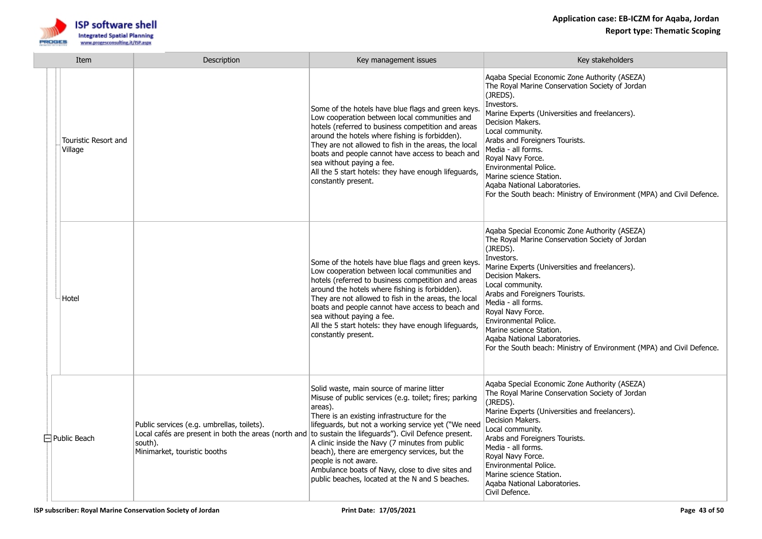

| Item |  |                                        | Description                                                                                                                                                                                       | Key management issues                                                                                                                                                                                                                                                                                                                                                                                                                                   | Key stakeholders                                                                                                                                                                                                                                                                                                                                                                                                                                               |
|------|--|----------------------------------------|---------------------------------------------------------------------------------------------------------------------------------------------------------------------------------------------------|---------------------------------------------------------------------------------------------------------------------------------------------------------------------------------------------------------------------------------------------------------------------------------------------------------------------------------------------------------------------------------------------------------------------------------------------------------|----------------------------------------------------------------------------------------------------------------------------------------------------------------------------------------------------------------------------------------------------------------------------------------------------------------------------------------------------------------------------------------------------------------------------------------------------------------|
|      |  | <b>Touristic Resort and</b><br>Village |                                                                                                                                                                                                   | Some of the hotels have blue flags and green keys.<br>Low cooperation between local communities and<br>hotels (referred to business competition and areas<br>around the hotels where fishing is forbidden).<br>They are not allowed to fish in the areas, the local<br>boats and people cannot have access to beach and<br>sea without paying a fee.<br>All the 5 start hotels: they have enough lifeguards,<br>constantly present.                     | Aqaba Special Economic Zone Authority (ASEZA)<br>The Royal Marine Conservation Society of Jordan<br>(JREDS).<br>Investors.<br>Marine Experts (Universities and freelancers).<br>Decision Makers.<br>Local community.<br>Arabs and Foreigners Tourists.<br>Media - all forms.<br>Royal Navy Force.<br>Environmental Police.<br>Marine science Station.<br>Agaba National Laboratories.<br>For the South beach: Ministry of Environment (MPA) and Civil Defence. |
|      |  | Hotel                                  |                                                                                                                                                                                                   | Some of the hotels have blue flags and green keys.<br>Low cooperation between local communities and<br>hotels (referred to business competition and areas<br>around the hotels where fishing is forbidden).<br>They are not allowed to fish in the areas, the local<br>boats and people cannot have access to beach and<br>sea without paying a fee.<br>All the 5 start hotels: they have enough lifeguards,<br>constantly present.                     | Aqaba Special Economic Zone Authority (ASEZA)<br>The Royal Marine Conservation Society of Jordan<br>(JREDS).<br>Investors.<br>Marine Experts (Universities and freelancers).<br>Decision Makers.<br>Local community.<br>Arabs and Foreigners Tourists.<br>Media - all forms.<br>Royal Navy Force.<br>Environmental Police.<br>Marine science Station.<br>Agaba National Laboratories.<br>For the South beach: Ministry of Environment (MPA) and Civil Defence. |
|      |  | $\Box$ Public Beach                    | Public services (e.g. umbrellas, toilets).<br>Local cafés are present in both the areas (north and to sustain the lifeguards"). Civil Defence present.<br>south).<br>Minimarket, touristic booths | Solid waste, main source of marine litter<br>Misuse of public services (e.g. toilet; fires; parking<br>areas).<br>There is an existing infrastructure for the<br>lifeguards, but not a working service yet ("We need<br>A clinic inside the Navy (7 minutes from public<br>beach), there are emergency services, but the<br>people is not aware.<br>Ambulance boats of Navy, close to dive sites and<br>public beaches, located at the N and S beaches. | Agaba Special Economic Zone Authority (ASEZA)<br>The Royal Marine Conservation Society of Jordan<br>(JREDS).<br>Marine Experts (Universities and freelancers).<br>Decision Makers.<br>Local community.<br>Arabs and Foreigners Tourists.<br>Media - all forms.<br>Royal Navy Force.<br>Environmental Police.<br>Marine science Station.<br>Agaba National Laboratories.<br>Civil Defence.                                                                      |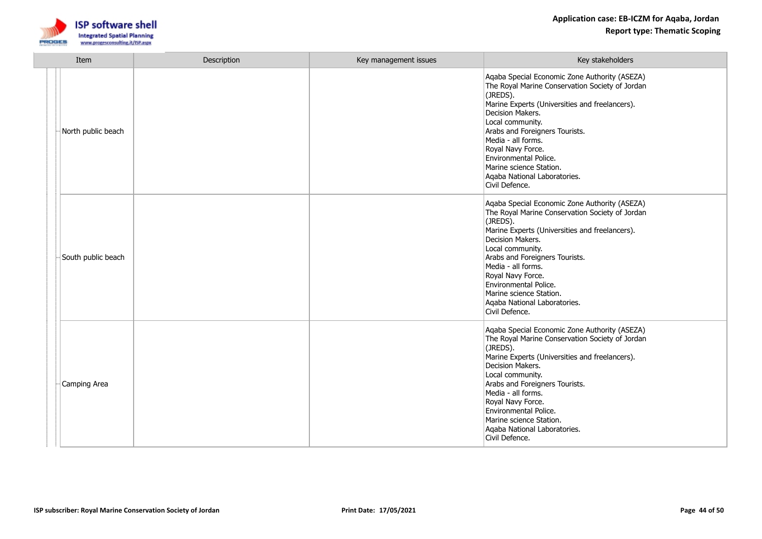

| Item |                    | Description | Key management issues | Key stakeholders                                                                                                                                                                                                                                                                                                                                                                          |
|------|--------------------|-------------|-----------------------|-------------------------------------------------------------------------------------------------------------------------------------------------------------------------------------------------------------------------------------------------------------------------------------------------------------------------------------------------------------------------------------------|
|      | North public beach |             |                       | Agaba Special Economic Zone Authority (ASEZA)<br>The Royal Marine Conservation Society of Jordan<br>(JREDS).<br>Marine Experts (Universities and freelancers).<br>Decision Makers.<br>Local community.<br>Arabs and Foreigners Tourists.<br>Media - all forms.<br>Royal Navy Force.<br>Environmental Police.<br>Marine science Station.<br>Agaba National Laboratories.<br>Civil Defence. |
|      | South public beach |             |                       | Aqaba Special Economic Zone Authority (ASEZA)<br>The Royal Marine Conservation Society of Jordan<br>(JREDS).<br>Marine Experts (Universities and freelancers).<br>Decision Makers.<br>Local community.<br>Arabs and Foreigners Tourists.<br>Media - all forms.<br>Royal Navy Force.<br>Environmental Police.<br>Marine science Station.<br>Aqaba National Laboratories.<br>Civil Defence. |
|      | Camping Area       |             |                       | Aqaba Special Economic Zone Authority (ASEZA)<br>The Royal Marine Conservation Society of Jordan<br>(JREDS).<br>Marine Experts (Universities and freelancers).<br>Decision Makers.<br>Local community.<br>Arabs and Foreigners Tourists.<br>Media - all forms.<br>Royal Navy Force.<br>Environmental Police.<br>Marine science Station.<br>Agaba National Laboratories.<br>Civil Defence. |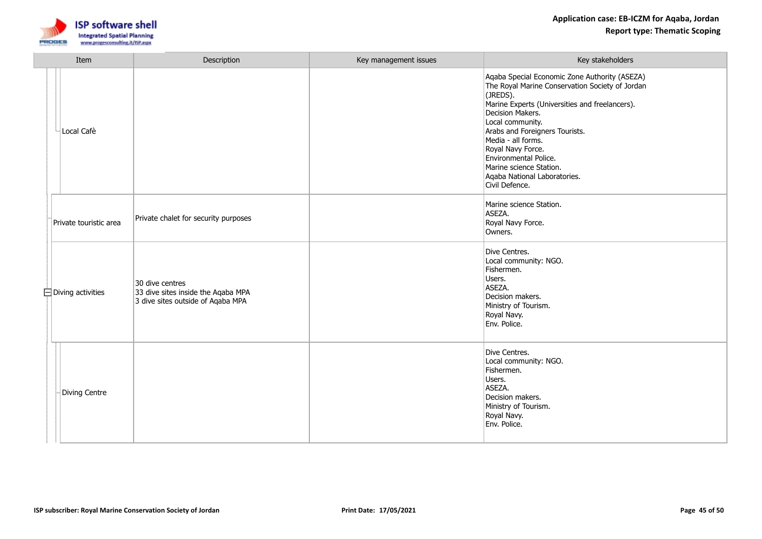

| Item                     | Description                                                                                | Key management issues | Key stakeholders                                                                                                                                                                                                                                                                                                                                                                          |
|--------------------------|--------------------------------------------------------------------------------------------|-----------------------|-------------------------------------------------------------------------------------------------------------------------------------------------------------------------------------------------------------------------------------------------------------------------------------------------------------------------------------------------------------------------------------------|
| Local Cafè               |                                                                                            |                       | Aqaba Special Economic Zone Authority (ASEZA)<br>The Royal Marine Conservation Society of Jordan<br>(JREDS).<br>Marine Experts (Universities and freelancers).<br>Decision Makers.<br>Local community.<br>Arabs and Foreigners Tourists.<br>Media - all forms.<br>Royal Navy Force.<br>Environmental Police.<br>Marine science Station.<br>Aqaba National Laboratories.<br>Civil Defence. |
| Private touristic area   | Private chalet for security purposes                                                       |                       | Marine science Station.<br>ASEZA.<br>Royal Navy Force.<br>Owners.                                                                                                                                                                                                                                                                                                                         |
| $\Box$ Diving activities | 30 dive centres<br>33 dive sites inside the Aqaba MPA<br>3 dive sites outside of Agaba MPA |                       | Dive Centres.<br>Local community: NGO.<br>Fishermen.<br>Users.<br>ASEZA.<br>Decision makers.<br>Ministry of Tourism.<br>Royal Navy.<br>Env. Police.                                                                                                                                                                                                                                       |
| Diving Centre            |                                                                                            |                       | Dive Centres.<br>Local community: NGO.<br>Fishermen.<br>Users.<br>ASEZA.<br>Decision makers.<br>Ministry of Tourism.<br>Royal Navy.<br>Env. Police.                                                                                                                                                                                                                                       |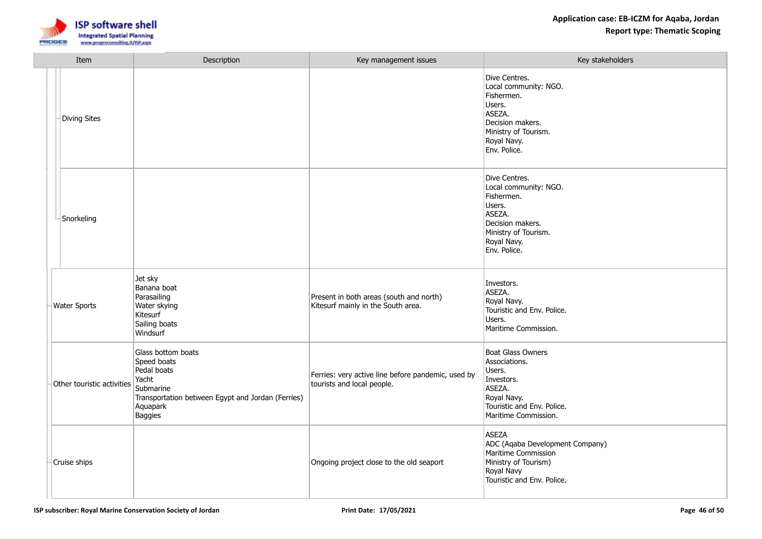

| Item                       | Description                                                                                                                                        | Key management issues                                                            | Key stakeholders                                                                                                                                    |
|----------------------------|----------------------------------------------------------------------------------------------------------------------------------------------------|----------------------------------------------------------------------------------|-----------------------------------------------------------------------------------------------------------------------------------------------------|
| <b>Diving Sites</b>        |                                                                                                                                                    |                                                                                  | Dive Centres.<br>Local community: NGO.<br>Fishermen.<br>Users.<br>ASEZA.<br>Decision makers.<br>Ministry of Tourism.<br>Royal Navy.<br>Env. Police. |
| Snorkeling                 |                                                                                                                                                    |                                                                                  | Dive Centres.<br>Local community: NGO.<br>Fishermen.<br>Users.<br>ASEZA.<br>Decision makers.<br>Ministry of Tourism.<br>Royal Navy.<br>Env. Police. |
| <b>Water Sports</b>        | Jet sky<br>Banana boat<br>Parasailing<br>Water skying<br>Kitesurf<br>Sailing boats<br>Windsurf                                                     | Present in both areas (south and north)<br>Kitesurf mainly in the South area.    | Investors.<br>ASEZA.<br>Royal Navy.<br>Touristic and Env. Police.<br>Users.<br>Maritime Commission.                                                 |
| Other touristic activities | Glass bottom boats<br>Speed boats<br>Pedal boats<br>Yacht<br>Submarine<br>Transportation between Egypt and Jordan (Ferries)<br>Aquapark<br>Baggies | Ferries: very active line before pandemic, used by<br>tourists and local people. | Boat Glass Owners<br>Associations.<br>Users.<br>Investors.<br>ASEZA.<br>Royal Navy.<br>Touristic and Env. Police.<br>Maritime Commission.           |
| Cruise ships               |                                                                                                                                                    | Ongoing project close to the old seaport                                         | <b>ASEZA</b><br>ADC (Aqaba Development Company)<br>Maritime Commission<br>Ministry of Tourism)<br>Royal Navy<br>Touristic and Env. Police.          |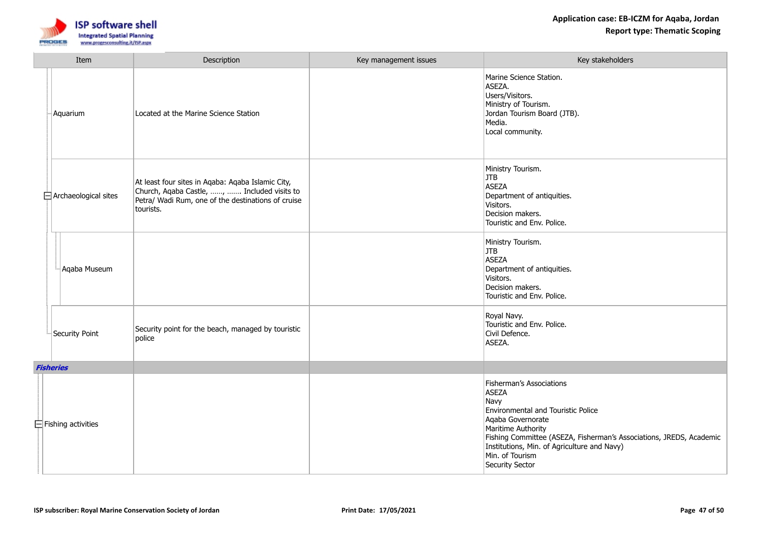

| Item |                             | Description                                                                                                                                                         | Key management issues | Key stakeholders                                                                                                                                                                                                                                                                              |
|------|-----------------------------|---------------------------------------------------------------------------------------------------------------------------------------------------------------------|-----------------------|-----------------------------------------------------------------------------------------------------------------------------------------------------------------------------------------------------------------------------------------------------------------------------------------------|
|      | Aquarium                    | Located at the Marine Science Station                                                                                                                               |                       | Marine Science Station.<br>ASEZA.<br>Users/Visitors.<br>Ministry of Tourism.<br>Jordan Tourism Board (JTB).<br>Media.<br>Local community.                                                                                                                                                     |
|      | $\Box$ Archaeological sites | At least four sites in Aqaba: Aqaba Islamic City,<br>Church, Aqaba Castle, ,  Included visits to<br>Petra/ Wadi Rum, one of the destinations of cruise<br>tourists. |                       | Ministry Tourism.<br>JTB<br><b>ASEZA</b><br>Department of antiquities.<br>Visitors.<br>Decision makers.<br>Touristic and Env. Police.                                                                                                                                                         |
|      | Aqaba Museum                |                                                                                                                                                                     |                       | Ministry Tourism.<br>JTB<br>ASEZA<br>Department of antiquities.<br>Visitors.<br>Decision makers.<br>Touristic and Env. Police.                                                                                                                                                                |
|      | Security Point              | Security point for the beach, managed by touristic<br>police                                                                                                        |                       | Royal Navy.<br>Touristic and Env. Police.<br>Civil Defence.<br>ASEZA.                                                                                                                                                                                                                         |
|      | <b>Fisheries</b>            |                                                                                                                                                                     |                       |                                                                                                                                                                                                                                                                                               |
|      | $\Box$ Fishing activities   |                                                                                                                                                                     |                       | Fisherman's Associations<br><b>ASEZA</b><br>Navy<br>Environmental and Touristic Police<br>Aqaba Governorate<br>Maritime Authority<br>Fishing Committee (ASEZA, Fisherman's Associations, JREDS, Academic<br>Institutions, Min. of Agriculture and Navy)<br>Min. of Tourism<br>Security Sector |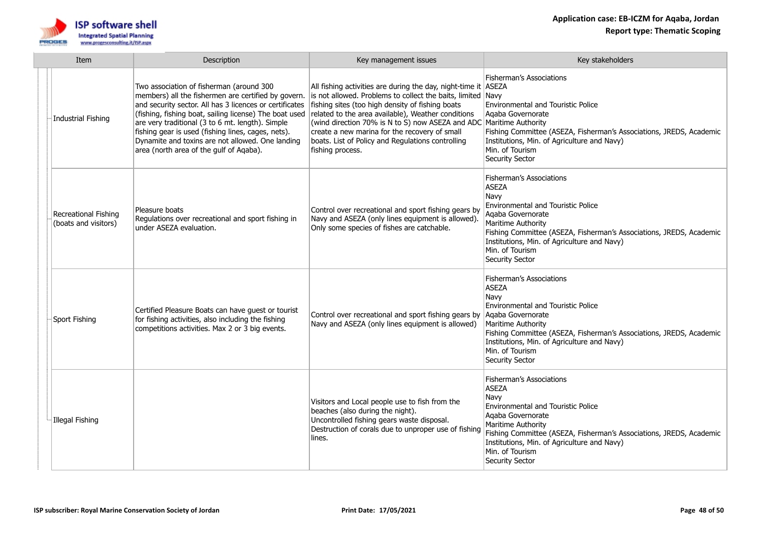

| Item |                                              | Description                                                                                                                                                                                                                                                                                                                                                                                                                   | Key management issues                                                                                                                                                                                                                                                                                                                                                                                                                    | Key stakeholders                                                                                                                                                                                                                                                                                            |
|------|----------------------------------------------|-------------------------------------------------------------------------------------------------------------------------------------------------------------------------------------------------------------------------------------------------------------------------------------------------------------------------------------------------------------------------------------------------------------------------------|------------------------------------------------------------------------------------------------------------------------------------------------------------------------------------------------------------------------------------------------------------------------------------------------------------------------------------------------------------------------------------------------------------------------------------------|-------------------------------------------------------------------------------------------------------------------------------------------------------------------------------------------------------------------------------------------------------------------------------------------------------------|
|      | Industrial Fishing                           | Two association of fisherman (around 300<br>members) all the fishermen are certified by govern.<br>and security sector. All has 3 licences or certificates<br>(fishing, fishing boat, sailing license) The boat used<br>are very traditional (3 to 6 mt. length). Simple<br>fishing gear is used (fishing lines, cages, nets).<br>Dynamite and toxins are not allowed. One landing<br>area (north area of the gulf of Aqaba). | All fishing activities are during the day, night-time it ASEZA<br>is not allowed. Problems to collect the baits, limited Navy<br>fishing sites (too high density of fishing boats<br>related to the area available), Weather conditions<br>(wind direction 70% is N to S) now ASEZA and ADC Maritime Authority<br>create a new marina for the recovery of small<br>boats. List of Policy and Regulations controlling<br>fishing process. | Fisherman's Associations<br><b>Environmental and Touristic Police</b><br>Agaba Governorate<br>Fishing Committee (ASEZA, Fisherman's Associations, JREDS, Academic<br>Institutions, Min. of Agriculture and Navy)<br>Min. of Tourism<br>Security Sector                                                      |
|      | Recreational Fishing<br>(boats and visitors) | Pleasure boats<br>Regulations over recreational and sport fishing in<br>under ASEZA evaluation.                                                                                                                                                                                                                                                                                                                               | Control over recreational and sport fishing gears by<br>Navy and ASEZA (only lines equipment is allowed).<br>Only some species of fishes are catchable.                                                                                                                                                                                                                                                                                  | <b>Fisherman's Associations</b><br><b>ASEZA</b><br>Navy<br><b>Environmental and Touristic Police</b><br>Agaba Governorate<br>Maritime Authority<br>Fishing Committee (ASEZA, Fisherman's Associations, JREDS, Academic<br>Institutions, Min. of Agriculture and Navy)<br>Min. of Tourism<br>Security Sector |
|      | Sport Fishing                                | Certified Pleasure Boats can have guest or tourist<br>for fishing activities, also including the fishing<br>competitions activities. Max 2 or 3 big events.                                                                                                                                                                                                                                                                   | Control over recreational and sport fishing gears by<br>Navy and ASEZA (only lines equipment is allowed)                                                                                                                                                                                                                                                                                                                                 | <b>Fisherman's Associations</b><br><b>ASEZA</b><br>Navv<br>Environmental and Touristic Police<br>Agaba Governorate<br><b>Maritime Authority</b><br>Fishing Committee (ASEZA, Fisherman's Associations, JREDS, Academic<br>Institutions, Min. of Agriculture and Navy)<br>Min. of Tourism<br>Security Sector |
|      | Illegal Fishing                              |                                                                                                                                                                                                                                                                                                                                                                                                                               | Visitors and Local people use to fish from the<br>beaches (also during the night).<br>Uncontrolled fishing gears waste disposal.<br>Destruction of corals due to unproper use of fishing<br>lines.                                                                                                                                                                                                                                       | <b>Fisherman's Associations</b><br>ASEZA<br>Navy<br>Environmental and Touristic Police<br>Agaba Governorate<br><b>Maritime Authority</b><br>Fishing Committee (ASEZA, Fisherman's Associations, JREDS, Academic<br>Institutions, Min. of Agriculture and Navy)<br>Min. of Tourism<br>Security Sector        |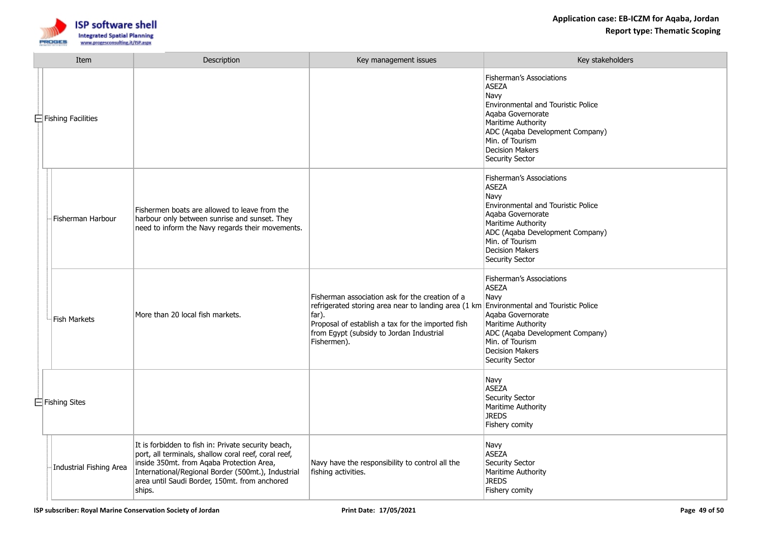

| Item |                           | Description                                                                                                                                                                                                                                                               | Key management issues                                                                                                                                                                                                            | Key stakeholders                                                                                                                                                                                                                            |
|------|---------------------------|---------------------------------------------------------------------------------------------------------------------------------------------------------------------------------------------------------------------------------------------------------------------------|----------------------------------------------------------------------------------------------------------------------------------------------------------------------------------------------------------------------------------|---------------------------------------------------------------------------------------------------------------------------------------------------------------------------------------------------------------------------------------------|
|      | $\Box$ Fishing Facilities |                                                                                                                                                                                                                                                                           |                                                                                                                                                                                                                                  | Fisherman's Associations<br><b>ASEZA</b><br>Navv<br>Environmental and Touristic Police<br>Agaba Governorate<br>Maritime Authority<br>ADC (Aqaba Development Company)<br>Min. of Tourism<br><b>Decision Makers</b><br>Security Sector        |
|      | Fisherman Harbour         | Fishermen boats are allowed to leave from the<br>harbour only between sunrise and sunset. They<br>need to inform the Navy regards their movements.                                                                                                                        |                                                                                                                                                                                                                                  | Fisherman's Associations<br><b>ASEZA</b><br>Navy<br><b>Environmental and Touristic Police</b><br>Agaba Governorate<br>Maritime Authority<br>ADC (Agaba Development Company)<br>Min. of Tourism<br>Decision Makers<br>Security Sector        |
|      | Fish Markets              | More than 20 local fish markets.                                                                                                                                                                                                                                          | Fisherman association ask for the creation of a<br>refrigerated storing area near to landing area (1 km<br>far).<br>Proposal of establish a tax for the imported fish<br>from Egypt (subsidy to Jordan Industrial<br>Fishermen). | Fisherman's Associations<br><b>ASEZA</b><br>Navy<br><b>Environmental and Touristic Police</b><br>Agaba Governorate<br>Maritime Authority<br>ADC (Agaba Development Company)<br>Min. of Tourism<br><b>Decision Makers</b><br>Security Sector |
|      | $\Box$ Fishing Sites      |                                                                                                                                                                                                                                                                           |                                                                                                                                                                                                                                  | Navy<br><b>ASEZA</b><br>Security Sector<br>Maritime Authority<br><b>JREDS</b><br>Fishery comity                                                                                                                                             |
|      | Industrial Fishing Area   | It is forbidden to fish in: Private security beach,<br>port, all terminals, shallow coral reef, coral reef,<br>inside 350mt. from Agaba Protection Area,<br>International/Regional Border (500mt.), Industrial<br>area until Saudi Border, 150mt. from anchored<br>ships. | Navy have the responsibility to control all the<br>fishing activities.                                                                                                                                                           | Navy<br><b>ASEZA</b><br>Security Sector<br>Maritime Authority<br><b>JREDS</b><br>Fishery comity                                                                                                                                             |